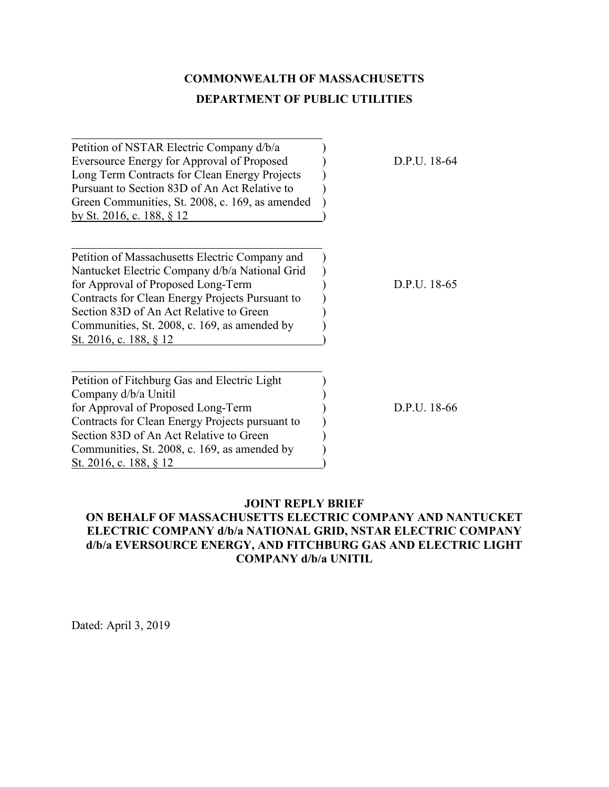# **COMMONWEALTH OF MASSACHUSETTS DEPARTMENT OF PUBLIC UTILITIES**

Petition of NSTAR Electric Company d/b/a ) Eversource Energy for Approval of Proposed D.P.U. 18-64 Long Term Contracts for Clean Energy Projects ) Pursuant to Section 83D of An Act Relative to ) Green Communities, St. 2008, c. 169, as amended ) by St. 2016, c. 188, § 12 )

Petition of Massachusetts Electric Company and ) Nantucket Electric Company d/b/a National Grid ) for Approval of Proposed Long-Term  $D.P.U. 18-65$ Contracts for Clean Energy Projects Pursuant to ) Section 83D of An Act Relative to Green Communities, St. 2008, c. 169, as amended by ) St. 2016, c. 188, § 12

Petition of Fitchburg Gas and Electric Light ) Company d/b/a Unitil ) for Approval of Proposed Long-Term  $D.P.U. 18-66$ Contracts for Clean Energy Projects pursuant to ) Section 83D of An Act Relative to Green Communities, St. 2008, c. 169, as amended by ) St. 2016, c. 188, § 12

## **JOINT REPLY BRIEF**

# **ON BEHALF OF MASSACHUSETTS ELECTRIC COMPANY AND NANTUCKET ELECTRIC COMPANY d/b/a NATIONAL GRID, NSTAR ELECTRIC COMPANY d/b/a EVERSOURCE ENERGY, AND FITCHBURG GAS AND ELECTRIC LIGHT COMPANY d/b/a UNITIL**

Dated: April 3, 2019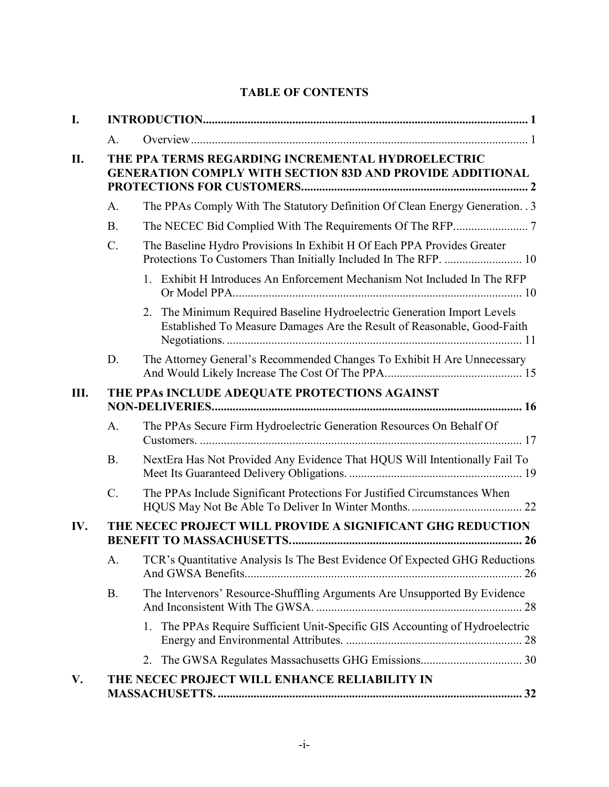| I.  |                                                                                                                       |                                                                                                                                                       |  |  |
|-----|-----------------------------------------------------------------------------------------------------------------------|-------------------------------------------------------------------------------------------------------------------------------------------------------|--|--|
|     | A.                                                                                                                    |                                                                                                                                                       |  |  |
| II. | THE PPA TERMS REGARDING INCREMENTAL HYDROELECTRIC<br><b>GENERATION COMPLY WITH SECTION 83D AND PROVIDE ADDITIONAL</b> |                                                                                                                                                       |  |  |
|     | A.                                                                                                                    | The PPAs Comply With The Statutory Definition Of Clean Energy Generation. 3                                                                           |  |  |
|     | <b>B.</b>                                                                                                             |                                                                                                                                                       |  |  |
|     | $\mathcal{C}$ .                                                                                                       | The Baseline Hydro Provisions In Exhibit H Of Each PPA Provides Greater<br>Protections To Customers Than Initially Included In The RFP.  10           |  |  |
|     |                                                                                                                       | 1. Exhibit H Introduces An Enforcement Mechanism Not Included In The RFP                                                                              |  |  |
|     |                                                                                                                       | The Minimum Required Baseline Hydroelectric Generation Import Levels<br>2.<br>Established To Measure Damages Are the Result of Reasonable, Good-Faith |  |  |
|     | D.                                                                                                                    | The Attorney General's Recommended Changes To Exhibit H Are Unnecessary                                                                               |  |  |
| Ш.  | THE PPAS INCLUDE ADEQUATE PROTECTIONS AGAINST                                                                         |                                                                                                                                                       |  |  |
|     | A.                                                                                                                    | The PPAs Secure Firm Hydroelectric Generation Resources On Behalf Of                                                                                  |  |  |
|     | <b>B.</b>                                                                                                             | NextEra Has Not Provided Any Evidence That HQUS Will Intentionally Fail To                                                                            |  |  |
|     | $C$ .                                                                                                                 | The PPAs Include Significant Protections For Justified Circumstances When                                                                             |  |  |
| IV. | THE NECEC PROJECT WILL PROVIDE A SIGNIFICANT GHG REDUCTION                                                            |                                                                                                                                                       |  |  |
|     |                                                                                                                       | A. TCR's Quantitative Analysis Is The Best Evidence Of Expected GHG Reductions                                                                        |  |  |
|     | <b>B.</b>                                                                                                             | The Intervenors' Resource-Shuffling Arguments Are Unsupported By Evidence                                                                             |  |  |
|     |                                                                                                                       | The PPAs Require Sufficient Unit-Specific GIS Accounting of Hydroelectric<br>1.                                                                       |  |  |
|     |                                                                                                                       | 2.                                                                                                                                                    |  |  |
| V.  |                                                                                                                       | THE NECEC PROJECT WILL ENHANCE RELIABILITY IN                                                                                                         |  |  |

# **TABLE OF CONTENTS**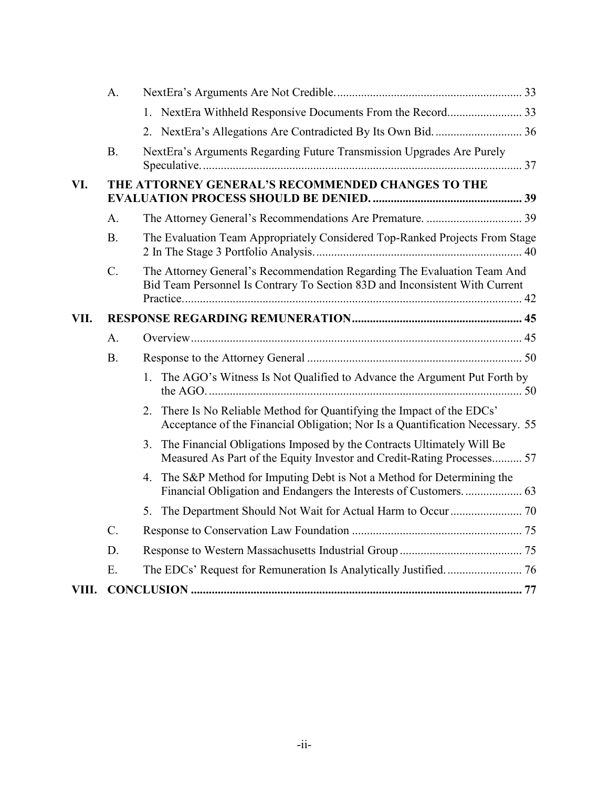|       | A.        |                                                                                                                                                            |  |
|-------|-----------|------------------------------------------------------------------------------------------------------------------------------------------------------------|--|
|       |           | 1. NextEra Withheld Responsive Documents From the Record 33                                                                                                |  |
|       |           | 2. NextEra's Allegations Are Contradicted By Its Own Bid.  36                                                                                              |  |
|       | <b>B.</b> | NextEra's Arguments Regarding Future Transmission Upgrades Are Purely                                                                                      |  |
| VI.   |           | THE ATTORNEY GENERAL'S RECOMMENDED CHANGES TO THE                                                                                                          |  |
|       | А.        |                                                                                                                                                            |  |
|       | <b>B.</b> | The Evaluation Team Appropriately Considered Top-Ranked Projects From Stage                                                                                |  |
|       | C.        | The Attorney General's Recommendation Regarding The Evaluation Team And<br>Bid Team Personnel Is Contrary To Section 83D and Inconsistent With Current     |  |
| VII.  |           |                                                                                                                                                            |  |
|       | A.        |                                                                                                                                                            |  |
|       | <b>B.</b> |                                                                                                                                                            |  |
|       |           | The AGO's Witness Is Not Qualified to Advance the Argument Put Forth by<br>$1_{\cdot}$                                                                     |  |
|       |           | There Is No Reliable Method for Quantifying the Impact of the EDCs'<br>2.<br>Acceptance of the Financial Obligation; Nor Is a Quantification Necessary. 55 |  |
|       |           | The Financial Obligations Imposed by the Contracts Ultimately Will Be<br>3.<br>Measured As Part of the Equity Investor and Credit-Rating Processes 57      |  |
|       |           | The S&P Method for Imputing Debt is Not a Method for Determining the<br>4.<br>Financial Obligation and Endangers the Interests of Customers.  63           |  |
|       |           |                                                                                                                                                            |  |
|       | C.        |                                                                                                                                                            |  |
|       | D.        |                                                                                                                                                            |  |
|       | E.        |                                                                                                                                                            |  |
| VIII. |           |                                                                                                                                                            |  |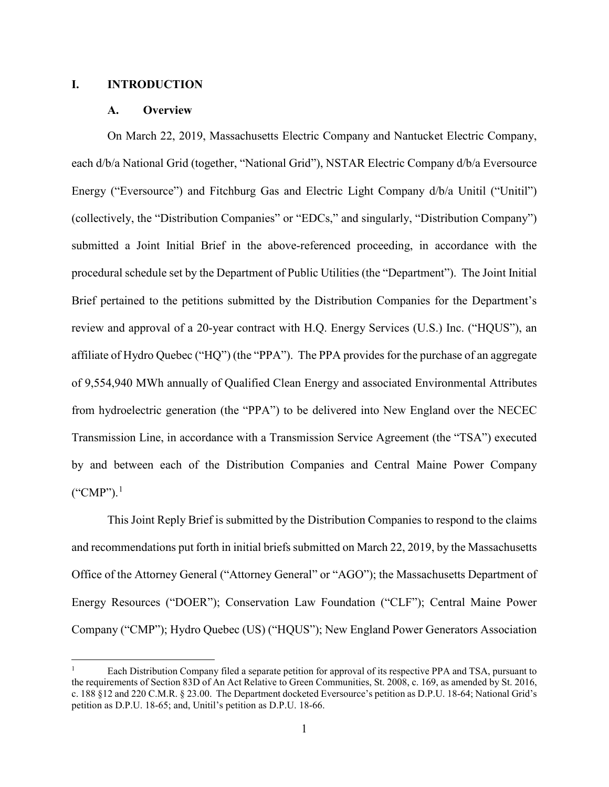#### <span id="page-3-1"></span><span id="page-3-0"></span>**I. INTRODUCTION**

#### **A. Overview**

On March 22, 2019, Massachusetts Electric Company and Nantucket Electric Company, each d/b/a National Grid (together, "National Grid"), NSTAR Electric Company d/b/a Eversource Energy ("Eversource") and Fitchburg Gas and Electric Light Company  $d/b/a$  Unitil ("Unitil") (collectively, the "Distribution Companies" or "EDCs," and singularly, "Distribution Company") submitted a Joint Initial Brief in the above-referenced proceeding, in accordance with the procedural schedule set by the Department of Public Utilities (the "Department"). The Joint Initial Brief pertained to the petitions submitted by the Distribution Companies for the Department's review and approval of a 20-year contract with H.Q. Energy Services (U.S.) Inc. ("HQUS"), an affiliate of Hydro Quebec ("HQ") (the "PPA"). The PPA provides for the purchase of an aggregate of 9,554,940 MWh annually of Qualified Clean Energy and associated Environmental Attributes from hydroelectric generation (the "PPA") to be delivered into New England over the NECEC Transmission Line, in accordance with a Transmission Service Agreement (the "TSA") executed by and between each of the Distribution Companies and Central Maine Power Company ("CMP"). [1](#page-3-2)

This Joint Reply Brief is submitted by the Distribution Companies to respond to the claims and recommendations put forth in initial briefs submitted on March 22, 2019, by the Massachusetts Office of the Attorney General ("Attorney General" or "AGO"); the Massachusetts Department of Energy Resources ("DOER"); Conservation Law Foundation ("CLF"); Central Maine Power Company ("CMP"); Hydro Quebec (US) ("HQUS"); New England Power Generators Association

<span id="page-3-2"></span> <sup>1</sup> Each Distribution Company filed a separate petition for approval of its respective PPA and TSA, pursuant to the requirements of Section 83D of An Act Relative to Green Communities, St. 2008, c. 169, as amended by St. 2016, c. 188 §12 and 220 C.M.R. § 23.00. The Department docketed Eversource's petition as D.P.U. 18-64; National Grid's petition as D.P.U. 18-65; and, Unitil's petition as D.P.U. 18-66.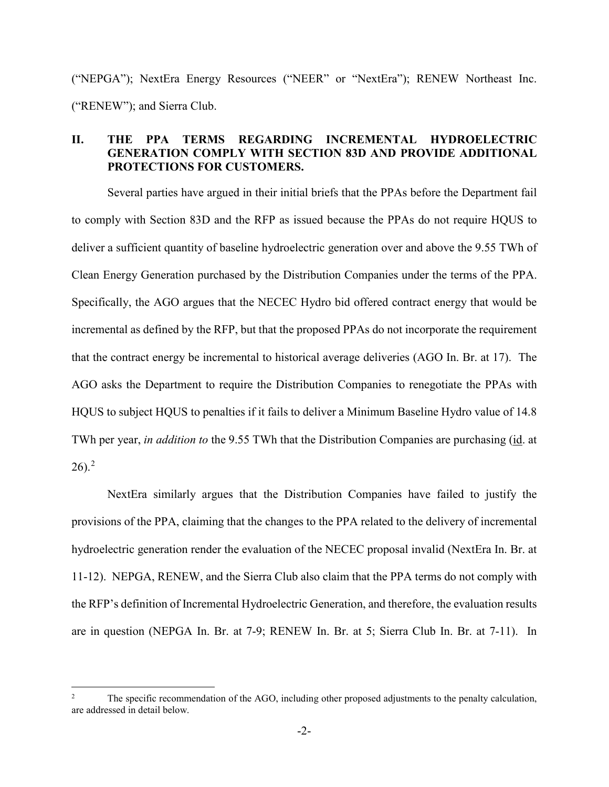("NEPGA"); NextEra Energy Resources ("NEER" or "NextEra"); RENEW Northeast Inc. ("RENEW"); and Sierra Club.

# <span id="page-4-0"></span>**II. THE PPA TERMS REGARDING INCREMENTAL HYDROELECTRIC GENERATION COMPLY WITH SECTION 83D AND PROVIDE ADDITIONAL PROTECTIONS FOR CUSTOMERS.**

Several parties have argued in their initial briefs that the PPAs before the Department fail to comply with Section 83D and the RFP as issued because the PPAs do not require HQUS to deliver a sufficient quantity of baseline hydroelectric generation over and above the 9.55 TWh of Clean Energy Generation purchased by the Distribution Companies under the terms of the PPA. Specifically, the AGO argues that the NECEC Hydro bid offered contract energy that would be incremental as defined by the RFP, but that the proposed PPAs do not incorporate the requirement that the contract energy be incremental to historical average deliveries (AGO In. Br. at 17). The AGO asks the Department to require the Distribution Companies to renegotiate the PPAs with HQUS to subject HQUS to penalties if it fails to deliver a Minimum Baseline Hydro value of 14.8 TWh per year, *in addition to* the 9.55 TWh that the Distribution Companies are purchasing (id. at  $26$  $26$ ).<sup>2</sup>

NextEra similarly argues that the Distribution Companies have failed to justify the provisions of the PPA, claiming that the changes to the PPA related to the delivery of incremental hydroelectric generation render the evaluation of the NECEC proposal invalid (NextEra In. Br. at 11-12). NEPGA, RENEW, and the Sierra Club also claim that the PPA terms do not comply with the RFP's definition of Incremental Hydroelectric Generation, and therefore, the evaluation results are in question (NEPGA In. Br. at 7-9; RENEW In. Br. at 5; Sierra Club In. Br. at 7-11). In

<span id="page-4-1"></span><sup>&</sup>lt;sup>2</sup> The specific recommendation of the AGO, including other proposed adjustments to the penalty calculation, are addressed in detail below.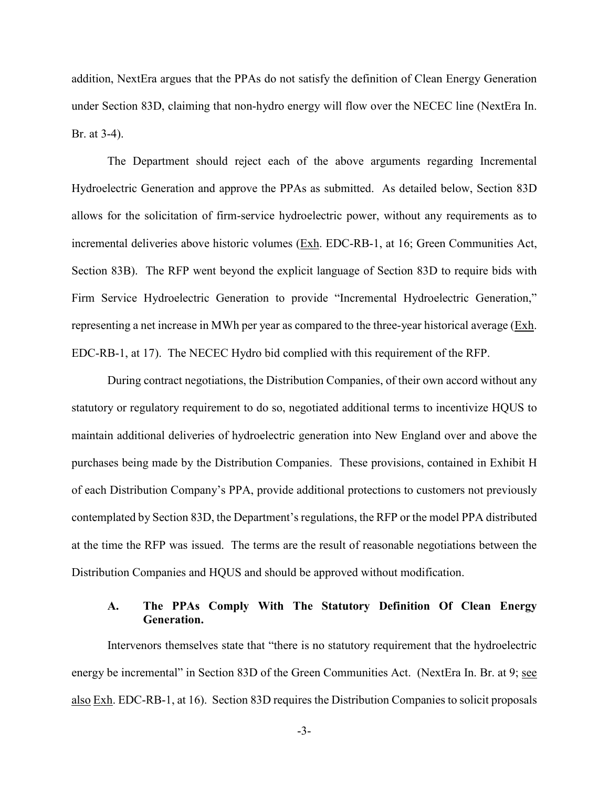addition, NextEra argues that the PPAs do not satisfy the definition of Clean Energy Generation under Section 83D, claiming that non-hydro energy will flow over the NECEC line (NextEra In. Br. at 3-4).

The Department should reject each of the above arguments regarding Incremental Hydroelectric Generation and approve the PPAs as submitted. As detailed below, Section 83D allows for the solicitation of firm-service hydroelectric power, without any requirements as to incremental deliveries above historic volumes (Exh. EDC-RB-1, at 16; Green Communities Act, Section 83B). The RFP went beyond the explicit language of Section 83D to require bids with Firm Service Hydroelectric Generation to provide "Incremental Hydroelectric Generation," representing a net increase in MWh per year as compared to the three-year historical average  $(Exh$ . EDC-RB-1, at 17). The NECEC Hydro bid complied with this requirement of the RFP.

During contract negotiations, the Distribution Companies, of their own accord without any statutory or regulatory requirement to do so, negotiated additional terms to incentivize HQUS to maintain additional deliveries of hydroelectric generation into New England over and above the purchases being made by the Distribution Companies. These provisions, contained in Exhibit H of each Distribution Company's PPA, provide additional protections to customers not previously contemplated by Section 83D, the Department's regulations, the RFP or the model PPA distributed at the time the RFP was issued. The terms are the result of reasonable negotiations between the Distribution Companies and HQUS and should be approved without modification.

## <span id="page-5-0"></span>**A. The PPAs Comply With The Statutory Definition Of Clean Energy Generation.**

Intervenors themselves state that "there is no statutory requirement that the hydroelectric energy be incremental" in Section 83D of the Green Communities Act. (NextEra In. Br. at 9; see also Exh. EDC-RB-1, at 16). Section 83D requires the Distribution Companies to solicit proposals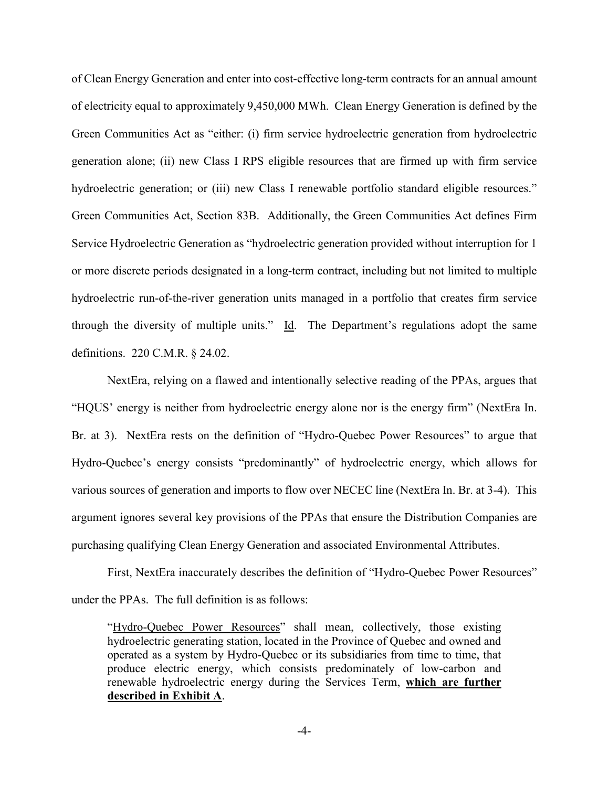of Clean Energy Generation and enter into cost-effective long-term contracts for an annual amount of electricity equal to approximately 9,450,000 MWh. Clean Energy Generation is defined by the Green Communities Act as "either: (i) firm service hydroelectric generation from hydroelectric generation alone; (ii) new Class I RPS eligible resources that are firmed up with firm service hydroelectric generation; or (iii) new Class I renewable portfolio standard eligible resources." Green Communities Act, Section 83B. Additionally, the Green Communities Act defines Firm Service Hydroelectric Generation as "hydroelectric generation provided without interruption for 1 or more discrete periods designated in a long-term contract, including but not limited to multiple hydroelectric run-of-the-river generation units managed in a portfolio that creates firm service through the diversity of multiple units." Id. The Department's regulations adopt the same definitions. 220 C.M.R. § 24.02.

NextEra, relying on a flawed and intentionally selective reading of the PPAs, argues that "HQUS' energy is neither from hydroelectric energy alone nor is the energy firm" (NextEra In. Br. at 3). NextEra rests on the definition of "Hydro-Quebec Power Resources" to argue that Hydro-Quebec's energy consists "predominantly" of hydroelectric energy, which allows for various sources of generation and imports to flow over NECEC line (NextEra In. Br. at 3-4). This argument ignores several key provisions of the PPAs that ensure the Distribution Companies are purchasing qualifying Clean Energy Generation and associated Environmental Attributes.

First, NextEra inaccurately describes the definition of "Hydro-Quebec Power Resources" under the PPAs. The full definition is as follows:

"Hydro-Quebec Power Resources" shall mean, collectively, those existing hydroelectric generating station, located in the Province of Quebec and owned and operated as a system by Hydro-Quebec or its subsidiaries from time to time, that produce electric energy, which consists predominately of low-carbon and renewable hydroelectric energy during the Services Term, **which are further described in Exhibit A**.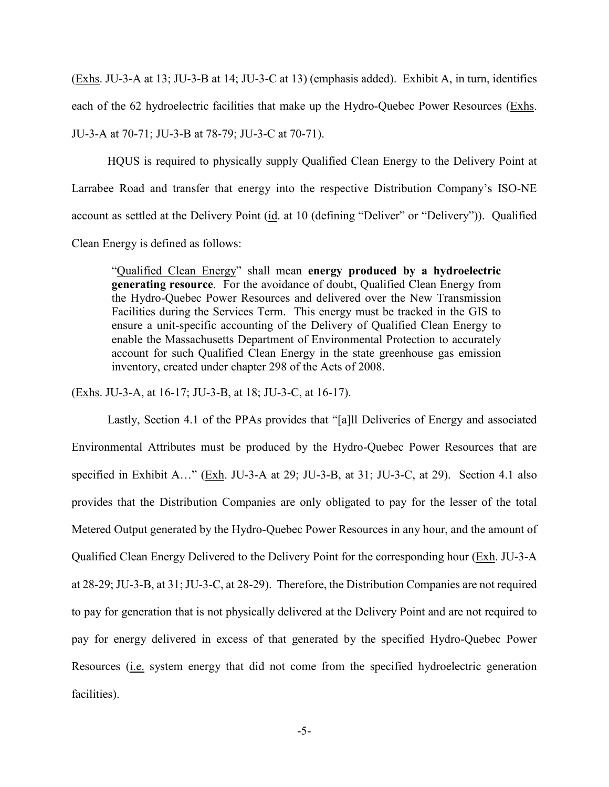(Exhs. JU-3-A at 13; JU-3-B at 14; JU-3-C at 13) (emphasis added). Exhibit A, in turn, identifies each of the 62 hydroelectric facilities that make up the Hydro-Quebec Power Resources (Exhs. JU-3-A at 70-71; JU-3-B at 78-79; JU-3-C at 70-71).

HQUS is required to physically supply Qualified Clean Energy to the Delivery Point at Larrabee Road and transfer that energy into the respective Distribution Company's ISO-NE account as settled at the Delivery Point (id. at 10 (defining "Deliver" or "Delivery")). Qualified Clean Energy is defined as follows:

"Qualified Clean Energy" shall mean **energy produced by a hydroelectric generating resource**. For the avoidance of doubt, Qualified Clean Energy from the Hydro-Quebec Power Resources and delivered over the New Transmission Facilities during the Services Term. This energy must be tracked in the GIS to ensure a unit-specific accounting of the Delivery of Qualified Clean Energy to enable the Massachusetts Department of Environmental Protection to accurately account for such Qualified Clean Energy in the state greenhouse gas emission inventory, created under chapter 298 of the Acts of 2008.

(Exhs. JU-3-A, at 16-17; JU-3-B, at 18; JU-3-C, at 16-17).

Lastly, Section 4.1 of the PPAs provides that "[a]ll Deliveries of Energy and associated Environmental Attributes must be produced by the Hydro-Quebec Power Resources that are specified in Exhibit A…" (Exh. JU-3-A at 29; JU-3-B, at 31; JU-3-C, at 29). Section 4.1 also provides that the Distribution Companies are only obligated to pay for the lesser of the total Metered Output generated by the Hydro-Quebec Power Resources in any hour, and the amount of Qualified Clean Energy Delivered to the Delivery Point for the corresponding hour (Exh. JU-3-A at 28-29; JU-3-B, at 31; JU-3-C, at 28-29). Therefore, the Distribution Companies are not required to pay for generation that is not physically delivered at the Delivery Point and are not required to pay for energy delivered in excess of that generated by the specified Hydro-Quebec Power Resources (i.e. system energy that did not come from the specified hydroelectric generation facilities).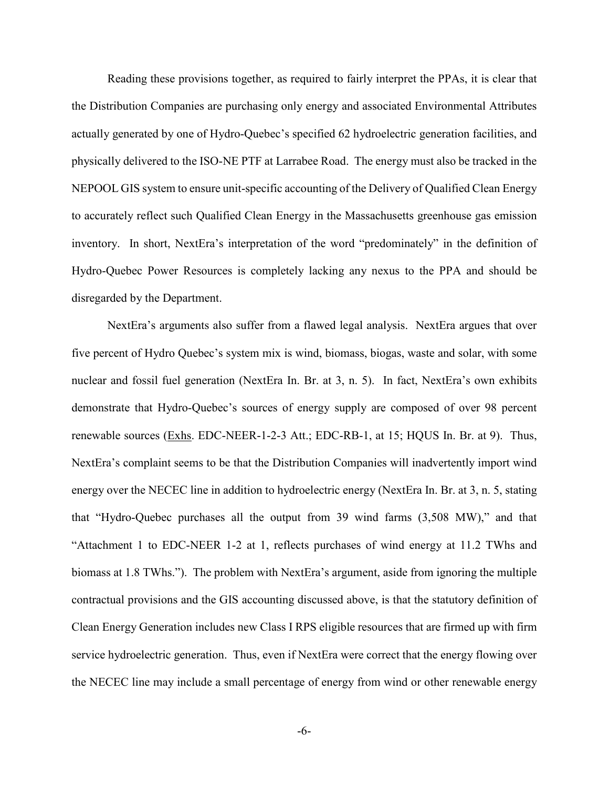Reading these provisions together, as required to fairly interpret the PPAs, it is clear that the Distribution Companies are purchasing only energy and associated Environmental Attributes actually generated by one of Hydro-Quebec's specified 62 hydroelectric generation facilities, and physically delivered to the ISO-NE PTF at Larrabee Road. The energy must also be tracked in the NEPOOL GIS system to ensure unit-specific accounting of the Delivery of Qualified Clean Energy to accurately reflect such Qualified Clean Energy in the Massachusetts greenhouse gas emission inventory. In short, NextEra's interpretation of the word "predominately" in the definition of Hydro-Quebec Power Resources is completely lacking any nexus to the PPA and should be disregarded by the Department.

NextEra's arguments also suffer from a flawed legal analysis. NextEra argues that over five percent of Hydro Quebec's system mix is wind, biomass, biogas, waste and solar, with some nuclear and fossil fuel generation (NextEra In. Br. at 3, n. 5). In fact, NextEra's own exhibits demonstrate that Hydro-Quebec's sources of energy supply are composed of over 98 percent renewable sources (Exhs. EDC-NEER-1-2-3 Att.; EDC-RB-1, at 15; HQUS In. Br. at 9). Thus, NextEra's complaint seems to be that the Distribution Companies will inadvertently import wind energy over the NECEC line in addition to hydroelectric energy (NextEra In. Br. at 3, n. 5, stating that "Hydro-Quebec purchases all the output from 39 wind farms (3,508 MW)," and that "Attachment 1 to EDC-NEER 1-2 at 1, reflects purchases of wind energy at 11.2 TWhs and biomass at 1.8 TWhs."). The problem with NextEra's argument, aside from ignoring the multiple contractual provisions and the GIS accounting discussed above, is that the statutory definition of Clean Energy Generation includes new Class I RPS eligible resources that are firmed up with firm service hydroelectric generation. Thus, even if NextEra were correct that the energy flowing over the NECEC line may include a small percentage of energy from wind or other renewable energy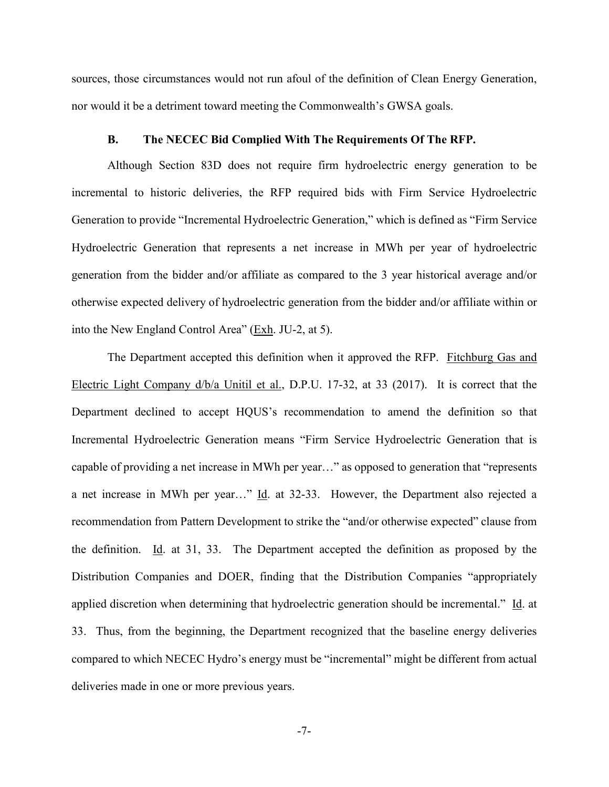sources, those circumstances would not run afoul of the definition of Clean Energy Generation, nor would it be a detriment toward meeting the Commonwealth's GWSA goals.

#### **B. The NECEC Bid Complied With The Requirements Of The RFP.**

<span id="page-9-0"></span>Although Section 83D does not require firm hydroelectric energy generation to be incremental to historic deliveries, the RFP required bids with Firm Service Hydroelectric Generation to provide "Incremental Hydroelectric Generation," which is defined as "Firm Service Hydroelectric Generation that represents a net increase in MWh per year of hydroelectric generation from the bidder and/or affiliate as compared to the 3 year historical average and/or otherwise expected delivery of hydroelectric generation from the bidder and/or affiliate within or into the New England Control Area" (Exh. JU-2, at 5).

The Department accepted this definition when it approved the RFP. Fitchburg Gas and Electric Light Company d/b/a Unitil et al., D.P.U. 17-32, at 33 (2017). It is correct that the Department declined to accept HQUS's recommendation to amend the definition so that Incremental Hydroelectric Generation means "Firm Service Hydroelectric Generation that is capable of providing a net increase in MWh per year…" as opposed to generation that "represents a net increase in MWh per year…" Id. at 32-33. However, the Department also rejected a recommendation from Pattern Development to strike the "and/or otherwise expected" clause from the definition. Id. at 31, 33. The Department accepted the definition as proposed by the Distribution Companies and DOER, finding that the Distribution Companies "appropriately applied discretion when determining that hydroelectric generation should be incremental." Id. at 33. Thus, from the beginning, the Department recognized that the baseline energy deliveries compared to which NECEC Hydro's energy must be "incremental" might be different from actual deliveries made in one or more previous years.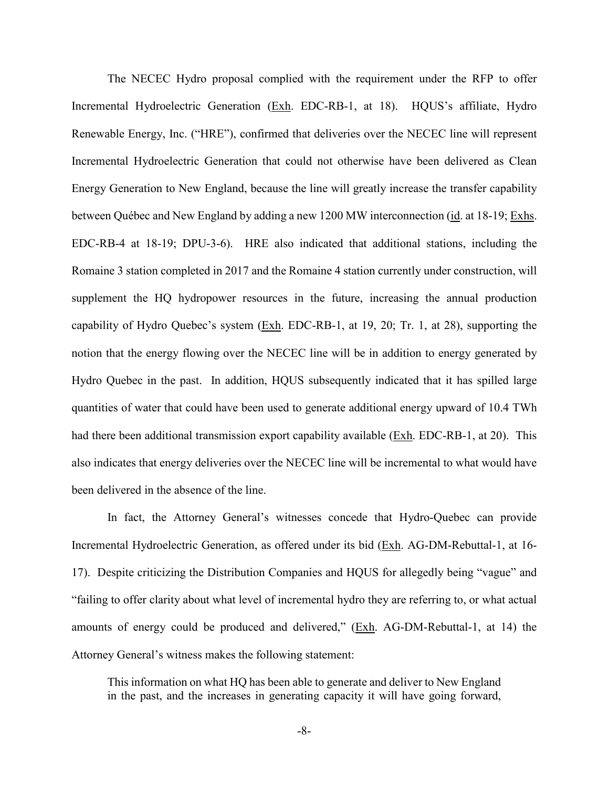The NECEC Hydro proposal complied with the requirement under the RFP to offer Incremental Hydroelectric Generation (Exh. EDC-RB-1, at 18). HQUS's affiliate, Hydro Renewable Energy, Inc. ("HRE"), confirmed that deliveries over the NECEC line will represent Incremental Hydroelectric Generation that could not otherwise have been delivered as Clean Energy Generation to New England, because the line will greatly increase the transfer capability between Québec and New England by adding a new 1200 MW interconnection (id. at 18-19; Exhs. EDC-RB-4 at 18-19; DPU-3-6). HRE also indicated that additional stations, including the Romaine 3 station completed in 2017 and the Romaine 4 station currently under construction, will supplement the HQ hydropower resources in the future, increasing the annual production capability of Hydro Quebec's system  $(Exh. EDC-RB-1, at 19, 20; Tr. 1, at 28)$ , supporting the notion that the energy flowing over the NECEC line will be in addition to energy generated by Hydro Quebec in the past. In addition, HQUS subsequently indicated that it has spilled large quantities of water that could have been used to generate additional energy upward of 10.4 TWh had there been additional transmission export capability available (Exh. EDC-RB-1, at 20). This also indicates that energy deliveries over the NECEC line will be incremental to what would have been delivered in the absence of the line.

In fact, the Attorney General's witnesses concede that Hydro-Quebec can provide Incremental Hydroelectric Generation, as offered under its bid (Exh. AG-DM-Rebuttal-1, at 16- 17). Despite criticizing the Distribution Companies and HQUS for allegedly being "vague" and "failing to offer clarity about what level of incremental hydro they are referring to, or what actual amounts of energy could be produced and delivered,"  $(\underline{Exh}$ . AG-DM-Rebuttal-1, at 14) the Attorney General's witness makes the following statement:

This information on what HQ has been able to generate and deliver to New England in the past, and the increases in generating capacity it will have going forward,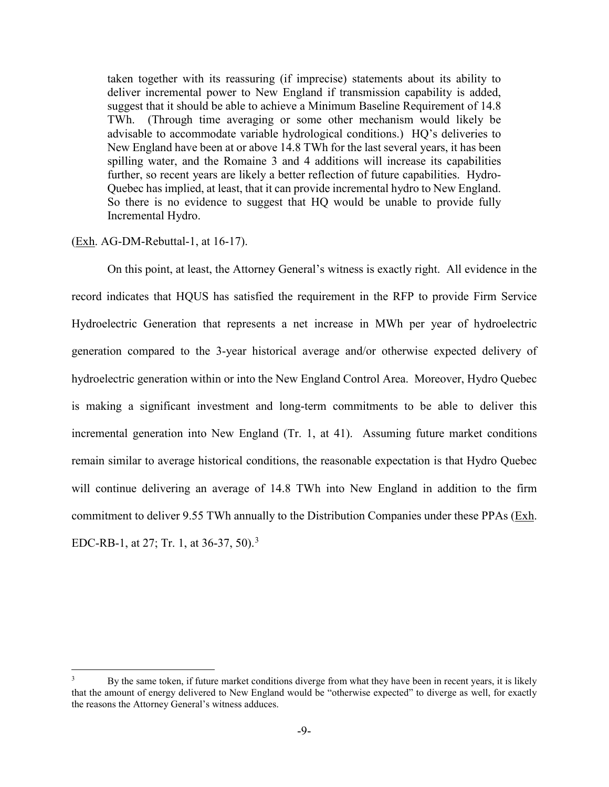taken together with its reassuring (if imprecise) statements about its ability to deliver incremental power to New England if transmission capability is added, suggest that it should be able to achieve a Minimum Baseline Requirement of 14.8 TWh. (Through time averaging or some other mechanism would likely be advisable to accommodate variable hydrological conditions.) HQ's deliveries to New England have been at or above 14.8 TWh for the last several years, it has been spilling water, and the Romaine 3 and 4 additions will increase its capabilities further, so recent years are likely a better reflection of future capabilities. Hydro-Quebec has implied, at least, that it can provide incremental hydro to New England. So there is no evidence to suggest that HQ would be unable to provide fully Incremental Hydro.

#### (Exh. AG-DM-Rebuttal-1, at 16-17).

On this point, at least, the Attorney General's witness is exactly right. All evidence in the record indicates that HQUS has satisfied the requirement in the RFP to provide Firm Service Hydroelectric Generation that represents a net increase in MWh per year of hydroelectric generation compared to the 3-year historical average and/or otherwise expected delivery of hydroelectric generation within or into the New England Control Area. Moreover, Hydro Quebec is making a significant investment and long-term commitments to be able to deliver this incremental generation into New England (Tr. 1, at 41). Assuming future market conditions remain similar to average historical conditions, the reasonable expectation is that Hydro Quebec will continue delivering an average of 14.8 TWh into New England in addition to the firm commitment to deliver 9.55 TWh annually to the Distribution Companies under these PPAs (Exh. EDC-RB-1, at 27; Tr. 1, at [3](#page-11-0)6-37, 50).<sup>3</sup>

<span id="page-11-0"></span>By the same token, if future market conditions diverge from what they have been in recent years, it is likely that the amount of energy delivered to New England would be "otherwise expected" to diverge as well, for exactly the reasons the Attorney General's witness adduces.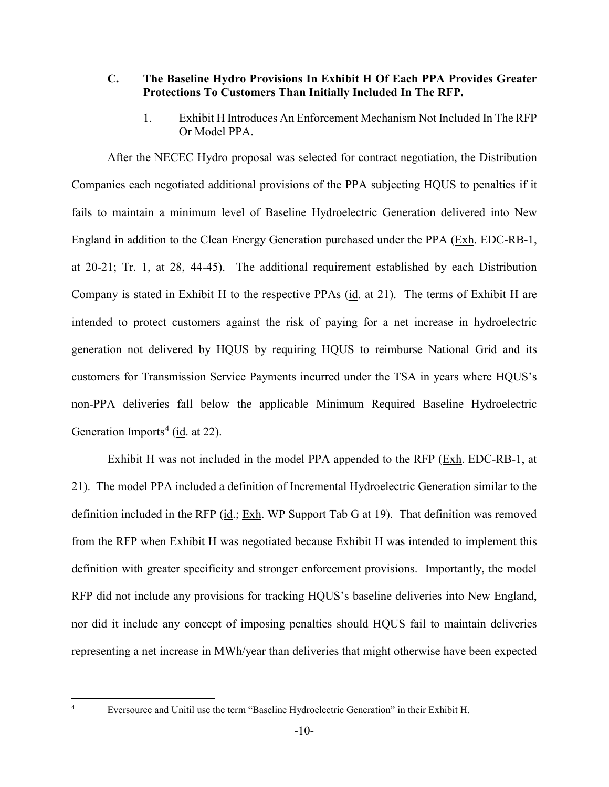## <span id="page-12-0"></span>**C. The Baseline Hydro Provisions In Exhibit H Of Each PPA Provides Greater Protections To Customers Than Initially Included In The RFP.**

1. Exhibit H Introduces An Enforcement Mechanism Not Included In The RFP Or Model PPA.

<span id="page-12-1"></span>After the NECEC Hydro proposal was selected for contract negotiation, the Distribution Companies each negotiated additional provisions of the PPA subjecting HQUS to penalties if it fails to maintain a minimum level of Baseline Hydroelectric Generation delivered into New England in addition to the Clean Energy Generation purchased under the PPA (Exh. EDC-RB-1, at 20-21; Tr. 1, at 28, 44-45). The additional requirement established by each Distribution Company is stated in Exhibit H to the respective PPAs (id. at 21). The terms of Exhibit H are intended to protect customers against the risk of paying for a net increase in hydroelectric generation not delivered by HQUS by requiring HQUS to reimburse National Grid and its customers for Transmission Service Payments incurred under the TSA in years where HQUS's non-PPA deliveries fall below the applicable Minimum Required Baseline Hydroelectric Generation Imports<sup>[4](#page-12-2)</sup> (id. at 22).

Exhibit H was not included in the model PPA appended to the RFP (Exh. EDC-RB-1, at 21). The model PPA included a definition of Incremental Hydroelectric Generation similar to the definition included in the RFP (id.; Exh. WP Support Tab G at 19). That definition was removed from the RFP when Exhibit H was negotiated because Exhibit H was intended to implement this definition with greater specificity and stronger enforcement provisions. Importantly, the model RFP did not include any provisions for tracking HQUS's baseline deliveries into New England, nor did it include any concept of imposing penalties should HQUS fail to maintain deliveries representing a net increase in MWh/year than deliveries that might otherwise have been expected

<span id="page-12-2"></span> <sup>4</sup> Eversource and Unitil use the term "Baseline Hydroelectric Generation" in their Exhibit H.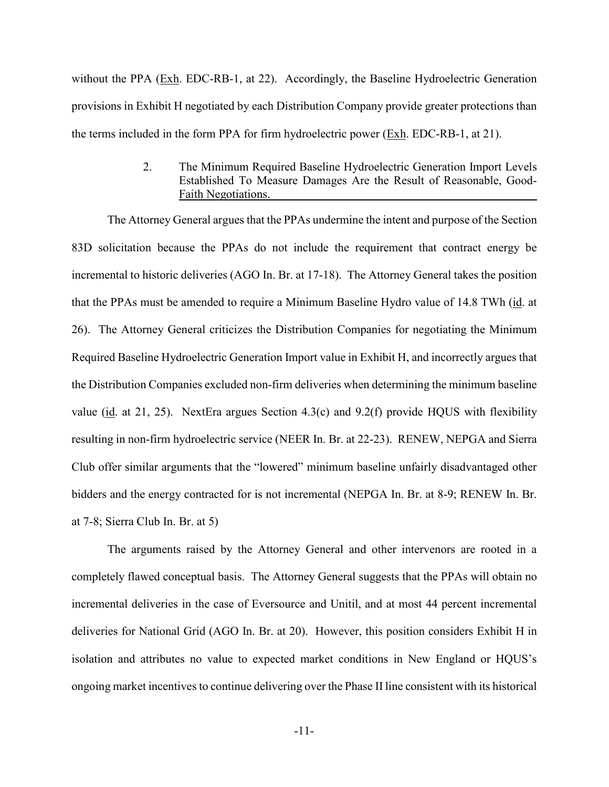without the PPA (Exh. EDC-RB-1, at 22). Accordingly, the Baseline Hydroelectric Generation provisions in Exhibit H negotiated by each Distribution Company provide greater protections than the terms included in the form PPA for firm hydroelectric power ( $Exh$ . EDC-RB-1, at 21).

> 2. The Minimum Required Baseline Hydroelectric Generation Import Levels Established To Measure Damages Are the Result of Reasonable, Good-Faith Negotiations.

<span id="page-13-0"></span>The Attorney General argues that the PPAs undermine the intent and purpose of the Section 83D solicitation because the PPAs do not include the requirement that contract energy be incremental to historic deliveries (AGO In. Br. at 17-18). The Attorney General takes the position that the PPAs must be amended to require a Minimum Baseline Hydro value of 14.8 TWh (id. at 26). The Attorney General criticizes the Distribution Companies for negotiating the Minimum Required Baseline Hydroelectric Generation Import value in Exhibit H, and incorrectly argues that the Distribution Companies excluded non-firm deliveries when determining the minimum baseline value (id. at 21, 25). NextEra argues Section 4.3(c) and 9.2(f) provide HQUS with flexibility resulting in non-firm hydroelectric service (NEER In. Br. at 22-23). RENEW, NEPGA and Sierra Club offer similar arguments that the "lowered" minimum baseline unfairly disadvantaged other bidders and the energy contracted for is not incremental (NEPGA In. Br. at 8-9; RENEW In. Br. at 7-8; Sierra Club In. Br. at 5)

The arguments raised by the Attorney General and other intervenors are rooted in a completely flawed conceptual basis. The Attorney General suggests that the PPAs will obtain no incremental deliveries in the case of Eversource and Unitil, and at most 44 percent incremental deliveries for National Grid (AGO In. Br. at 20). However, this position considers Exhibit H in isolation and attributes no value to expected market conditions in New England or HQUS's ongoing market incentives to continue delivering over the Phase II line consistent with its historical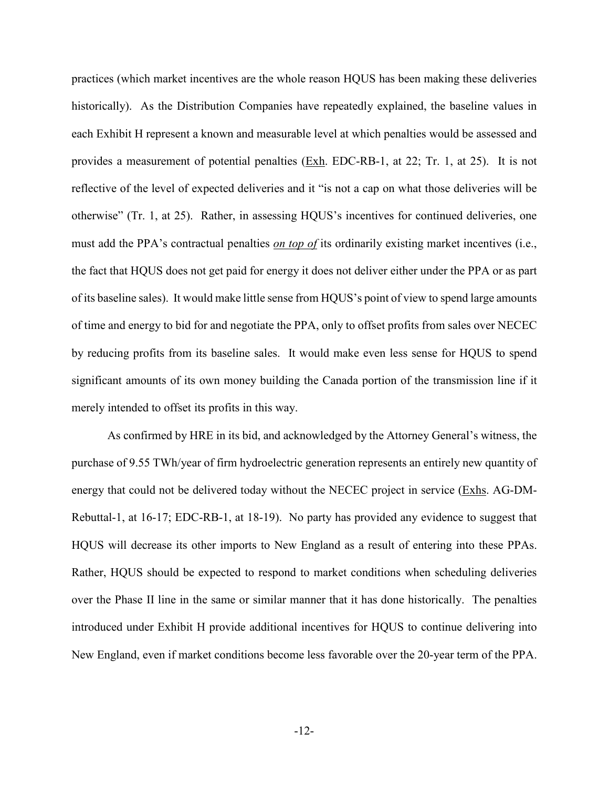practices (which market incentives are the whole reason HQUS has been making these deliveries historically). As the Distribution Companies have repeatedly explained, the baseline values in each Exhibit H represent a known and measurable level at which penalties would be assessed and provides a measurement of potential penalties (Exh. EDC-RB-1, at 22; Tr. 1, at 25). It is not reflective of the level of expected deliveries and it "is not a cap on what those deliveries will be otherwise" (Tr. 1, at 25). Rather, in assessing HQUS's incentives for continued deliveries, one must add the PPA's contractual penalties *on top of* its ordinarily existing market incentives (i.e., the fact that HQUS does not get paid for energy it does not deliver either under the PPA or as part of its baseline sales). It would make little sense from HQUS's point of view to spend large amounts of time and energy to bid for and negotiate the PPA, only to offset profits from sales over NECEC by reducing profits from its baseline sales. It would make even less sense for HQUS to spend significant amounts of its own money building the Canada portion of the transmission line if it merely intended to offset its profits in this way.

As confirmed by HRE in its bid, and acknowledged by the Attorney General's witness, the purchase of 9.55 TWh/year of firm hydroelectric generation represents an entirely new quantity of energy that could not be delivered today without the NECEC project in service (Exhs. AG-DM-Rebuttal-1, at 16-17; EDC-RB-1, at 18-19). No party has provided any evidence to suggest that HQUS will decrease its other imports to New England as a result of entering into these PPAs. Rather, HQUS should be expected to respond to market conditions when scheduling deliveries over the Phase II line in the same or similar manner that it has done historically. The penalties introduced under Exhibit H provide additional incentives for HQUS to continue delivering into New England, even if market conditions become less favorable over the 20-year term of the PPA.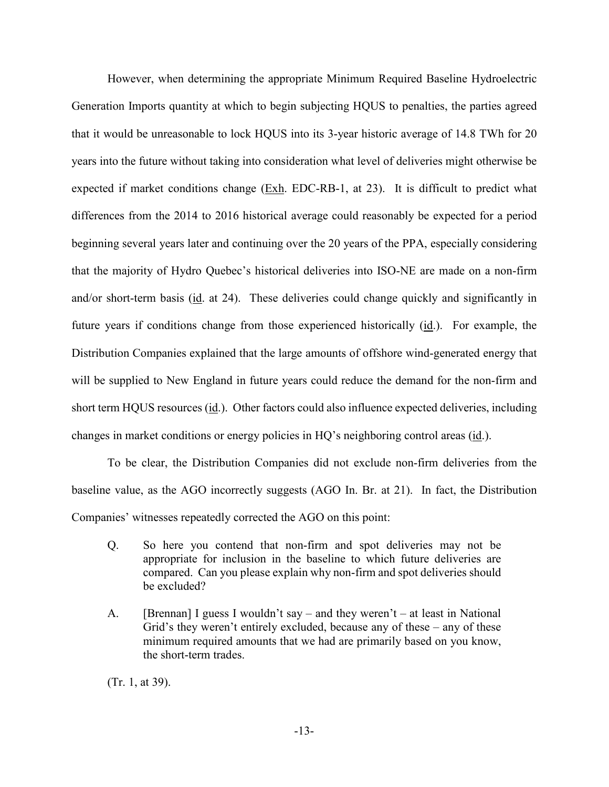However, when determining the appropriate Minimum Required Baseline Hydroelectric Generation Imports quantity at which to begin subjecting HQUS to penalties, the parties agreed that it would be unreasonable to lock HQUS into its 3-year historic average of 14.8 TWh for 20 years into the future without taking into consideration what level of deliveries might otherwise be expected if market conditions change  $(Exh. EDC-RB-1, at 23)$ . It is difficult to predict what differences from the 2014 to 2016 historical average could reasonably be expected for a period beginning several years later and continuing over the 20 years of the PPA, especially considering that the majority of Hydro Quebec's historical deliveries into ISO-NE are made on a non-firm and/or short-term basis (id. at 24). These deliveries could change quickly and significantly in future years if conditions change from those experienced historically (id.). For example, the Distribution Companies explained that the large amounts of offshore wind-generated energy that will be supplied to New England in future years could reduce the demand for the non-firm and short term HQUS resources (id.). Other factors could also influence expected deliveries, including changes in market conditions or energy policies in HQ's neighboring control areas (id.).

To be clear, the Distribution Companies did not exclude non-firm deliveries from the baseline value, as the AGO incorrectly suggests (AGO In. Br. at 21). In fact, the Distribution Companies' witnesses repeatedly corrected the AGO on this point:

- Q. So here you contend that non-firm and spot deliveries may not be appropriate for inclusion in the baseline to which future deliveries are compared. Can you please explain why non-firm and spot deliveries should be excluded?
- A. [Brennan] I guess I wouldn't say and they weren't at least in National Grid's they weren't entirely excluded, because any of these – any of these minimum required amounts that we had are primarily based on you know, the short-term trades.

(Tr. 1, at 39).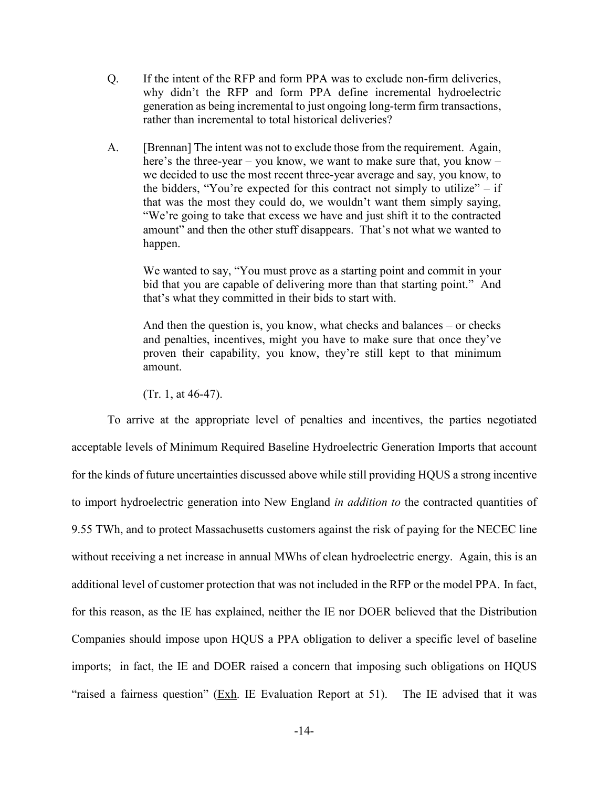- Q. If the intent of the RFP and form PPA was to exclude non-firm deliveries, why didn't the RFP and form PPA define incremental hydroelectric generation as being incremental to just ongoing long-term firm transactions, rather than incremental to total historical deliveries?
- A. [Brennan] The intent was not to exclude those from the requirement. Again, here's the three-year – you know, we want to make sure that, you know – we decided to use the most recent three-year average and say, you know, to the bidders, "You're expected for this contract not simply to utilize"  $-$  if that was the most they could do, we wouldn't want them simply saying, "We're going to take that excess we have and just shift it to the contracted amount" and then the other stuff disappears. That's not what we wanted to happen.

We wanted to say, "You must prove as a starting point and commit in your bid that you are capable of delivering more than that starting point." And that's what they committed in their bids to start with.

And then the question is, you know, what checks and balances – or checks and penalties, incentives, might you have to make sure that once they've proven their capability, you know, they're still kept to that minimum amount.

(Tr. 1, at 46-47).

To arrive at the appropriate level of penalties and incentives, the parties negotiated acceptable levels of Minimum Required Baseline Hydroelectric Generation Imports that account for the kinds of future uncertainties discussed above while still providing HQUS a strong incentive to import hydroelectric generation into New England *in addition to* the contracted quantities of 9.55 TWh, and to protect Massachusetts customers against the risk of paying for the NECEC line without receiving a net increase in annual MWhs of clean hydroelectric energy. Again, this is an additional level of customer protection that was not included in the RFP or the model PPA. In fact, for this reason, as the IE has explained, neither the IE nor DOER believed that the Distribution Companies should impose upon HQUS a PPA obligation to deliver a specific level of baseline imports; in fact, the IE and DOER raised a concern that imposing such obligations on HQUS "raised a fairness question" (Exh. IE Evaluation Report at 51). The IE advised that it was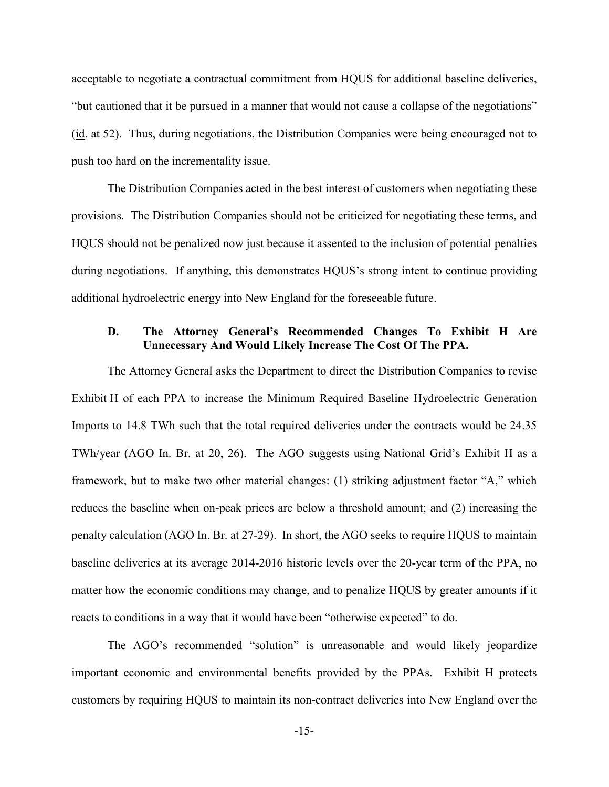acceptable to negotiate a contractual commitment from HQUS for additional baseline deliveries, "but cautioned that it be pursued in a manner that would not cause a collapse of the negotiations" (id. at 52). Thus, during negotiations, the Distribution Companies were being encouraged not to push too hard on the incrementality issue.

The Distribution Companies acted in the best interest of customers when negotiating these provisions. The Distribution Companies should not be criticized for negotiating these terms, and HQUS should not be penalized now just because it assented to the inclusion of potential penalties during negotiations. If anything, this demonstrates HQUS's strong intent to continue providing additional hydroelectric energy into New England for the foreseeable future.

## <span id="page-17-0"></span>**D. The Attorney General's Recommended Changes To Exhibit H Are Unnecessary And Would Likely Increase The Cost Of The PPA.**

The Attorney General asks the Department to direct the Distribution Companies to revise Exhibit H of each PPA to increase the Minimum Required Baseline Hydroelectric Generation Imports to 14.8 TWh such that the total required deliveries under the contracts would be 24.35 TWh/year (AGO In. Br. at 20, 26). The AGO suggests using National Grid's Exhibit H as a framework, but to make two other material changes: (1) striking adjustment factor "A," which reduces the baseline when on-peak prices are below a threshold amount; and (2) increasing the penalty calculation (AGO In. Br. at 27-29). In short, the AGO seeks to require HQUS to maintain baseline deliveries at its average 2014-2016 historic levels over the 20-year term of the PPA, no matter how the economic conditions may change, and to penalize HQUS by greater amounts if it reacts to conditions in a way that it would have been "otherwise expected" to do.

The AGO's recommended "solution" is unreasonable and would likely jeopardize important economic and environmental benefits provided by the PPAs. Exhibit H protects customers by requiring HQUS to maintain its non-contract deliveries into New England over the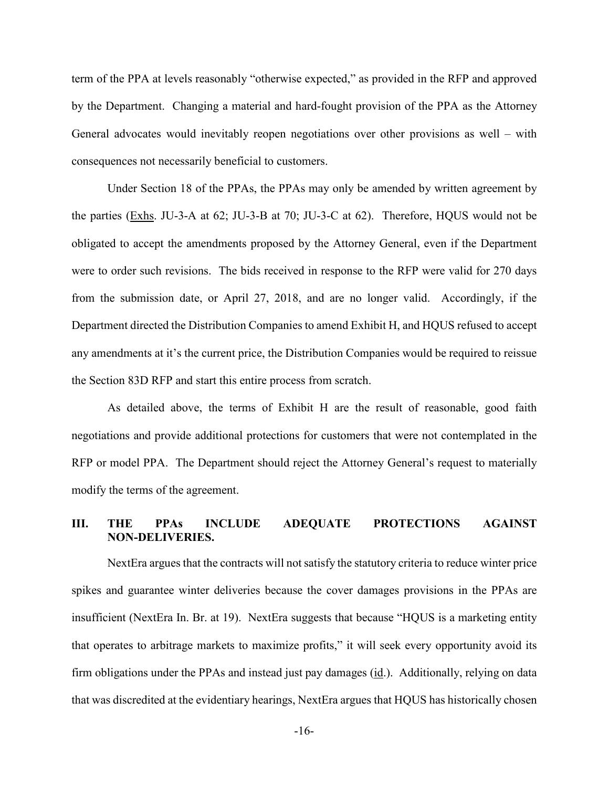term of the PPA at levels reasonably "otherwise expected," as provided in the RFP and approved by the Department. Changing a material and hard-fought provision of the PPA as the Attorney General advocates would inevitably reopen negotiations over other provisions as well – with consequences not necessarily beneficial to customers.

Under Section 18 of the PPAs, the PPAs may only be amended by written agreement by the parties (Exhs. JU-3-A at 62; JU-3-B at 70; JU-3-C at 62). Therefore, HQUS would not be obligated to accept the amendments proposed by the Attorney General, even if the Department were to order such revisions. The bids received in response to the RFP were valid for 270 days from the submission date, or April 27, 2018, and are no longer valid. Accordingly, if the Department directed the Distribution Companies to amend Exhibit H, and HQUS refused to accept any amendments at it's the current price, the Distribution Companies would be required to reissue the Section 83D RFP and start this entire process from scratch.

As detailed above, the terms of Exhibit H are the result of reasonable, good faith negotiations and provide additional protections for customers that were not contemplated in the RFP or model PPA. The Department should reject the Attorney General's request to materially modify the terms of the agreement.

## <span id="page-18-0"></span>**III. THE PPAs INCLUDE ADEQUATE PROTECTIONS AGAINST NON-DELIVERIES.**

NextEra argues that the contracts will not satisfy the statutory criteria to reduce winter price spikes and guarantee winter deliveries because the cover damages provisions in the PPAs are insufficient (NextEra In. Br. at 19). NextEra suggests that because "HQUS is a marketing entity that operates to arbitrage markets to maximize profits," it will seek every opportunity avoid its firm obligations under the PPAs and instead just pay damages (id.). Additionally, relying on data that was discredited at the evidentiary hearings, NextEra argues that HQUS has historically chosen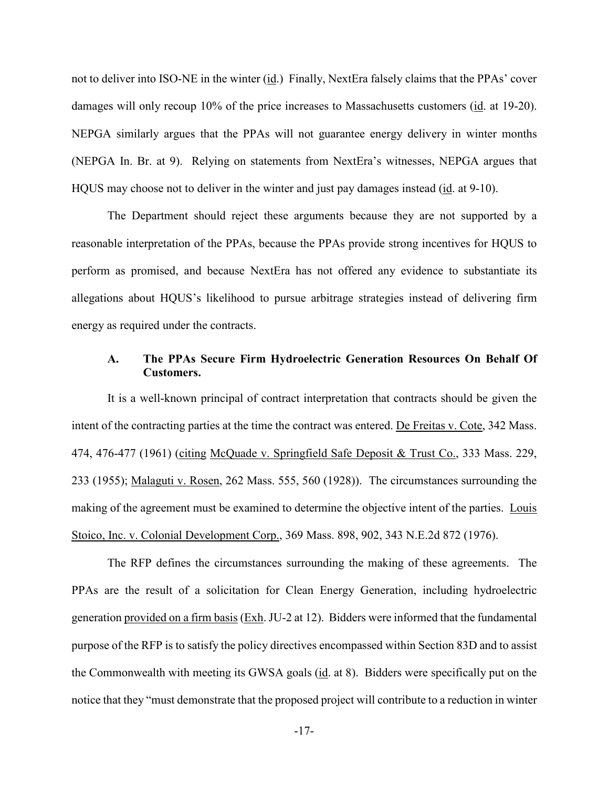not to deliver into ISO-NE in the winter (id.) Finally, NextEra falsely claims that the PPAs' cover damages will only recoup 10% of the price increases to Massachusetts customers (id. at 19-20). NEPGA similarly argues that the PPAs will not guarantee energy delivery in winter months (NEPGA In. Br. at 9). Relying on statements from NextEra's witnesses, NEPGA argues that HQUS may choose not to deliver in the winter and just pay damages instead (id. at 9-10).

The Department should reject these arguments because they are not supported by a reasonable interpretation of the PPAs, because the PPAs provide strong incentives for HQUS to perform as promised, and because NextEra has not offered any evidence to substantiate its allegations about HQUS's likelihood to pursue arbitrage strategies instead of delivering firm energy as required under the contracts.

#### <span id="page-19-0"></span>**A. The PPAs Secure Firm Hydroelectric Generation Resources On Behalf Of Customers.**

It is a well-known principal of contract interpretation that contracts should be given the intent of the contracting parties at the time the contract was entered. De Freitas v. Cote, 342 Mass. 474, 476-477 (1961) (citing McQuade v. Springfield Safe Deposit & Trust Co., 333 Mass. 229, 233 (1955); Malaguti v. Rosen, 262 Mass. 555, 560 (1928)). The circumstances surrounding the making of the agreement must be examined to determine the objective intent of the parties. Louis Stoico, Inc. v. Colonial Development Corp., 369 Mass. 898, 902, 343 N.E.2d 872 (1976).

The RFP defines the circumstances surrounding the making of these agreements. The PPAs are the result of a solicitation for Clean Energy Generation, including hydroelectric generation provided on a firm basis (Exh. JU-2 at 12). Bidders were informed that the fundamental purpose of the RFP is to satisfy the policy directives encompassed within Section 83D and to assist the Commonwealth with meeting its GWSA goals (id. at 8). Bidders were specifically put on the notice that they "must demonstrate that the proposed project will contribute to a reduction in winter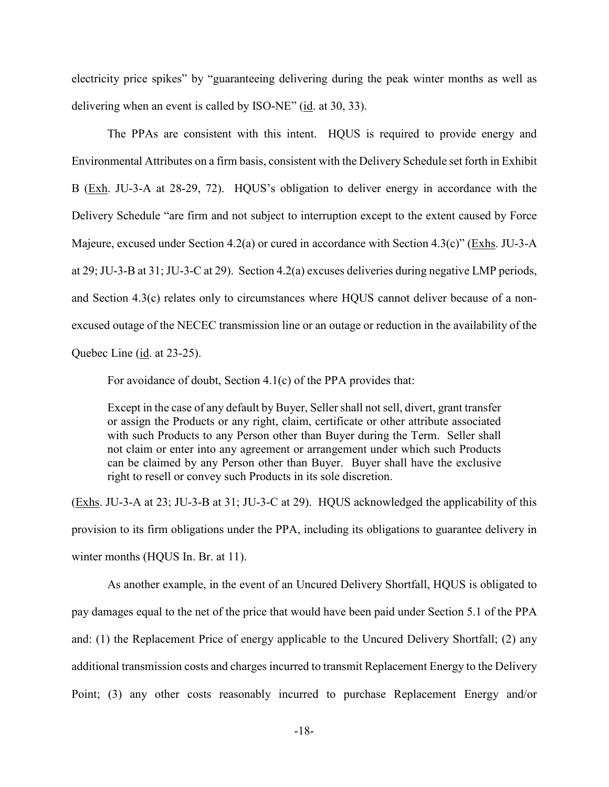electricity price spikes" by "guaranteeing delivering during the peak winter months as well as delivering when an event is called by ISO-NE" (id. at 30, 33).

The PPAs are consistent with this intent. HQUS is required to provide energy and Environmental Attributes on a firm basis, consistent with the Delivery Schedule set forth in Exhibit B (Exh. JU-3-A at 28-29, 72). HQUS's obligation to deliver energy in accordance with the Delivery Schedule "are firm and not subject to interruption except to the extent caused by Force Majeure, excused under Section 4.2(a) or cured in accordance with Section 4.3(c)" (Exhs. JU-3-A at 29; JU-3-B at 31; JU-3-C at 29). Section 4.2(a) excuses deliveries during negative LMP periods, and Section 4.3(c) relates only to circumstances where HQUS cannot deliver because of a nonexcused outage of the NECEC transmission line or an outage or reduction in the availability of the Quebec Line (id. at 23-25).

For avoidance of doubt, Section 4.1(c) of the PPA provides that:

Except in the case of any default by Buyer, Seller shall not sell, divert, grant transfer or assign the Products or any right, claim, certificate or other attribute associated with such Products to any Person other than Buyer during the Term. Seller shall not claim or enter into any agreement or arrangement under which such Products can be claimed by any Person other than Buyer. Buyer shall have the exclusive right to resell or convey such Products in its sole discretion.

(Exhs. JU-3-A at 23; JU-3-B at 31; JU-3-C at 29). HQUS acknowledged the applicability of this provision to its firm obligations under the PPA, including its obligations to guarantee delivery in winter months (HQUS In. Br. at 11).

As another example, in the event of an Uncured Delivery Shortfall, HQUS is obligated to pay damages equal to the net of the price that would have been paid under Section 5.1 of the PPA and: (1) the Replacement Price of energy applicable to the Uncured Delivery Shortfall; (2) any additional transmission costs and charges incurred to transmit Replacement Energy to the Delivery Point; (3) any other costs reasonably incurred to purchase Replacement Energy and/or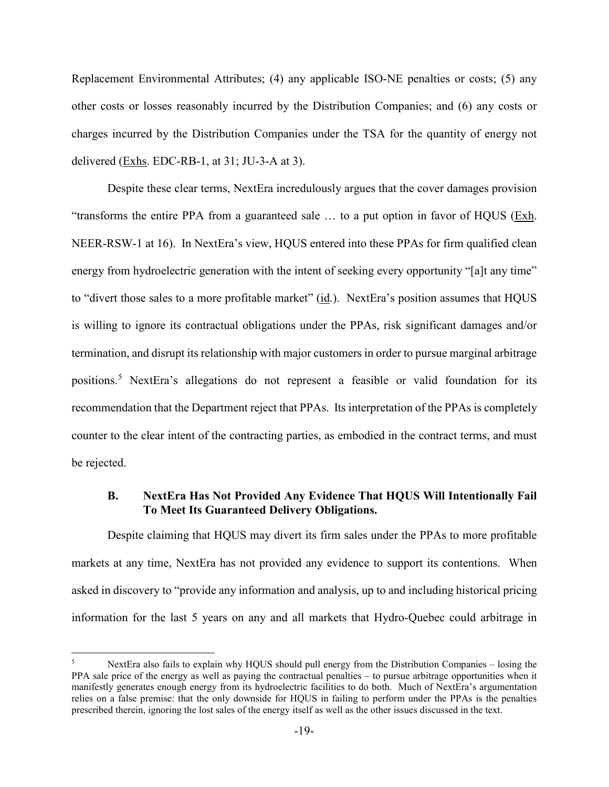Replacement Environmental Attributes; (4) any applicable ISO-NE penalties or costs; (5) any other costs or losses reasonably incurred by the Distribution Companies; and (6) any costs or charges incurred by the Distribution Companies under the TSA for the quantity of energy not delivered (Exhs. EDC-RB-1, at 31; JU-3-A at 3).

Despite these clear terms, NextEra incredulously argues that the cover damages provision "transforms the entire PPA from a guaranteed sale  $\ldots$  to a put option in favor of HQUS ( $\underline{Exh}$ . NEER-RSW-1 at 16). In NextEra's view, HQUS entered into these PPAs for firm qualified clean energy from hydroelectric generation with the intent of seeking every opportunity "[a]t any time" to "divert those sales to a more profitable market" (id.). NextEra's position assumes that HQUS is willing to ignore its contractual obligations under the PPAs, risk significant damages and/or termination, and disrupt its relationship with major customers in order to pursue marginal arbitrage positions.[5](#page-21-1) NextEra's allegations do not represent a feasible or valid foundation for its recommendation that the Department reject that PPAs. Its interpretation of the PPAs is completely counter to the clear intent of the contracting parties, as embodied in the contract terms, and must be rejected.

## <span id="page-21-0"></span>**B. NextEra Has Not Provided Any Evidence That HQUS Will Intentionally Fail To Meet Its Guaranteed Delivery Obligations.**

Despite claiming that HQUS may divert its firm sales under the PPAs to more profitable markets at any time, NextEra has not provided any evidence to support its contentions. When asked in discovery to "provide any information and analysis, up to and including historical pricing information for the last 5 years on any and all markets that Hydro-Quebec could arbitrage in

<span id="page-21-1"></span>NextEra also fails to explain why HQUS should pull energy from the Distribution Companies – losing the PPA sale price of the energy as well as paying the contractual penalties – to pursue arbitrage opportunities when it manifestly generates enough energy from its hydroelectric facilities to do both. Much of NextEra's argumentation relies on a false premise: that the only downside for HQUS in failing to perform under the PPAs is the penalties prescribed therein, ignoring the lost sales of the energy itself as well as the other issues discussed in the text.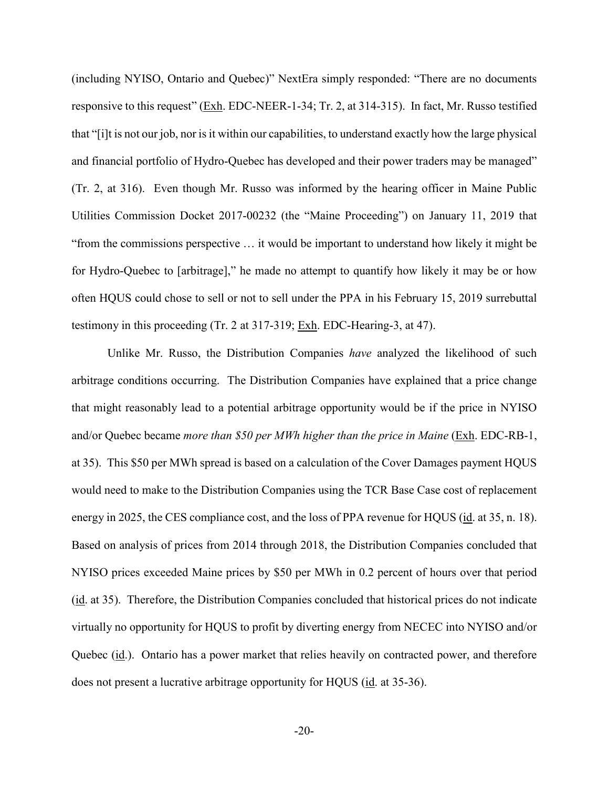(including NYISO, Ontario and Quebec)" NextEra simply responded: "There are no documents responsive to this request" (Exh. EDC-NEER-1-34; Tr. 2, at 314-315). In fact, Mr. Russo testified that "[i]t is not our job, nor is it within our capabilities, to understand exactly how the large physical and financial portfolio of Hydro-Quebec has developed and their power traders may be managed" (Tr. 2, at 316). Even though Mr. Russo was informed by the hearing officer in Maine Public Utilities Commission Docket 2017-00232 (the "Maine Proceeding") on January 11, 2019 that "from the commissions perspective … it would be important to understand how likely it might be for Hydro-Quebec to [arbitrage]," he made no attempt to quantify how likely it may be or how often HQUS could chose to sell or not to sell under the PPA in his February 15, 2019 surrebuttal testimony in this proceeding (Tr. 2 at 317-319; Exh. EDC-Hearing-3, at 47).

Unlike Mr. Russo, the Distribution Companies *have* analyzed the likelihood of such arbitrage conditions occurring. The Distribution Companies have explained that a price change that might reasonably lead to a potential arbitrage opportunity would be if the price in NYISO and/or Quebec became *more than \$50 per MWh higher than the price in Maine* (Exh. EDC-RB-1, at 35). This \$50 per MWh spread is based on a calculation of the Cover Damages payment HQUS would need to make to the Distribution Companies using the TCR Base Case cost of replacement energy in 2025, the CES compliance cost, and the loss of PPA revenue for HQUS (id. at 35, n. 18). Based on analysis of prices from 2014 through 2018, the Distribution Companies concluded that NYISO prices exceeded Maine prices by \$50 per MWh in 0.2 percent of hours over that period (id. at 35). Therefore, the Distribution Companies concluded that historical prices do not indicate virtually no opportunity for HQUS to profit by diverting energy from NECEC into NYISO and/or Quebec (id.). Ontario has a power market that relies heavily on contracted power, and therefore does not present a lucrative arbitrage opportunity for HQUS (id. at 35-36).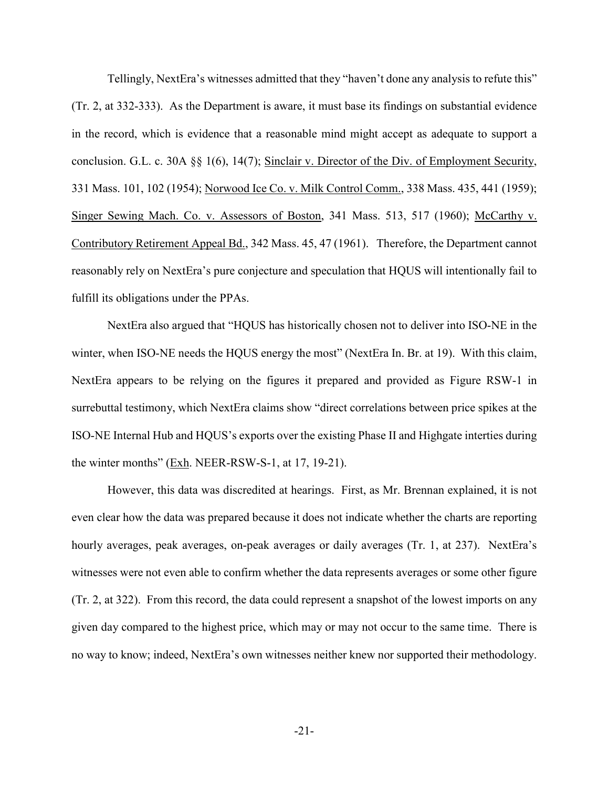Tellingly, NextEra's witnesses admitted that they "haven't done any analysis to refute this" (Tr. 2, at 332-333). As the Department is aware, it must base its findings on substantial evidence in the record, which is evidence that a reasonable mind might accept as adequate to support a conclusion. G.L. c. 30A §§ 1(6), 14(7); Sinclair v. Director of the Div. of Employment Security, 331 Mass. 101, 102 (1954); Norwood Ice Co. v. Milk Control Comm., 338 Mass. 435, 441 (1959); Singer Sewing Mach. Co. v. Assessors of Boston, 341 Mass. 513, 517 (1960); McCarthy v. Contributory Retirement Appeal Bd., 342 Mass. 45, 47 (1961). Therefore, the Department cannot reasonably rely on NextEra's pure conjecture and speculation that HQUS will intentionally fail to fulfill its obligations under the PPAs.

NextEra also argued that "HQUS has historically chosen not to deliver into ISO-NE in the winter, when ISO-NE needs the HQUS energy the most" (NextEra In. Br. at 19). With this claim, NextEra appears to be relying on the figures it prepared and provided as Figure RSW-1 in surrebuttal testimony, which NextEra claims show "direct correlations between price spikes at the ISO-NE Internal Hub and HQUS's exports over the existing Phase II and Highgate interties during the winter months" ( $Exh$ . NEER-RSW-S-1, at 17, 19-21).

However, this data was discredited at hearings. First, as Mr. Brennan explained, it is not even clear how the data was prepared because it does not indicate whether the charts are reporting hourly averages, peak averages, on-peak averages or daily averages (Tr. 1, at 237). NextEra's witnesses were not even able to confirm whether the data represents averages or some other figure (Tr. 2, at 322). From this record, the data could represent a snapshot of the lowest imports on any given day compared to the highest price, which may or may not occur to the same time. There is no way to know; indeed, NextEra's own witnesses neither knew nor supported their methodology.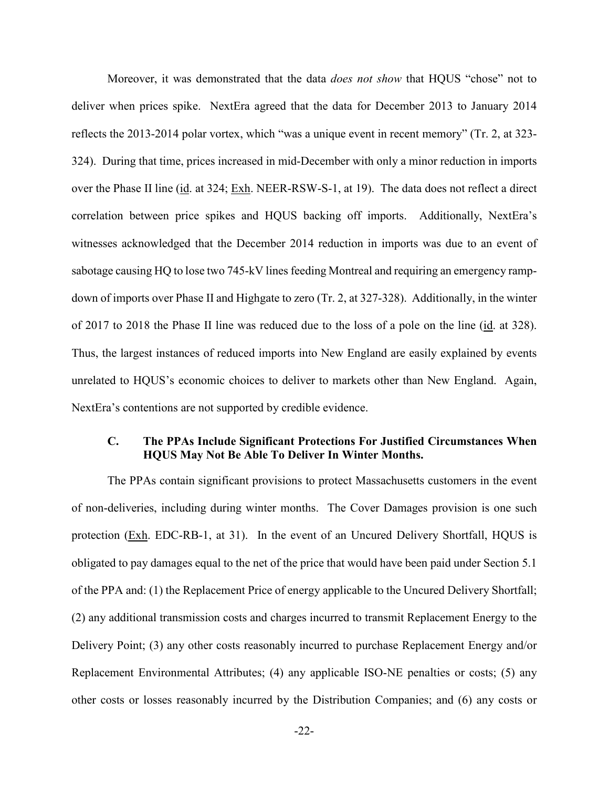Moreover, it was demonstrated that the data *does not show* that HQUS "chose" not to deliver when prices spike. NextEra agreed that the data for December 2013 to January 2014 reflects the 2013-2014 polar vortex, which "was a unique event in recent memory" (Tr. 2, at 323- 324). During that time, prices increased in mid-December with only a minor reduction in imports over the Phase II line (id. at 324; Exh. NEER-RSW-S-1, at 19). The data does not reflect a direct correlation between price spikes and HQUS backing off imports. Additionally, NextEra's witnesses acknowledged that the December 2014 reduction in imports was due to an event of sabotage causing HQ to lose two 745-kV lines feeding Montreal and requiring an emergency rampdown of imports over Phase II and Highgate to zero (Tr. 2, at 327-328). Additionally, in the winter of 2017 to 2018 the Phase II line was reduced due to the loss of a pole on the line (id. at 328). Thus, the largest instances of reduced imports into New England are easily explained by events unrelated to HQUS's economic choices to deliver to markets other than New England. Again, NextEra's contentions are not supported by credible evidence.

# <span id="page-24-0"></span>**C. The PPAs Include Significant Protections For Justified Circumstances When HQUS May Not Be Able To Deliver In Winter Months.**

The PPAs contain significant provisions to protect Massachusetts customers in the event of non-deliveries, including during winter months. The Cover Damages provision is one such protection (Exh. EDC-RB-1, at 31). In the event of an Uncured Delivery Shortfall, HQUS is obligated to pay damages equal to the net of the price that would have been paid under Section 5.1 of the PPA and: (1) the Replacement Price of energy applicable to the Uncured Delivery Shortfall; (2) any additional transmission costs and charges incurred to transmit Replacement Energy to the Delivery Point; (3) any other costs reasonably incurred to purchase Replacement Energy and/or Replacement Environmental Attributes; (4) any applicable ISO-NE penalties or costs; (5) any other costs or losses reasonably incurred by the Distribution Companies; and (6) any costs or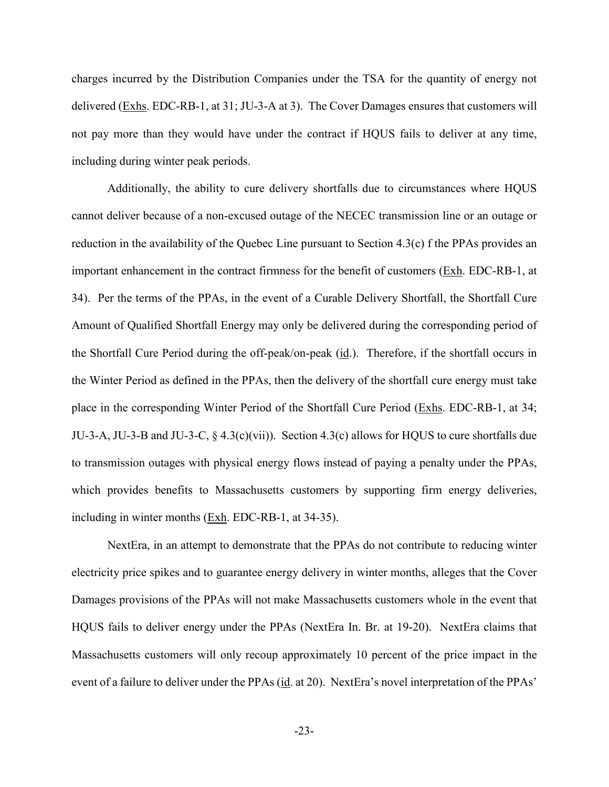charges incurred by the Distribution Companies under the TSA for the quantity of energy not delivered (Exhs. EDC-RB-1, at 31; JU-3-A at 3). The Cover Damages ensures that customers will not pay more than they would have under the contract if HQUS fails to deliver at any time, including during winter peak periods.

Additionally, the ability to cure delivery shortfalls due to circumstances where HQUS cannot deliver because of a non-excused outage of the NECEC transmission line or an outage or reduction in the availability of the Quebec Line pursuant to Section 4.3(c) f the PPAs provides an important enhancement in the contract firmness for the benefit of customers (Exh. EDC-RB-1, at 34). Per the terms of the PPAs, in the event of a Curable Delivery Shortfall, the Shortfall Cure Amount of Qualified Shortfall Energy may only be delivered during the corresponding period of the Shortfall Cure Period during the off-peak/on-peak (id.). Therefore, if the shortfall occurs in the Winter Period as defined in the PPAs, then the delivery of the shortfall cure energy must take place in the corresponding Winter Period of the Shortfall Cure Period (Exhs. EDC-RB-1, at 34; JU-3-A, JU-3-B and JU-3-C,  $\S$  4.3(c)(vii)). Section 4.3(c) allows for HQUS to cure shortfalls due to transmission outages with physical energy flows instead of paying a penalty under the PPAs, which provides benefits to Massachusetts customers by supporting firm energy deliveries, including in winter months  $(Exh. EDC-RB-1, at 34-35).$ 

NextEra, in an attempt to demonstrate that the PPAs do not contribute to reducing winter electricity price spikes and to guarantee energy delivery in winter months, alleges that the Cover Damages provisions of the PPAs will not make Massachusetts customers whole in the event that HQUS fails to deliver energy under the PPAs (NextEra In. Br. at 19-20). NextEra claims that Massachusetts customers will only recoup approximately 10 percent of the price impact in the event of a failure to deliver under the PPAs (id. at 20). NextEra's novel interpretation of the PPAs'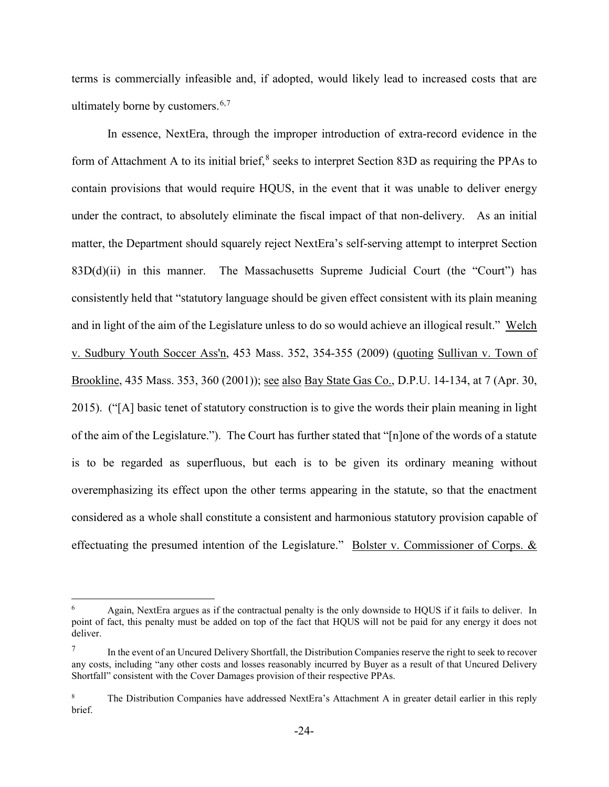terms is commercially infeasible and, if adopted, would likely lead to increased costs that are ultimately borne by customers.  $6,7$  $6,7$  $6,7$ 

In essence, NextEra, through the improper introduction of extra-record evidence in the form of Attachment A to its initial brief, $8$  seeks to interpret Section 83D as requiring the PPAs to contain provisions that would require HQUS, in the event that it was unable to deliver energy under the contract, to absolutely eliminate the fiscal impact of that non-delivery. As an initial matter, the Department should squarely reject NextEra's self-serving attempt to interpret Section  $83D(d)(ii)$  in this manner. The Massachusetts Supreme Judicial Court (the "Court") has consistently held that "statutory language should be given effect consistent with its plain meaning and in light of the aim of the Legislature unless to do so would achieve an illogical result." Welch v. Sudbury Youth Soccer Ass'n, 453 Mass. 352, 354-355 (2009) (quoting Sullivan v. Town of Brookline, 435 Mass. 353, 360 (2001)); see also Bay State Gas Co., D.P.U. 14-134, at 7 (Apr. 30, 2015). ("[A] basic tenet of statutory construction is to give the words their plain meaning in light of the aim of the Legislature."). The Court has further stated that "[n]one of the words of a statute is to be regarded as superfluous, but each is to be given its ordinary meaning without overemphasizing its effect upon the other terms appearing in the statute, so that the enactment considered as a whole shall constitute a consistent and harmonious statutory provision capable of effectuating the presumed intention of the Legislature." Bolster v. Commissioner of Corps. &

<span id="page-26-0"></span> <sup>6</sup> Again, NextEra argues as if the contractual penalty is the only downside to HQUS if it fails to deliver. In point of fact, this penalty must be added on top of the fact that HQUS will not be paid for any energy it does not deliver.

<span id="page-26-1"></span>In the event of an Uncured Delivery Shortfall, the Distribution Companies reserve the right to seek to recover any costs, including "any other costs and losses reasonably incurred by Buyer as a result of that Uncured Delivery Shortfall" consistent with the Cover Damages provision of their respective PPAs.

<span id="page-26-2"></span><sup>&</sup>lt;sup>8</sup> The Distribution Companies have addressed NextEra's Attachment A in greater detail earlier in this reply brief.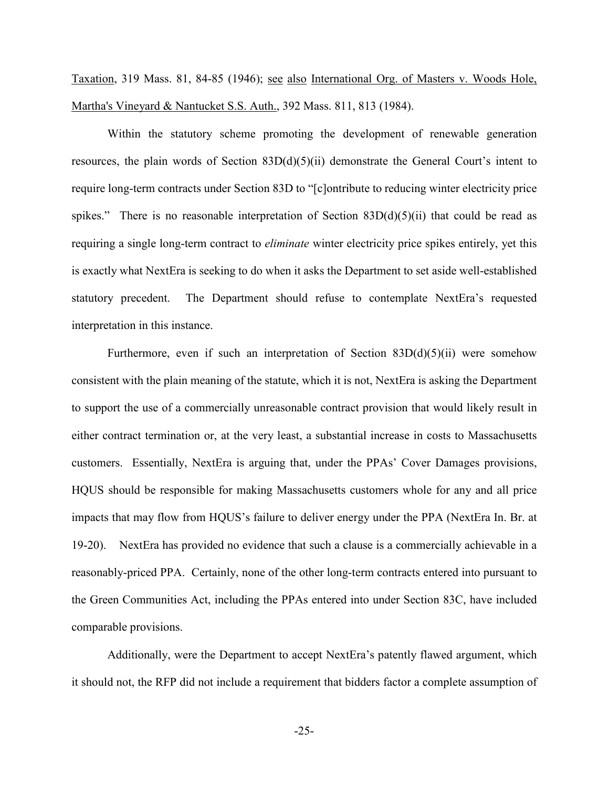Taxation, 319 Mass. 81, 84-85 (1946); see also International Org. of Masters v. Woods Hole, Martha's Vineyard & Nantucket S.S. Auth., 392 Mass. 811, 813 (1984).

Within the statutory scheme promoting the development of renewable generation resources, the plain words of Section  $83D(d)(5)(ii)$  demonstrate the General Court's intent to require long-term contracts under Section 83D to "[c]ontribute to reducing winter electricity price spikes." There is no reasonable interpretation of Section  $83D(d)(5)(ii)$  that could be read as requiring a single long-term contract to *eliminate* winter electricity price spikes entirely, yet this is exactly what NextEra is seeking to do when it asks the Department to set aside well-established statutory precedent. The Department should refuse to contemplate NextEra's requested interpretation in this instance.

Furthermore, even if such an interpretation of Section  $83D(d)(5)(ii)$  were somehow consistent with the plain meaning of the statute, which it is not, NextEra is asking the Department to support the use of a commercially unreasonable contract provision that would likely result in either contract termination or, at the very least, a substantial increase in costs to Massachusetts customers. Essentially, NextEra is arguing that, under the PPAs' Cover Damages provisions, HQUS should be responsible for making Massachusetts customers whole for any and all price impacts that may flow from HQUS's failure to deliver energy under the PPA (NextEra In. Br. at 19-20). NextEra has provided no evidence that such a clause is a commercially achievable in a reasonably-priced PPA. Certainly, none of the other long-term contracts entered into pursuant to the Green Communities Act, including the PPAs entered into under Section 83C, have included comparable provisions.

Additionally, were the Department to accept NextEra's patently flawed argument, which it should not, the RFP did not include a requirement that bidders factor a complete assumption of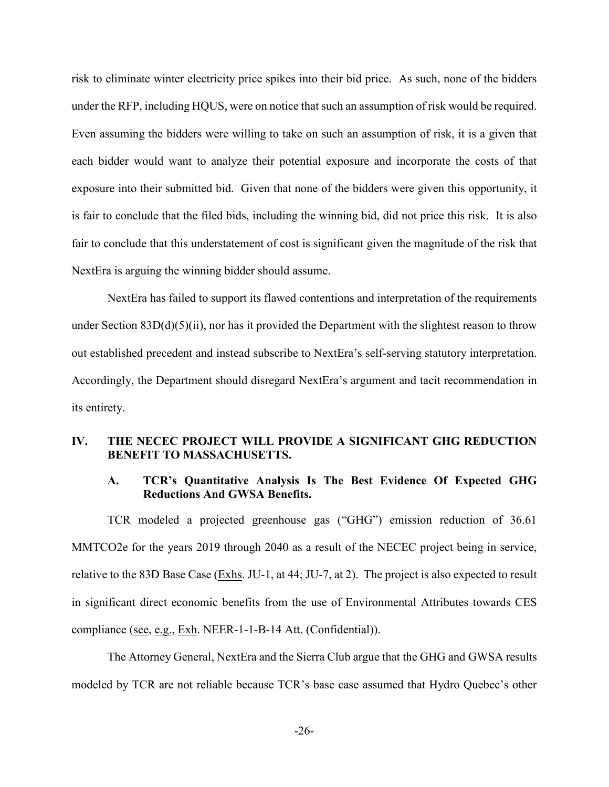risk to eliminate winter electricity price spikes into their bid price. As such, none of the bidders under the RFP, including HQUS, were on notice that such an assumption of risk would be required. Even assuming the bidders were willing to take on such an assumption of risk, it is a given that each bidder would want to analyze their potential exposure and incorporate the costs of that exposure into their submitted bid. Given that none of the bidders were given this opportunity, it is fair to conclude that the filed bids, including the winning bid, did not price this risk. It is also fair to conclude that this understatement of cost is significant given the magnitude of the risk that NextEra is arguing the winning bidder should assume.

NextEra has failed to support its flawed contentions and interpretation of the requirements under Section 83D(d)(5)(ii), nor has it provided the Department with the slightest reason to throw out established precedent and instead subscribe to NextEra's self-serving statutory interpretation. Accordingly, the Department should disregard NextEra's argument and tacit recommendation in its entirety.

## <span id="page-28-1"></span><span id="page-28-0"></span>**IV. THE NECEC PROJECT WILL PROVIDE A SIGNIFICANT GHG REDUCTION BENEFIT TO MASSACHUSETTS.**

## **A. TCR's Quantitative Analysis Is The Best Evidence Of Expected GHG Reductions And GWSA Benefits.**

TCR modeled a projected greenhouse gas ("GHG") emission reduction of 36.61 MMTCO2e for the years 2019 through 2040 as a result of the NECEC project being in service, relative to the 83D Base Case (Exhs. JU-1, at 44; JU-7, at 2). The project is also expected to result in significant direct economic benefits from the use of Environmental Attributes towards CES compliance (see, e.g., Exh. NEER-1-1-B-14 Att. (Confidential)).

The Attorney General, NextEra and the Sierra Club argue that the GHG and GWSA results modeled by TCR are not reliable because TCR's base case assumed that Hydro Quebec's other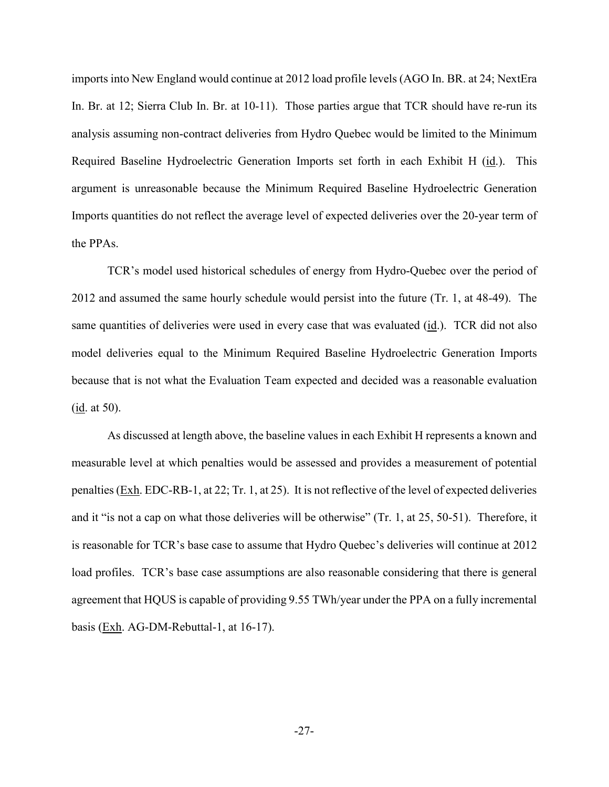imports into New England would continue at 2012 load profile levels (AGO In. BR. at 24; NextEra In. Br. at 12; Sierra Club In. Br. at 10-11). Those parties argue that TCR should have re-run its analysis assuming non-contract deliveries from Hydro Quebec would be limited to the Minimum Required Baseline Hydroelectric Generation Imports set forth in each Exhibit H (id.). This argument is unreasonable because the Minimum Required Baseline Hydroelectric Generation Imports quantities do not reflect the average level of expected deliveries over the 20-year term of the PPAs.

TCR's model used historical schedules of energy from Hydro-Quebec over the period of 2012 and assumed the same hourly schedule would persist into the future (Tr. 1, at 48-49). The same quantities of deliveries were used in every case that was evaluated (id.). TCR did not also model deliveries equal to the Minimum Required Baseline Hydroelectric Generation Imports because that is not what the Evaluation Team expected and decided was a reasonable evaluation (id. at 50).

As discussed at length above, the baseline values in each Exhibit H represents a known and measurable level at which penalties would be assessed and provides a measurement of potential penalties (Exh. EDC-RB-1, at 22; Tr. 1, at 25). It is not reflective of the level of expected deliveries and it "is not a cap on what those deliveries will be otherwise" (Tr. 1, at 25, 50-51). Therefore, it is reasonable for TCR's base case to assume that Hydro Quebec's deliveries will continue at 2012 load profiles. TCR's base case assumptions are also reasonable considering that there is general agreement that HQUS is capable of providing 9.55 TWh/year under the PPA on a fully incremental basis (Exh. AG-DM-Rebuttal-1, at 16-17).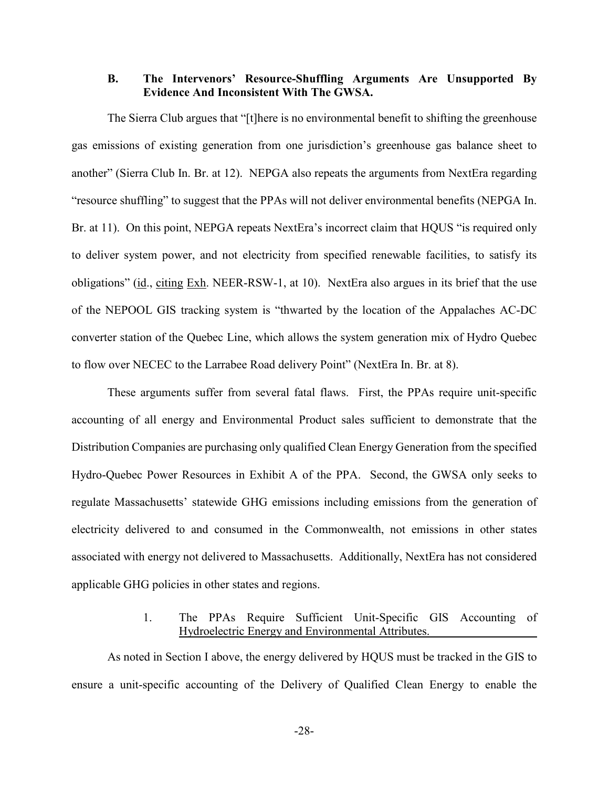## <span id="page-30-0"></span>**B. The Intervenors' Resource-Shuffling Arguments Are Unsupported By Evidence And Inconsistent With The GWSA.**

The Sierra Club argues that "[t]here is no environmental benefit to shifting the greenhouse gas emissions of existing generation from one jurisdiction's greenhouse gas balance sheet to another" (Sierra Club In. Br. at 12). NEPGA also repeats the arguments from NextEra regarding "resource shuffling" to suggest that the PPAs will not deliver environmental benefits (NEPGA In. Br. at 11). On this point, NEPGA repeats NextEra's incorrect claim that HQUS "is required only to deliver system power, and not electricity from specified renewable facilities, to satisfy its obligations" (id., citing Exh. NEER-RSW-1, at 10). NextEra also argues in its brief that the use of the NEPOOL GIS tracking system is "thwarted by the location of the Appalaches AC-DC converter station of the Quebec Line, which allows the system generation mix of Hydro Quebec to flow over NECEC to the Larrabee Road delivery Point" (NextEra In. Br. at 8).

These arguments suffer from several fatal flaws. First, the PPAs require unit-specific accounting of all energy and Environmental Product sales sufficient to demonstrate that the Distribution Companies are purchasing only qualified Clean Energy Generation from the specified Hydro-Quebec Power Resources in Exhibit A of the PPA. Second, the GWSA only seeks to regulate Massachusetts' statewide GHG emissions including emissions from the generation of electricity delivered to and consumed in the Commonwealth, not emissions in other states associated with energy not delivered to Massachusetts. Additionally, NextEra has not considered applicable GHG policies in other states and regions.

# 1. The PPAs Require Sufficient Unit-Specific GIS Accounting of Hydroelectric Energy and Environmental Attributes.

<span id="page-30-1"></span>As noted in Section I above, the energy delivered by HQUS must be tracked in the GIS to ensure a unit-specific accounting of the Delivery of Qualified Clean Energy to enable the

-28-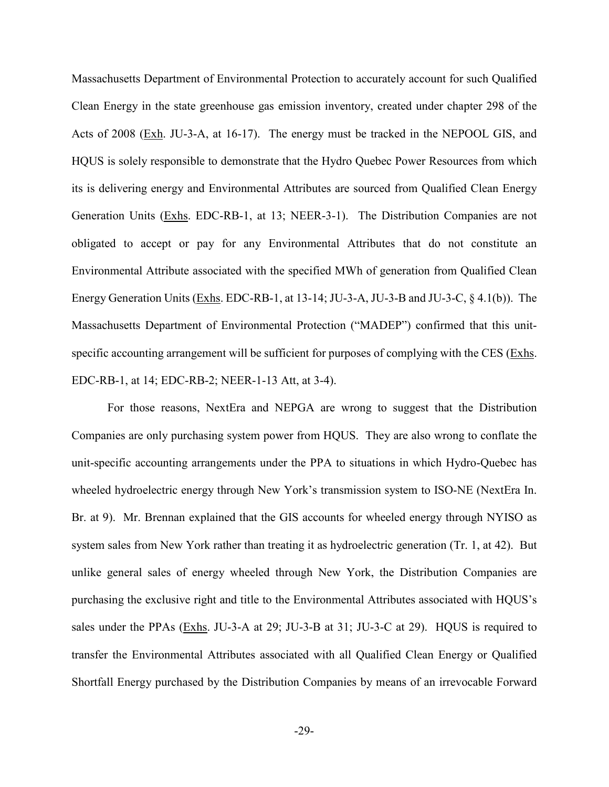Massachusetts Department of Environmental Protection to accurately account for such Qualified Clean Energy in the state greenhouse gas emission inventory, created under chapter 298 of the Acts of 2008 (Exh. JU-3-A, at 16-17). The energy must be tracked in the NEPOOL GIS, and HQUS is solely responsible to demonstrate that the Hydro Quebec Power Resources from which its is delivering energy and Environmental Attributes are sourced from Qualified Clean Energy Generation Units (Exhs. EDC-RB-1, at 13; NEER-3-1). The Distribution Companies are not obligated to accept or pay for any Environmental Attributes that do not constitute an Environmental Attribute associated with the specified MWh of generation from Qualified Clean Energy Generation Units (Exhs. EDC-RB-1, at 13-14; JU-3-A, JU-3-B and JU-3-C, § 4.1(b)). The Massachusetts Department of Environmental Protection ("MADEP") confirmed that this unitspecific accounting arrangement will be sufficient for purposes of complying with the CES (Exhs. EDC-RB-1, at 14; EDC-RB-2; NEER-1-13 Att, at 3-4).

For those reasons, NextEra and NEPGA are wrong to suggest that the Distribution Companies are only purchasing system power from HQUS. They are also wrong to conflate the unit-specific accounting arrangements under the PPA to situations in which Hydro-Quebec has wheeled hydroelectric energy through New York's transmission system to ISO-NE (NextEra In. Br. at 9). Mr. Brennan explained that the GIS accounts for wheeled energy through NYISO as system sales from New York rather than treating it as hydroelectric generation (Tr. 1, at 42). But unlike general sales of energy wheeled through New York, the Distribution Companies are purchasing the exclusive right and title to the Environmental Attributes associated with HQUS's sales under the PPAs (Exhs. JU-3-A at 29; JU-3-B at 31; JU-3-C at 29). HQUS is required to transfer the Environmental Attributes associated with all Qualified Clean Energy or Qualified Shortfall Energy purchased by the Distribution Companies by means of an irrevocable Forward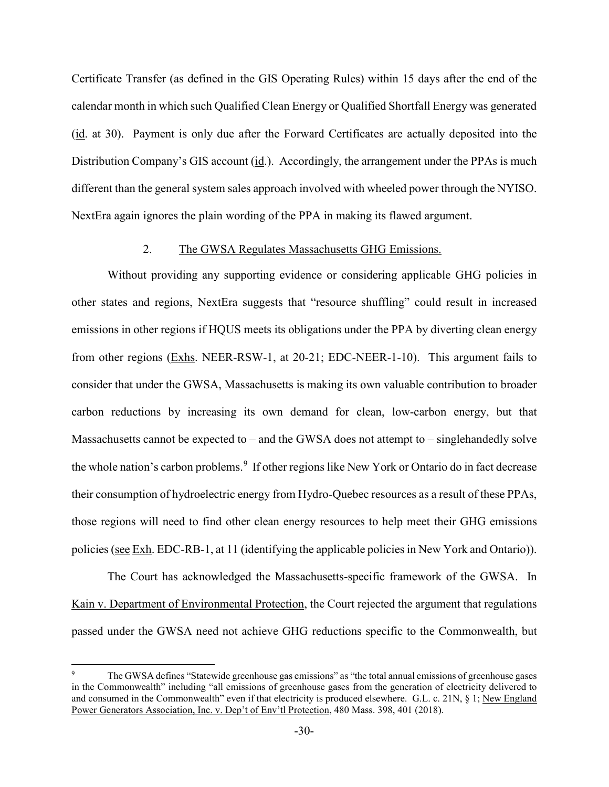Certificate Transfer (as defined in the GIS Operating Rules) within 15 days after the end of the calendar month in which such Qualified Clean Energy or Qualified Shortfall Energy was generated (id. at 30). Payment is only due after the Forward Certificates are actually deposited into the Distribution Company's GIS account (id.). Accordingly, the arrangement under the PPAs is much different than the general system sales approach involved with wheeled power through the NYISO. NextEra again ignores the plain wording of the PPA in making its flawed argument.

#### 2. The GWSA Regulates Massachusetts GHG Emissions.

<span id="page-32-0"></span>Without providing any supporting evidence or considering applicable GHG policies in other states and regions, NextEra suggests that "resource shuffling" could result in increased emissions in other regions if HQUS meets its obligations under the PPA by diverting clean energy from other regions (Exhs. NEER-RSW-1, at 20-21; EDC-NEER-1-10). This argument fails to consider that under the GWSA, Massachusetts is making its own valuable contribution to broader carbon reductions by increasing its own demand for clean, low-carbon energy, but that Massachusetts cannot be expected to – and the GWSA does not attempt to – singlehandedly solve the whole nation's carbon problems.<sup>[9](#page-32-1)</sup> If other regions like New York or Ontario do in fact decrease their consumption of hydroelectric energy from Hydro-Quebec resources as a result of these PPAs, those regions will need to find other clean energy resources to help meet their GHG emissions policies (see Exh. EDC-RB-1, at 11 (identifying the applicable policies in New York and Ontario)).

The Court has acknowledged the Massachusetts-specific framework of the GWSA. In Kain v. Department of Environmental Protection, the Court rejected the argument that regulations passed under the GWSA need not achieve GHG reductions specific to the Commonwealth, but

<span id="page-32-1"></span>The GWSA defines "Statewide greenhouse gas emissions" as "the total annual emissions of greenhouse gases in the Commonwealth" including "all emissions of greenhouse gases from the generation of electricity delivered to and consumed in the Commonwealth" even if that electricity is produced elsewhere. G.L. c. 21N, § 1; New England Power Generators Association, Inc. v. Dep't of Env'tl Protection, 480 Mass. 398, 401 (2018).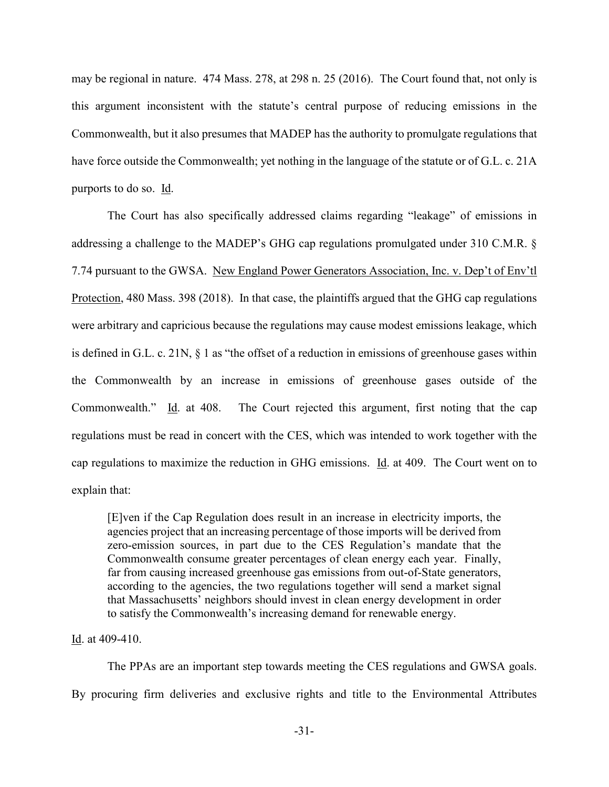may be regional in nature. 474 Mass. 278, at 298 n. 25 (2016). The Court found that, not only is this argument inconsistent with the statute's central purpose of reducing emissions in the Commonwealth, but it also presumes that MADEP has the authority to promulgate regulations that have force outside the Commonwealth; yet nothing in the language of the statute or of G.L. c. 21A purports to do so. Id.

The Court has also specifically addressed claims regarding "leakage" of emissions in addressing a challenge to the MADEP's GHG cap regulations promulgated under 310 C.M.R. § 7.74 pursuant to the GWSA. New England Power Generators Association, Inc. v. Dep't of Env'tl Protection, 480 Mass. 398 (2018). In that case, the plaintiffs argued that the GHG cap regulations were arbitrary and capricious because the regulations may cause modest emissions leakage, which is defined in G.L. c. 21N, § 1 as "the offset of a reduction in emissions of greenhouse gases within the Commonwealth by an increase in emissions of greenhouse gases outside of the Commonwealth." Id. at 408. The Court rejected this argument, first noting that the cap regulations must be read in concert with the CES, which was intended to work together with the cap regulations to maximize the reduction in GHG emissions. Id. at 409. The Court went on to explain that:

[E]ven if the Cap Regulation does result in an increase in electricity imports, the agencies project that an increasing percentage of those imports will be derived from zero-emission sources, in part due to the CES Regulation's mandate that the Commonwealth consume greater percentages of clean energy each year. Finally, far from causing increased greenhouse gas emissions from out-of-State generators, according to the agencies, the two regulations together will send a market signal that Massachusetts' neighbors should invest in clean energy development in order to satisfy the Commonwealth's increasing demand for renewable energy.

#### Id. at 409-410.

The PPAs are an important step towards meeting the CES regulations and GWSA goals. By procuring firm deliveries and exclusive rights and title to the Environmental Attributes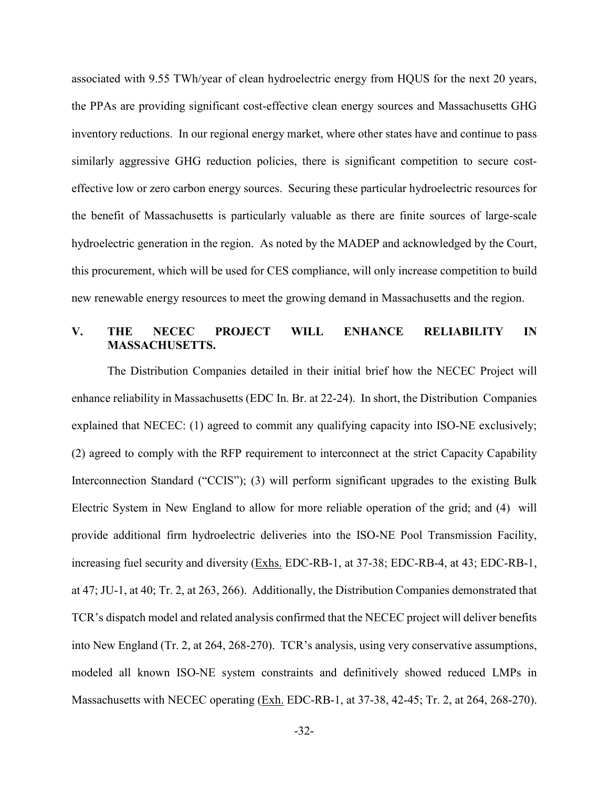associated with 9.55 TWh/year of clean hydroelectric energy from HQUS for the next 20 years, the PPAs are providing significant cost-effective clean energy sources and Massachusetts GHG inventory reductions. In our regional energy market, where other states have and continue to pass similarly aggressive GHG reduction policies, there is significant competition to secure costeffective low or zero carbon energy sources. Securing these particular hydroelectric resources for the benefit of Massachusetts is particularly valuable as there are finite sources of large-scale hydroelectric generation in the region. As noted by the MADEP and acknowledged by the Court, this procurement, which will be used for CES compliance, will only increase competition to build new renewable energy resources to meet the growing demand in Massachusetts and the region.

## <span id="page-34-0"></span>**V. THE NECEC PROJECT WILL ENHANCE RELIABILITY IN MASSACHUSETTS.**

The Distribution Companies detailed in their initial brief how the NECEC Project will enhance reliability in Massachusetts (EDC In. Br. at 22-24). In short, the Distribution Companies explained that NECEC: (1) agreed to commit any qualifying capacity into ISO-NE exclusively; (2) agreed to comply with the RFP requirement to interconnect at the strict Capacity Capability Interconnection Standard ("CCIS"); (3) will perform significant upgrades to the existing Bulk Electric System in New England to allow for more reliable operation of the grid; and (4) will provide additional firm hydroelectric deliveries into the ISO-NE Pool Transmission Facility, increasing fuel security and diversity (Exhs. EDC-RB-1, at 37-38; EDC-RB-4, at 43; EDC-RB-1, at 47; JU-1, at 40; Tr. 2, at 263, 266). Additionally, the Distribution Companies demonstrated that TCR's dispatch model and related analysis confirmed that the NECEC project will deliver benefits into New England (Tr. 2, at 264, 268-270). TCR's analysis, using very conservative assumptions, modeled all known ISO-NE system constraints and definitively showed reduced LMPs in Massachusetts with NECEC operating (Exh. EDC-RB-1, at 37-38, 42-45; Tr. 2, at 264, 268-270).

-32-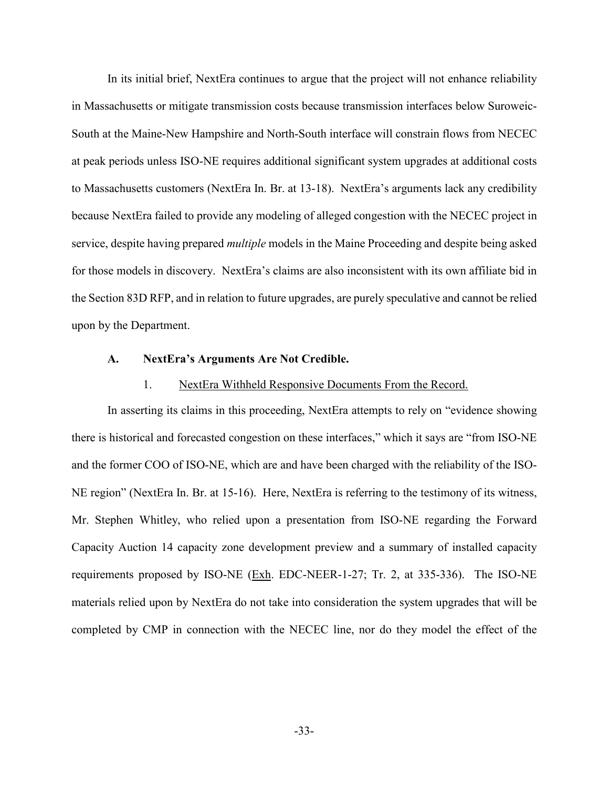In its initial brief, NextEra continues to argue that the project will not enhance reliability in Massachusetts or mitigate transmission costs because transmission interfaces below Suroweic-South at the Maine-New Hampshire and North-South interface will constrain flows from NECEC at peak periods unless ISO-NE requires additional significant system upgrades at additional costs to Massachusetts customers (NextEra In. Br. at 13-18). NextEra's arguments lack any credibility because NextEra failed to provide any modeling of alleged congestion with the NECEC project in service, despite having prepared *multiple* models in the Maine Proceeding and despite being asked for those models in discovery. NextEra's claims are also inconsistent with its own affiliate bid in the Section 83D RFP, and in relation to future upgrades, are purely speculative and cannot be relied upon by the Department.

#### <span id="page-35-0"></span>**A. NextEra's Arguments Are Not Credible.**

#### 1. NextEra Withheld Responsive Documents From the Record.

<span id="page-35-1"></span>In asserting its claims in this proceeding, NextEra attempts to rely on "evidence showing there is historical and forecasted congestion on these interfaces," which it says are "from ISO-NE and the former COO of ISO-NE, which are and have been charged with the reliability of the ISO-NE region" (NextEra In. Br. at 15-16). Here, NextEra is referring to the testimony of its witness, Mr. Stephen Whitley, who relied upon a presentation from ISO-NE regarding the Forward Capacity Auction 14 capacity zone development preview and a summary of installed capacity requirements proposed by ISO-NE (Exh. EDC-NEER-1-27; Tr. 2, at 335-336). The ISO-NE materials relied upon by NextEra do not take into consideration the system upgrades that will be completed by CMP in connection with the NECEC line, nor do they model the effect of the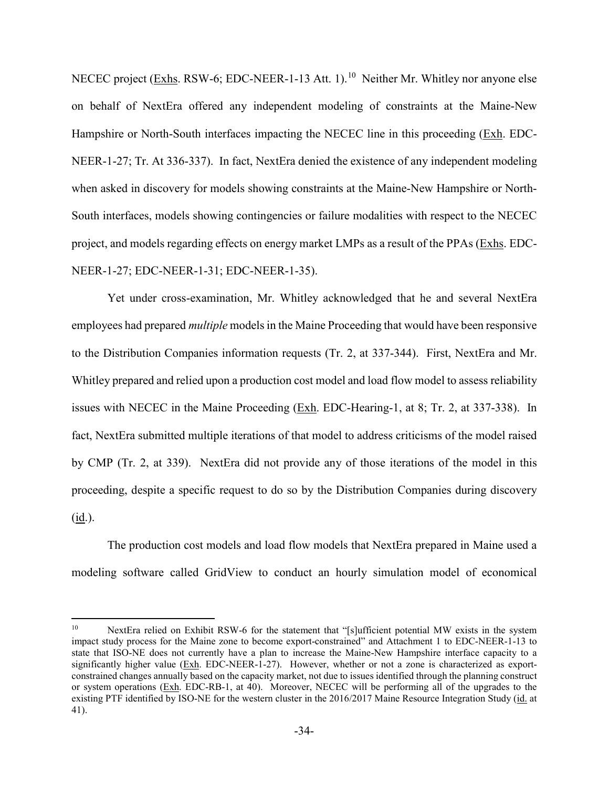NECEC project (Exhs. RSW-6; EDC-NEER-1-13 Att. 1).<sup>10</sup> Neither Mr. Whitley nor anyone else on behalf of NextEra offered any independent modeling of constraints at the Maine-New Hampshire or North-South interfaces impacting the NECEC line in this proceeding (Exh. EDC-NEER-1-27; Tr. At 336-337). In fact, NextEra denied the existence of any independent modeling when asked in discovery for models showing constraints at the Maine-New Hampshire or North-South interfaces, models showing contingencies or failure modalities with respect to the NECEC project, and models regarding effects on energy market LMPs as a result of the PPAs (Exhs. EDC-NEER-1-27; EDC-NEER-1-31; EDC-NEER-1-35).

Yet under cross-examination, Mr. Whitley acknowledged that he and several NextEra employees had prepared *multiple* models in the Maine Proceeding that would have been responsive to the Distribution Companies information requests (Tr. 2, at 337-344). First, NextEra and Mr. Whitley prepared and relied upon a production cost model and load flow model to assess reliability issues with NECEC in the Maine Proceeding (Exh. EDC-Hearing-1, at 8; Tr. 2, at 337-338). In fact, NextEra submitted multiple iterations of that model to address criticisms of the model raised by CMP (Tr. 2, at 339). NextEra did not provide any of those iterations of the model in this proceeding, despite a specific request to do so by the Distribution Companies during discovery  $(\underline{\text{id}})$ .

The production cost models and load flow models that NextEra prepared in Maine used a modeling software called GridView to conduct an hourly simulation model of economical

<span id="page-36-0"></span><sup>&</sup>lt;sup>10</sup> NextEra relied on Exhibit RSW-6 for the statement that "[s]ufficient potential MW exists in the system impact study process for the Maine zone to become export-constrained" and Attachment 1 to EDC-NEER-1-13 to state that ISO-NE does not currently have a plan to increase the Maine-New Hampshire interface capacity to a significantly higher value (Exh. EDC-NEER-1-27). However, whether or not a zone is characterized as exportconstrained changes annually based on the capacity market, not due to issues identified through the planning construct or system operations (Exh. EDC-RB-1, at 40). Moreover, NECEC will be performing all of the upgrades to the existing PTF identified by ISO-NE for the western cluster in the 2016/2017 Maine Resource Integration Study (id. at 41).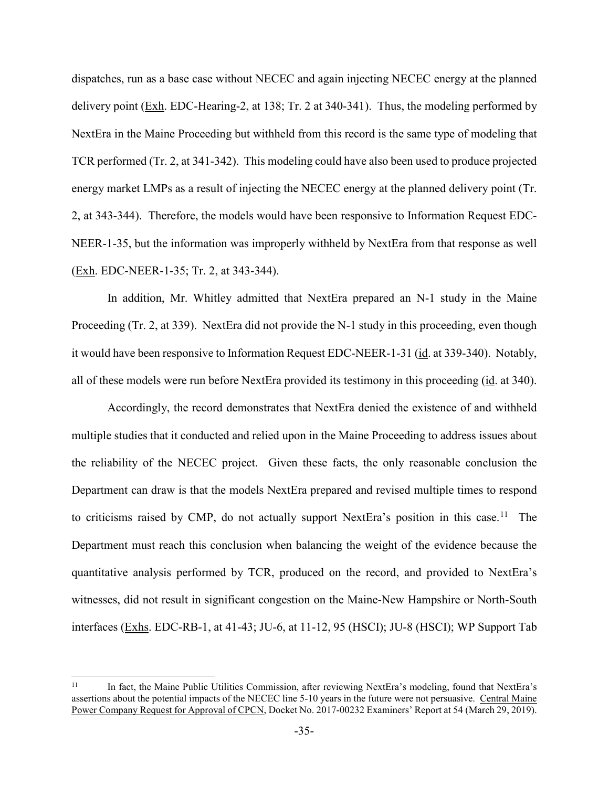dispatches, run as a base case without NECEC and again injecting NECEC energy at the planned delivery point (Exh. EDC-Hearing-2, at 138; Tr. 2 at 340-341). Thus, the modeling performed by NextEra in the Maine Proceeding but withheld from this record is the same type of modeling that TCR performed (Tr. 2, at 341-342). This modeling could have also been used to produce projected energy market LMPs as a result of injecting the NECEC energy at the planned delivery point (Tr. 2, at 343-344). Therefore, the models would have been responsive to Information Request EDC-NEER-1-35, but the information was improperly withheld by NextEra from that response as well (Exh. EDC-NEER-1-35; Tr. 2, at 343-344).

In addition, Mr. Whitley admitted that NextEra prepared an N-1 study in the Maine Proceeding (Tr. 2, at 339). NextEra did not provide the N-1 study in this proceeding, even though it would have been responsive to Information Request EDC-NEER-1-31 (id. at 339-340). Notably, all of these models were run before NextEra provided its testimony in this proceeding (id. at 340).

Accordingly, the record demonstrates that NextEra denied the existence of and withheld multiple studies that it conducted and relied upon in the Maine Proceeding to address issues about the reliability of the NECEC project. Given these facts, the only reasonable conclusion the Department can draw is that the models NextEra prepared and revised multiple times to respond to criticisms raised by CMP, do not actually support NextEra's position in this case.<sup>[11](#page-37-0)</sup> The Department must reach this conclusion when balancing the weight of the evidence because the quantitative analysis performed by TCR, produced on the record, and provided to NextEra's witnesses, did not result in significant congestion on the Maine-New Hampshire or North-South interfaces (Exhs. EDC-RB-1, at 41-43; JU-6, at 11-12, 95 (HSCI); JU-8 (HSCI); WP Support Tab

<span id="page-37-0"></span><sup>&</sup>lt;sup>11</sup> In fact, the Maine Public Utilities Commission, after reviewing NextEra's modeling, found that NextEra's assertions about the potential impacts of the NECEC line 5-10 years in the future were not persuasive. Central Maine Power Company Request for Approval of CPCN, Docket No. 2017-00232 Examiners' Report at 54 (March 29, 2019).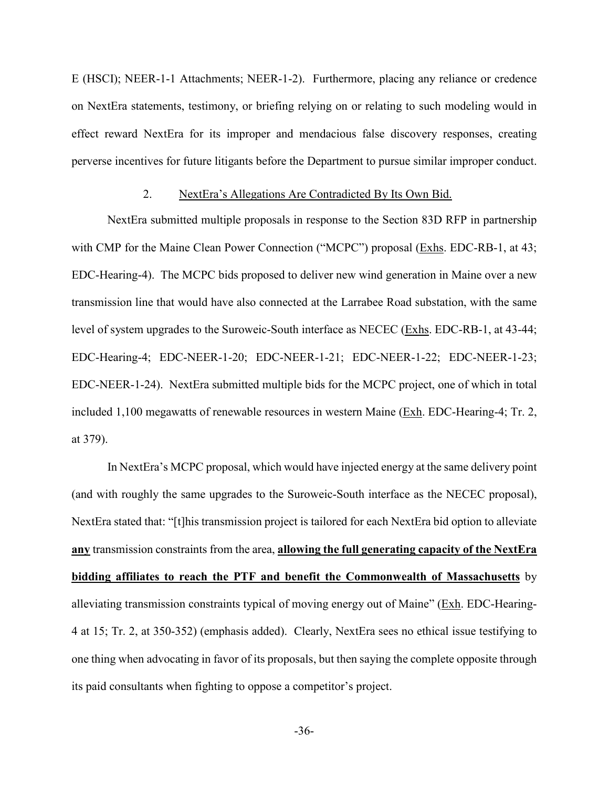E (HSCI); NEER-1-1 Attachments; NEER-1-2). Furthermore, placing any reliance or credence on NextEra statements, testimony, or briefing relying on or relating to such modeling would in effect reward NextEra for its improper and mendacious false discovery responses, creating perverse incentives for future litigants before the Department to pursue similar improper conduct.

#### 2. NextEra's Allegations Are Contradicted By Its Own Bid.

NextEra submitted multiple proposals in response to the Section 83D RFP in partnership with CMP for the Maine Clean Power Connection ("MCPC") proposal (Exhs. EDC-RB-1, at 43; EDC-Hearing-4). The MCPC bids proposed to deliver new wind generation in Maine over a new transmission line that would have also connected at the Larrabee Road substation, with the same level of system upgrades to the Suroweic-South interface as NECEC (Exhs. EDC-RB-1, at 43-44; EDC-Hearing-4; EDC-NEER-1-20; EDC-NEER-1-21; EDC-NEER-1-22; EDC-NEER-1-23; EDC-NEER-1-24). NextEra submitted multiple bids for the MCPC project, one of which in total included 1,100 megawatts of renewable resources in western Maine (Exh. EDC-Hearing-4; Tr. 2, at 379).

In NextEra's MCPC proposal, which would have injected energy at the same delivery point (and with roughly the same upgrades to the Suroweic-South interface as the NECEC proposal), NextEra stated that: "[t]his transmission project is tailored for each NextEra bid option to alleviate **any** transmission constraints from the area, **allowing the full generating capacity of the NextEra bidding affiliates to reach the PTF and benefit the Commonwealth of Massachusetts** by alleviating transmission constraints typical of moving energy out of Maine" (Exh. EDC-Hearing-4 at 15; Tr. 2, at 350-352) (emphasis added). Clearly, NextEra sees no ethical issue testifying to one thing when advocating in favor of its proposals, but then saying the complete opposite through its paid consultants when fighting to oppose a competitor's project.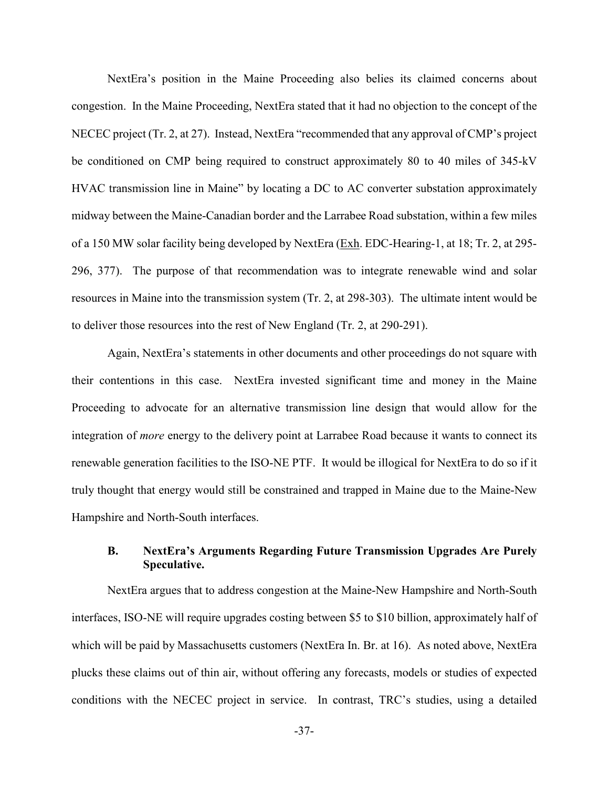NextEra's position in the Maine Proceeding also belies its claimed concerns about congestion. In the Maine Proceeding, NextEra stated that it had no objection to the concept of the NECEC project (Tr. 2, at 27). Instead, NextEra "recommended that any approval of CMP's project be conditioned on CMP being required to construct approximately 80 to 40 miles of 345-kV HVAC transmission line in Maine" by locating a DC to AC converter substation approximately midway between the Maine-Canadian border and the Larrabee Road substation, within a few miles of a 150 MW solar facility being developed by NextEra (Exh. EDC-Hearing-1, at 18; Tr. 2, at 295- 296, 377). The purpose of that recommendation was to integrate renewable wind and solar resources in Maine into the transmission system (Tr. 2, at 298-303). The ultimate intent would be to deliver those resources into the rest of New England (Tr. 2, at 290-291).

Again, NextEra's statements in other documents and other proceedings do not square with their contentions in this case. NextEra invested significant time and money in the Maine Proceeding to advocate for an alternative transmission line design that would allow for the integration of *more* energy to the delivery point at Larrabee Road because it wants to connect its renewable generation facilities to the ISO-NE PTF. It would be illogical for NextEra to do so if it truly thought that energy would still be constrained and trapped in Maine due to the Maine-New Hampshire and North-South interfaces.

# **B. NextEra's Arguments Regarding Future Transmission Upgrades Are Purely Speculative.**

NextEra argues that to address congestion at the Maine-New Hampshire and North-South interfaces, ISO-NE will require upgrades costing between \$5 to \$10 billion, approximately half of which will be paid by Massachusetts customers (NextEra In. Br. at 16). As noted above, NextEra plucks these claims out of thin air, without offering any forecasts, models or studies of expected conditions with the NECEC project in service. In contrast, TRC's studies, using a detailed

-37-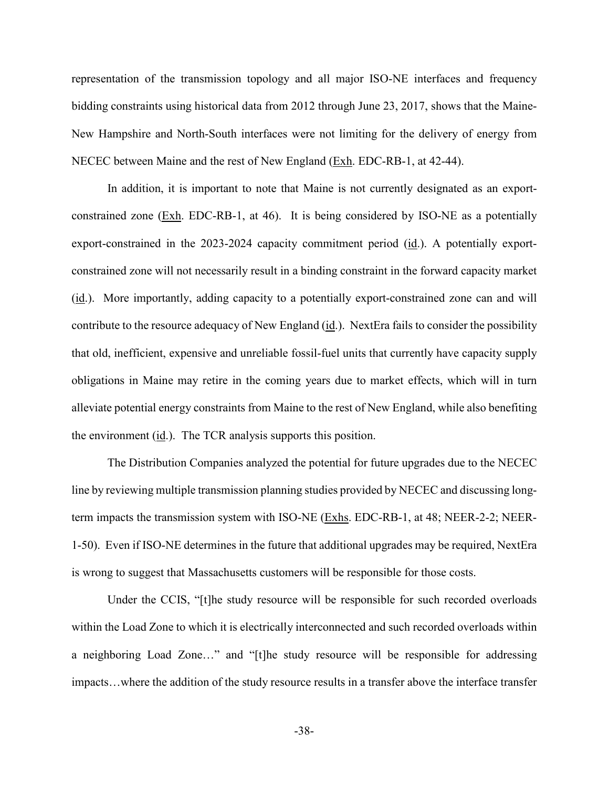representation of the transmission topology and all major ISO-NE interfaces and frequency bidding constraints using historical data from 2012 through June 23, 2017, shows that the Maine-New Hampshire and North-South interfaces were not limiting for the delivery of energy from NECEC between Maine and the rest of New England (Exh. EDC-RB-1, at 42-44).

In addition, it is important to note that Maine is not currently designated as an exportconstrained zone  $(Exh. EDC-RB-1, at 46)$ . It is being considered by ISO-NE as a potentially export-constrained in the 2023-2024 capacity commitment period (id.). A potentially exportconstrained zone will not necessarily result in a binding constraint in the forward capacity market (id.). More importantly, adding capacity to a potentially export-constrained zone can and will contribute to the resource adequacy of New England  $(i_d)$ . NextEra fails to consider the possibility that old, inefficient, expensive and unreliable fossil-fuel units that currently have capacity supply obligations in Maine may retire in the coming years due to market effects, which will in turn alleviate potential energy constraints from Maine to the rest of New England, while also benefiting the environment (id.). The TCR analysis supports this position.

The Distribution Companies analyzed the potential for future upgrades due to the NECEC line by reviewing multiple transmission planning studies provided by NECEC and discussing longterm impacts the transmission system with ISO-NE (Exhs. EDC-RB-1, at 48; NEER-2-2; NEER-1-50). Even if ISO-NE determines in the future that additional upgrades may be required, NextEra is wrong to suggest that Massachusetts customers will be responsible for those costs.

Under the CCIS, "[t]he study resource will be responsible for such recorded overloads within the Load Zone to which it is electrically interconnected and such recorded overloads within a neighboring Load Zone…" and "[t]he study resource will be responsible for addressing impacts…where the addition of the study resource results in a transfer above the interface transfer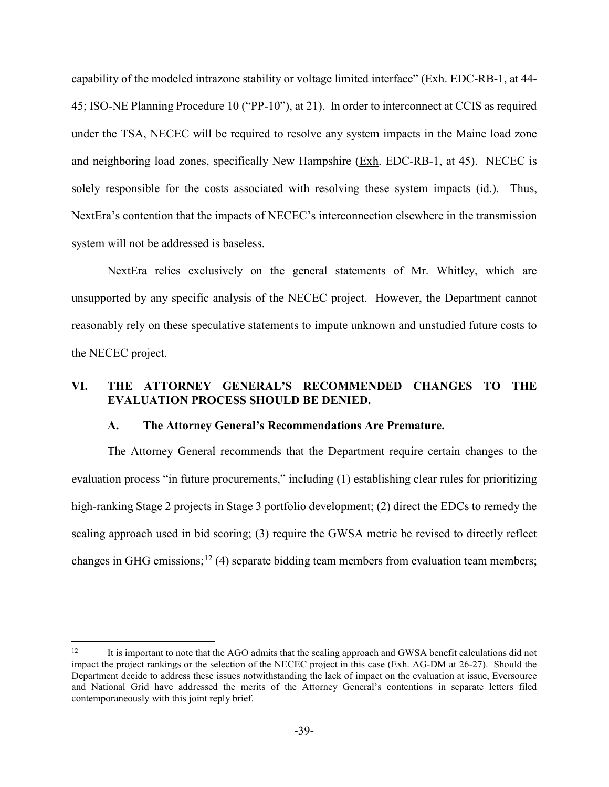capability of the modeled intrazone stability or voltage limited interface" (Exh. EDC-RB-1, at 44- 45; ISO-NE Planning Procedure 10 ("PP-10"), at 21). In order to interconnect at CCIS as required under the TSA, NECEC will be required to resolve any system impacts in the Maine load zone and neighboring load zones, specifically New Hampshire (Exh. EDC-RB-1, at 45). NECEC is solely responsible for the costs associated with resolving these system impacts (id.). Thus, NextEra's contention that the impacts of NECEC's interconnection elsewhere in the transmission system will not be addressed is baseless.

NextEra relies exclusively on the general statements of Mr. Whitley, which are unsupported by any specific analysis of the NECEC project. However, the Department cannot reasonably rely on these speculative statements to impute unknown and unstudied future costs to the NECEC project.

# **VI. THE ATTORNEY GENERAL'S RECOMMENDED CHANGES TO THE EVALUATION PROCESS SHOULD BE DENIED.**

#### **A. The Attorney General's Recommendations Are Premature.**

The Attorney General recommends that the Department require certain changes to the evaluation process "in future procurements," including (1) establishing clear rules for prioritizing high-ranking Stage 2 projects in Stage 3 portfolio development; (2) direct the EDCs to remedy the scaling approach used in bid scoring; (3) require the GWSA metric be revised to directly reflect changes in GHG emissions;<sup>[12](#page-41-0)</sup> (4) separate bidding team members from evaluation team members;

<span id="page-41-0"></span><sup>&</sup>lt;sup>12</sup> It is important to note that the AGO admits that the scaling approach and GWSA benefit calculations did not impact the project rankings or the selection of the NECEC project in this case (Exh. AG-DM at 26-27). Should the Department decide to address these issues notwithstanding the lack of impact on the evaluation at issue, Eversource and National Grid have addressed the merits of the Attorney General's contentions in separate letters filed contemporaneously with this joint reply brief.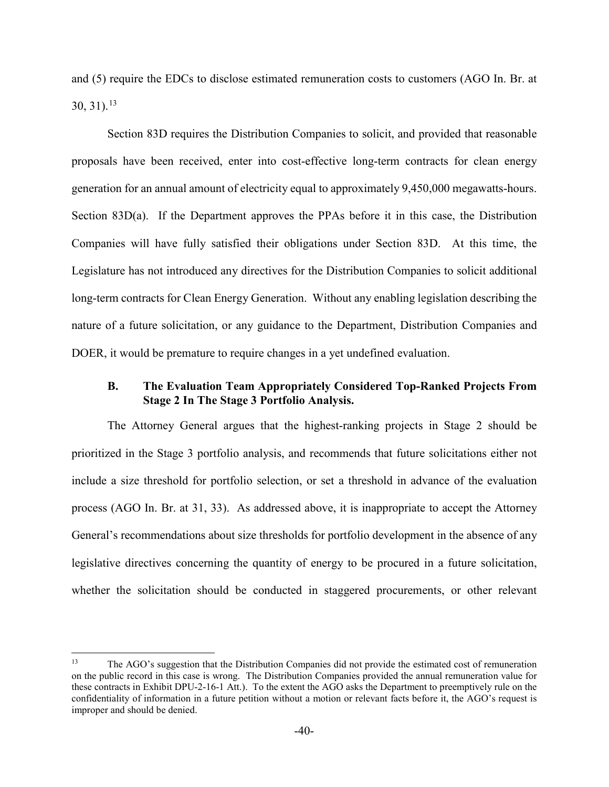and (5) require the EDCs to disclose estimated remuneration costs to customers (AGO In. Br. at  $30, 31$ ).<sup>13</sup>

Section 83D requires the Distribution Companies to solicit, and provided that reasonable proposals have been received, enter into cost-effective long-term contracts for clean energy generation for an annual amount of electricity equal to approximately 9,450,000 megawatts-hours. Section 83D(a). If the Department approves the PPAs before it in this case, the Distribution Companies will have fully satisfied their obligations under Section 83D. At this time, the Legislature has not introduced any directives for the Distribution Companies to solicit additional long-term contracts for Clean Energy Generation. Without any enabling legislation describing the nature of a future solicitation, or any guidance to the Department, Distribution Companies and DOER, it would be premature to require changes in a yet undefined evaluation.

### **B. The Evaluation Team Appropriately Considered Top-Ranked Projects From Stage 2 In The Stage 3 Portfolio Analysis.**

The Attorney General argues that the highest-ranking projects in Stage 2 should be prioritized in the Stage 3 portfolio analysis, and recommends that future solicitations either not include a size threshold for portfolio selection, or set a threshold in advance of the evaluation process (AGO In. Br. at 31, 33). As addressed above, it is inappropriate to accept the Attorney General's recommendations about size thresholds for portfolio development in the absence of any legislative directives concerning the quantity of energy to be procured in a future solicitation, whether the solicitation should be conducted in staggered procurements, or other relevant

<span id="page-42-0"></span><sup>&</sup>lt;sup>13</sup> The AGO's suggestion that the Distribution Companies did not provide the estimated cost of remuneration on the public record in this case is wrong. The Distribution Companies provided the annual remuneration value for these contracts in Exhibit DPU-2-16-1 Att.). To the extent the AGO asks the Department to preemptively rule on the confidentiality of information in a future petition without a motion or relevant facts before it, the AGO's request is improper and should be denied.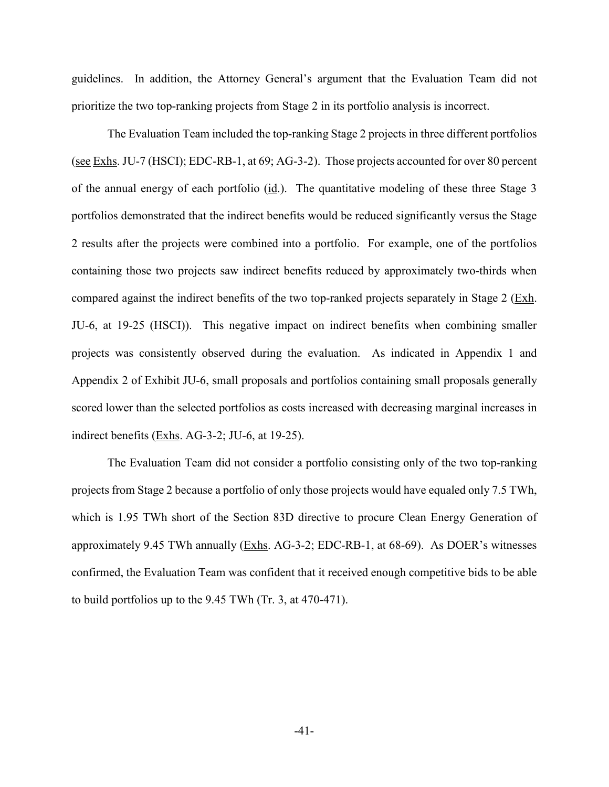guidelines. In addition, the Attorney General's argument that the Evaluation Team did not prioritize the two top-ranking projects from Stage 2 in its portfolio analysis is incorrect.

The Evaluation Team included the top-ranking Stage 2 projects in three different portfolios (see Exhs. JU-7 (HSCI); EDC-RB-1, at 69; AG-3-2). Those projects accounted for over 80 percent of the annual energy of each portfolio  $(i_d)$ . The quantitative modeling of these three Stage 3 portfolios demonstrated that the indirect benefits would be reduced significantly versus the Stage 2 results after the projects were combined into a portfolio. For example, one of the portfolios containing those two projects saw indirect benefits reduced by approximately two-thirds when compared against the indirect benefits of the two top-ranked projects separately in Stage 2 (Exh. JU-6, at 19-25 (HSCI)). This negative impact on indirect benefits when combining smaller projects was consistently observed during the evaluation. As indicated in Appendix 1 and Appendix 2 of Exhibit JU-6, small proposals and portfolios containing small proposals generally scored lower than the selected portfolios as costs increased with decreasing marginal increases in indirect benefits (Exhs. AG-3-2; JU-6, at 19-25).

The Evaluation Team did not consider a portfolio consisting only of the two top-ranking projects from Stage 2 because a portfolio of only those projects would have equaled only 7.5 TWh, which is 1.95 TWh short of the Section 83D directive to procure Clean Energy Generation of approximately 9.45 TWh annually (Exhs. AG-3-2; EDC-RB-1, at 68-69). As DOER's witnesses confirmed, the Evaluation Team was confident that it received enough competitive bids to be able to build portfolios up to the 9.45 TWh (Tr. 3, at 470-471).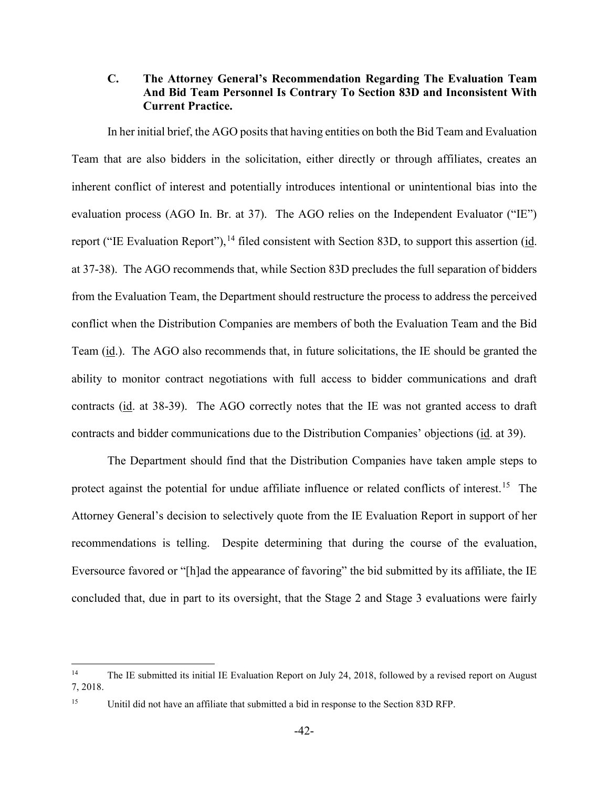# **C. The Attorney General's Recommendation Regarding The Evaluation Team And Bid Team Personnel Is Contrary To Section 83D and Inconsistent With Current Practice.**

In her initial brief, the AGO posits that having entities on both the Bid Team and Evaluation Team that are also bidders in the solicitation, either directly or through affiliates, creates an inherent conflict of interest and potentially introduces intentional or unintentional bias into the evaluation process (AGO In. Br. at 37). The AGO relies on the Independent Evaluator ("IE") report ("IE Evaluation Report"),  $^{14}$  $^{14}$  $^{14}$  filed consistent with Section 83D, to support this assertion (id. at 37-38). The AGO recommends that, while Section 83D precludes the full separation of bidders from the Evaluation Team, the Department should restructure the process to address the perceived conflict when the Distribution Companies are members of both the Evaluation Team and the Bid Team (id.). The AGO also recommends that, in future solicitations, the IE should be granted the ability to monitor contract negotiations with full access to bidder communications and draft contracts (id. at 38-39). The AGO correctly notes that the IE was not granted access to draft contracts and bidder communications due to the Distribution Companies' objections (id. at 39).

The Department should find that the Distribution Companies have taken ample steps to protect against the potential for undue affiliate influence or related conflicts of interest.<sup>[15](#page-44-1)</sup> The Attorney General's decision to selectively quote from the IE Evaluation Report in support of her recommendations is telling. Despite determining that during the course of the evaluation, Eversource favored or "[h]ad the appearance of favoring" the bid submitted by its affiliate, the IE concluded that, due in part to its oversight, that the Stage 2 and Stage 3 evaluations were fairly

<span id="page-44-0"></span><sup>&</sup>lt;sup>14</sup> The IE submitted its initial IE Evaluation Report on July 24, 2018, followed by a revised report on August 7, 2018.

<span id="page-44-1"></span><sup>&</sup>lt;sup>15</sup> Unitil did not have an affiliate that submitted a bid in response to the Section 83D RFP.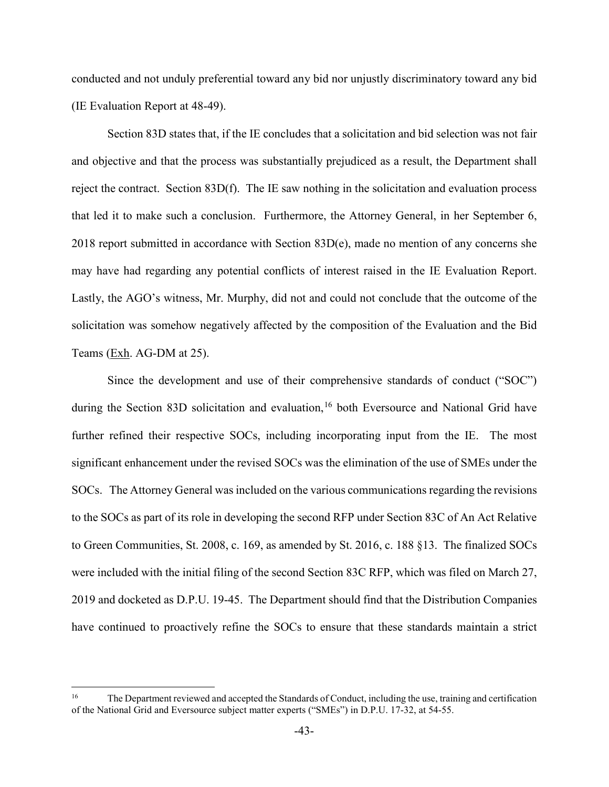conducted and not unduly preferential toward any bid nor unjustly discriminatory toward any bid (IE Evaluation Report at 48-49).

Section 83D states that, if the IE concludes that a solicitation and bid selection was not fair and objective and that the process was substantially prejudiced as a result, the Department shall reject the contract. Section 83D(f). The IE saw nothing in the solicitation and evaluation process that led it to make such a conclusion. Furthermore, the Attorney General, in her September 6, 2018 report submitted in accordance with Section 83D(e), made no mention of any concerns she may have had regarding any potential conflicts of interest raised in the IE Evaluation Report. Lastly, the AGO's witness, Mr. Murphy, did not and could not conclude that the outcome of the solicitation was somehow negatively affected by the composition of the Evaluation and the Bid Teams (Exh. AG-DM at 25).

Since the development and use of their comprehensive standards of conduct ("SOC") during the Section 83D solicitation and evaluation,<sup>[16](#page-45-0)</sup> both Eversource and National Grid have further refined their respective SOCs, including incorporating input from the IE. The most significant enhancement under the revised SOCs was the elimination of the use of SMEs under the SOCs. The Attorney General was included on the various communications regarding the revisions to the SOCs as part of its role in developing the second RFP under Section 83C of An Act Relative to Green Communities, St. 2008, c. 169, as amended by St. 2016, c. 188 §13. The finalized SOCs were included with the initial filing of the second Section 83C RFP, which was filed on March 27, 2019 and docketed as D.P.U. 19-45. The Department should find that the Distribution Companies have continued to proactively refine the SOCs to ensure that these standards maintain a strict

<span id="page-45-0"></span><sup>&</sup>lt;sup>16</sup> The Department reviewed and accepted the Standards of Conduct, including the use, training and certification of the National Grid and Eversource subject matter experts ("SMEs") in D.P.U. 17-32, at 54-55.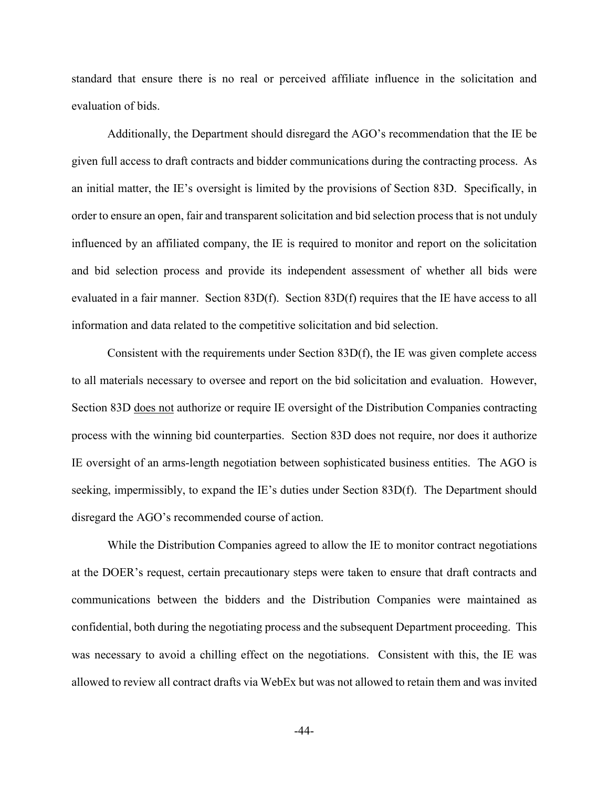standard that ensure there is no real or perceived affiliate influence in the solicitation and evaluation of bids.

Additionally, the Department should disregard the AGO's recommendation that the IE be given full access to draft contracts and bidder communications during the contracting process. As an initial matter, the IE's oversight is limited by the provisions of Section 83D. Specifically, in order to ensure an open, fair and transparent solicitation and bid selection process that is not unduly influenced by an affiliated company, the IE is required to monitor and report on the solicitation and bid selection process and provide its independent assessment of whether all bids were evaluated in a fair manner. Section 83D(f). Section 83D(f) requires that the IE have access to all information and data related to the competitive solicitation and bid selection.

Consistent with the requirements under Section 83D(f), the IE was given complete access to all materials necessary to oversee and report on the bid solicitation and evaluation. However, Section 83D does not authorize or require IE oversight of the Distribution Companies contracting process with the winning bid counterparties. Section 83D does not require, nor does it authorize IE oversight of an arms-length negotiation between sophisticated business entities. The AGO is seeking, impermissibly, to expand the IE's duties under Section 83D(f). The Department should disregard the AGO's recommended course of action.

While the Distribution Companies agreed to allow the IE to monitor contract negotiations at the DOER's request, certain precautionary steps were taken to ensure that draft contracts and communications between the bidders and the Distribution Companies were maintained as confidential, both during the negotiating process and the subsequent Department proceeding. This was necessary to avoid a chilling effect on the negotiations. Consistent with this, the IE was allowed to review all contract drafts via WebEx but was not allowed to retain them and was invited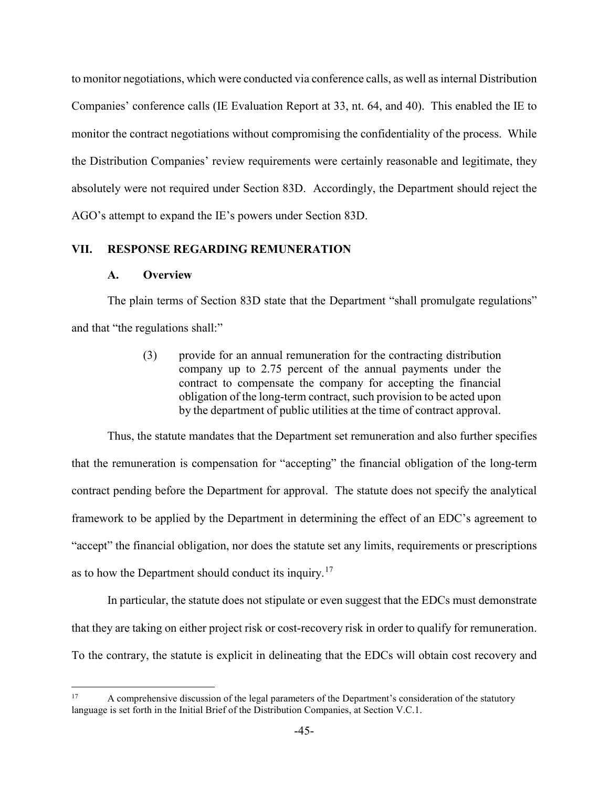to monitor negotiations, which were conducted via conference calls, as well as internal Distribution Companies' conference calls (IE Evaluation Report at 33, nt. 64, and 40). This enabled the IE to monitor the contract negotiations without compromising the confidentiality of the process. While the Distribution Companies' review requirements were certainly reasonable and legitimate, they absolutely were not required under Section 83D. Accordingly, the Department should reject the AGO's attempt to expand the IE's powers under Section 83D.

#### **VII. RESPONSE REGARDING REMUNERATION**

#### **A. Overview**

The plain terms of Section 83D state that the Department "shall promulgate regulations" and that "the regulations shall:"

> (3) provide for an annual remuneration for the contracting distribution company up to 2.75 percent of the annual payments under the contract to compensate the company for accepting the financial obligation of the long-term contract, such provision to be acted upon by the department of public utilities at the time of contract approval.

Thus, the statute mandates that the Department set remuneration and also further specifies that the remuneration is compensation for "accepting" the financial obligation of the long-term contract pending before the Department for approval. The statute does not specify the analytical framework to be applied by the Department in determining the effect of an EDC's agreement to "accept" the financial obligation, nor does the statute set any limits, requirements or prescriptions as to how the Department should conduct its inquiry.<sup>[17](#page-47-0)</sup>

In particular, the statute does not stipulate or even suggest that the EDCs must demonstrate that they are taking on either project risk or cost-recovery risk in order to qualify for remuneration. To the contrary, the statute is explicit in delineating that the EDCs will obtain cost recovery and

<span id="page-47-0"></span><sup>&</sup>lt;sup>17</sup> A comprehensive discussion of the legal parameters of the Department's consideration of the statutory language is set forth in the Initial Brief of the Distribution Companies, at Section V.C.1.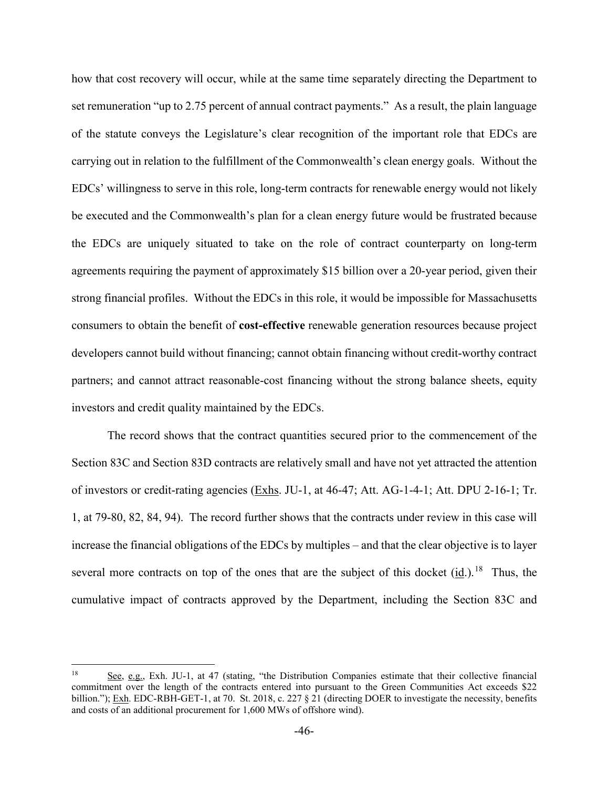how that cost recovery will occur, while at the same time separately directing the Department to set remuneration "up to 2.75 percent of annual contract payments." As a result, the plain language of the statute conveys the Legislature's clear recognition of the important role that EDCs are carrying out in relation to the fulfillment of the Commonwealth's clean energy goals. Without the EDCs' willingness to serve in this role, long-term contracts for renewable energy would not likely be executed and the Commonwealth's plan for a clean energy future would be frustrated because the EDCs are uniquely situated to take on the role of contract counterparty on long-term agreements requiring the payment of approximately \$15 billion over a 20-year period, given their strong financial profiles. Without the EDCs in this role, it would be impossible for Massachusetts consumers to obtain the benefit of **cost-effective** renewable generation resources because project developers cannot build without financing; cannot obtain financing without credit-worthy contract partners; and cannot attract reasonable-cost financing without the strong balance sheets, equity investors and credit quality maintained by the EDCs.

The record shows that the contract quantities secured prior to the commencement of the Section 83C and Section 83D contracts are relatively small and have not yet attracted the attention of investors or credit-rating agencies (Exhs. JU-1, at 46-47; Att. AG-1-4-1; Att. DPU 2-16-1; Tr. 1, at 79-80, 82, 84, 94). The record further shows that the contracts under review in this case will increase the financial obligations of the EDCs by multiples – and that the clear objective is to layer several more contracts on top of the ones that are the subject of this docket  $(id.)$ <sup>18</sup> Thus, the cumulative impact of contracts approved by the Department, including the Section 83C and

<span id="page-48-0"></span><sup>&</sup>lt;sup>18</sup> See, e.g., Exh. JU-1, at 47 (stating, "the Distribution Companies estimate that their collective financial commitment over the length of the contracts entered into pursuant to the Green Communities Act exceeds \$22 billion."); Exh. EDC-RBH-GET-1, at 70. St. 2018, c. 227 § 21 (directing DOER to investigate the necessity, benefits and costs of an additional procurement for 1,600 MWs of offshore wind).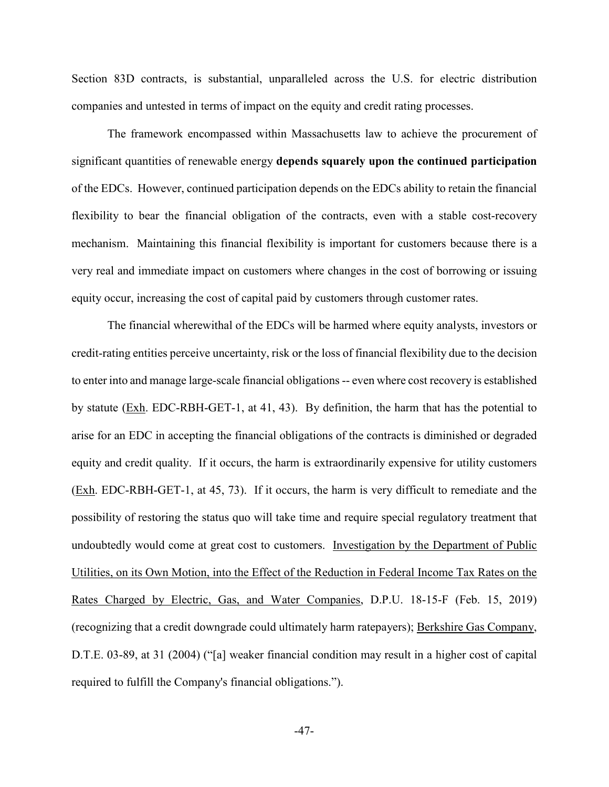Section 83D contracts, is substantial, unparalleled across the U.S. for electric distribution companies and untested in terms of impact on the equity and credit rating processes.

The framework encompassed within Massachusetts law to achieve the procurement of significant quantities of renewable energy **depends squarely upon the continued participation** of the EDCs. However, continued participation depends on the EDCs ability to retain the financial flexibility to bear the financial obligation of the contracts, even with a stable cost-recovery mechanism. Maintaining this financial flexibility is important for customers because there is a very real and immediate impact on customers where changes in the cost of borrowing or issuing equity occur, increasing the cost of capital paid by customers through customer rates.

The financial wherewithal of the EDCs will be harmed where equity analysts, investors or credit-rating entities perceive uncertainty, risk or the loss of financial flexibility due to the decision to enter into and manage large-scale financial obligations -- even where cost recovery is established by statute (Exh. EDC-RBH-GET-1, at 41, 43). By definition, the harm that has the potential to arise for an EDC in accepting the financial obligations of the contracts is diminished or degraded equity and credit quality. If it occurs, the harm is extraordinarily expensive for utility customers (Exh. EDC-RBH-GET-1, at 45, 73). If it occurs, the harm is very difficult to remediate and the possibility of restoring the status quo will take time and require special regulatory treatment that undoubtedly would come at great cost to customers. Investigation by the Department of Public Utilities, on its Own Motion, into the Effect of the Reduction in Federal Income Tax Rates on the Rates Charged by Electric, Gas, and Water Companies, D.P.U. 18-15-F (Feb. 15, 2019) (recognizing that a credit downgrade could ultimately harm ratepayers); Berkshire Gas Company, D.T.E. 03-89, at 31 (2004) ("[a] weaker financial condition may result in a higher cost of capital required to fulfill the Company's financial obligations.").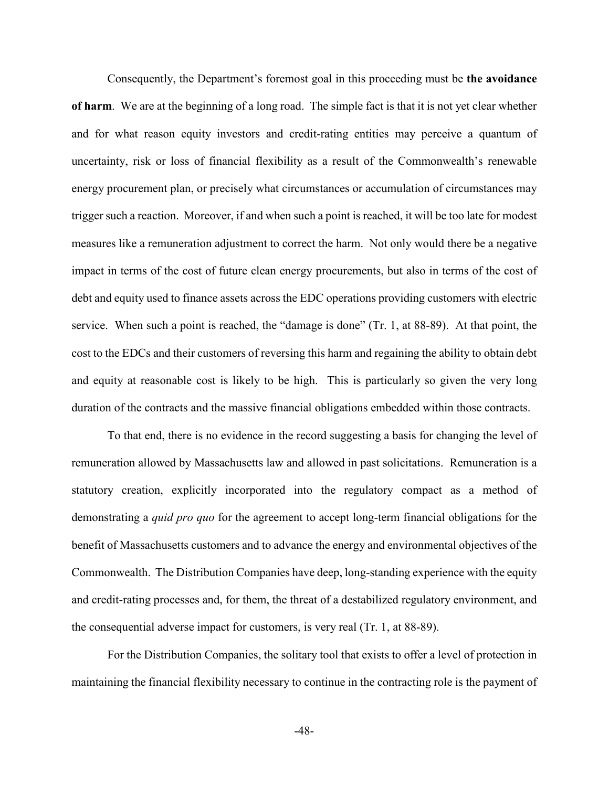Consequently, the Department's foremost goal in this proceeding must be **the avoidance of harm**. We are at the beginning of a long road. The simple fact is that it is not yet clear whether and for what reason equity investors and credit-rating entities may perceive a quantum of uncertainty, risk or loss of financial flexibility as a result of the Commonwealth's renewable energy procurement plan, or precisely what circumstances or accumulation of circumstances may trigger such a reaction. Moreover, if and when such a point is reached, it will be too late for modest measures like a remuneration adjustment to correct the harm. Not only would there be a negative impact in terms of the cost of future clean energy procurements, but also in terms of the cost of debt and equity used to finance assets across the EDC operations providing customers with electric service. When such a point is reached, the "damage is done" (Tr. 1, at 88-89). At that point, the cost to the EDCs and their customers of reversing this harm and regaining the ability to obtain debt and equity at reasonable cost is likely to be high. This is particularly so given the very long duration of the contracts and the massive financial obligations embedded within those contracts.

To that end, there is no evidence in the record suggesting a basis for changing the level of remuneration allowed by Massachusetts law and allowed in past solicitations. Remuneration is a statutory creation, explicitly incorporated into the regulatory compact as a method of demonstrating a *quid pro quo* for the agreement to accept long-term financial obligations for the benefit of Massachusetts customers and to advance the energy and environmental objectives of the Commonwealth. The Distribution Companies have deep, long-standing experience with the equity and credit-rating processes and, for them, the threat of a destabilized regulatory environment, and the consequential adverse impact for customers, is very real (Tr. 1, at 88-89).

For the Distribution Companies, the solitary tool that exists to offer a level of protection in maintaining the financial flexibility necessary to continue in the contracting role is the payment of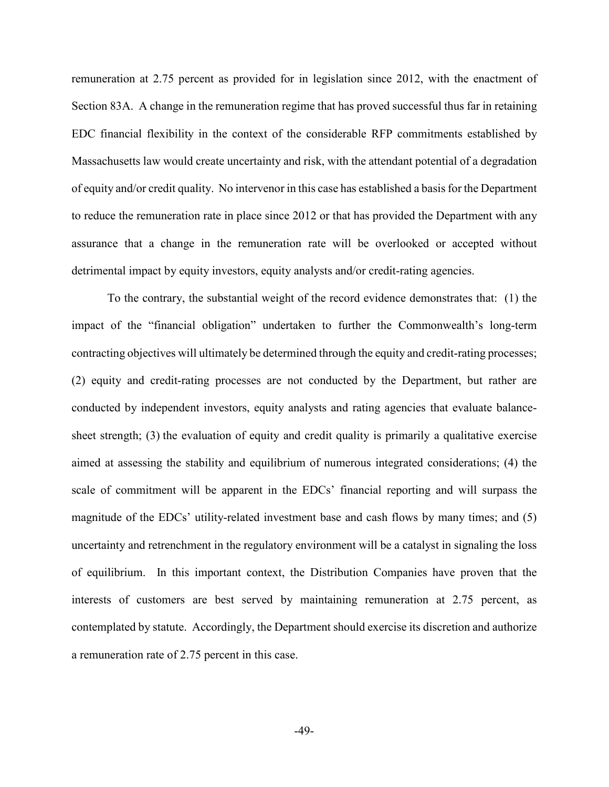remuneration at 2.75 percent as provided for in legislation since 2012, with the enactment of Section 83A. A change in the remuneration regime that has proved successful thus far in retaining EDC financial flexibility in the context of the considerable RFP commitments established by Massachusetts law would create uncertainty and risk, with the attendant potential of a degradation of equity and/or credit quality. No intervenor in this case has established a basis for the Department to reduce the remuneration rate in place since 2012 or that has provided the Department with any assurance that a change in the remuneration rate will be overlooked or accepted without detrimental impact by equity investors, equity analysts and/or credit-rating agencies.

To the contrary, the substantial weight of the record evidence demonstrates that: (1) the impact of the "financial obligation" undertaken to further the Commonwealth's long-term contracting objectives will ultimately be determined through the equity and credit-rating processes; (2) equity and credit-rating processes are not conducted by the Department, but rather are conducted by independent investors, equity analysts and rating agencies that evaluate balancesheet strength; (3) the evaluation of equity and credit quality is primarily a qualitative exercise aimed at assessing the stability and equilibrium of numerous integrated considerations; (4) the scale of commitment will be apparent in the EDCs' financial reporting and will surpass the magnitude of the EDCs' utility-related investment base and cash flows by many times; and (5) uncertainty and retrenchment in the regulatory environment will be a catalyst in signaling the loss of equilibrium. In this important context, the Distribution Companies have proven that the interests of customers are best served by maintaining remuneration at 2.75 percent, as contemplated by statute. Accordingly, the Department should exercise its discretion and authorize a remuneration rate of 2.75 percent in this case.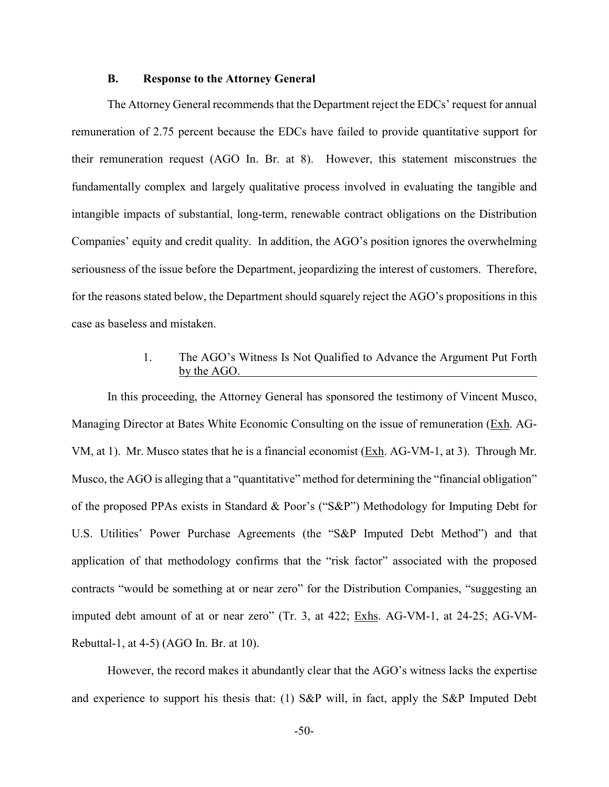### **B. Response to the Attorney General**

The Attorney General recommends that the Department reject the EDCs' request for annual remuneration of 2.75 percent because the EDCs have failed to provide quantitative support for their remuneration request (AGO In. Br. at 8). However, this statement misconstrues the fundamentally complex and largely qualitative process involved in evaluating the tangible and intangible impacts of substantial, long-term, renewable contract obligations on the Distribution Companies' equity and credit quality. In addition, the AGO's position ignores the overwhelming seriousness of the issue before the Department, jeopardizing the interest of customers. Therefore, for the reasons stated below, the Department should squarely reject the AGO's propositions in this case as baseless and mistaken.

# 1. The AGO's Witness Is Not Qualified to Advance the Argument Put Forth by the AGO.

In this proceeding, the Attorney General has sponsored the testimony of Vincent Musco, Managing Director at Bates White Economic Consulting on the issue of remuneration (Exh. AG-VM, at 1). Mr. Musco states that he is a financial economist (Exh. AG-VM-1, at 3). Through Mr. Musco, the AGO is alleging that a "quantitative" method for determining the "financial obligation" of the proposed PPAs exists in Standard & Poor's ("S&P") Methodology for Imputing Debt for U.S. Utilities' Power Purchase Agreements (the "S&P Imputed Debt Method") and that application of that methodology confirms that the "risk factor" associated with the proposed contracts "would be something at or near zero" for the Distribution Companies, "suggesting an imputed debt amount of at or near zero" (Tr. 3, at 422; Exhs. AG-VM-1, at 24-25; AG-VM-Rebuttal-1, at 4-5) (AGO In. Br. at 10).

However, the record makes it abundantly clear that the AGO's witness lacks the expertise and experience to support his thesis that: (1) S&P will, in fact, apply the S&P Imputed Debt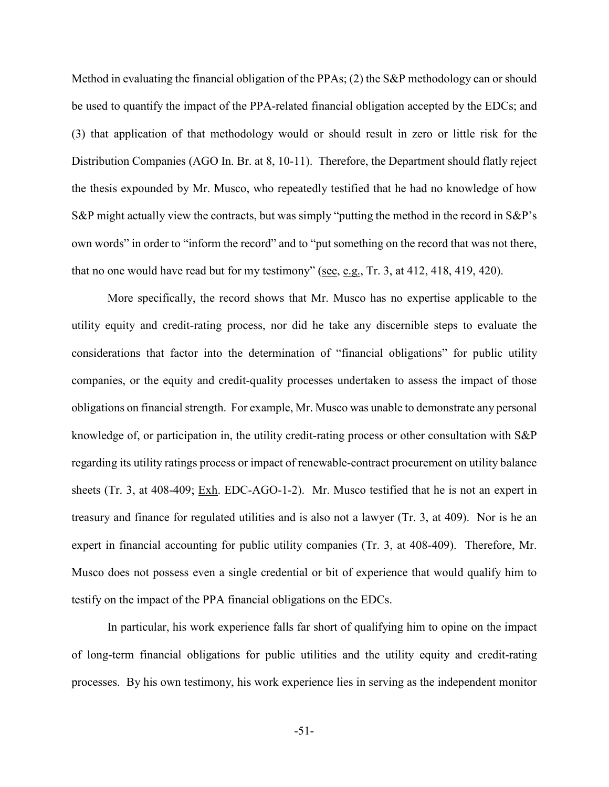Method in evaluating the financial obligation of the PPAs; (2) the S&P methodology can or should be used to quantify the impact of the PPA-related financial obligation accepted by the EDCs; and (3) that application of that methodology would or should result in zero or little risk for the Distribution Companies (AGO In. Br. at 8, 10-11). Therefore, the Department should flatly reject the thesis expounded by Mr. Musco, who repeatedly testified that he had no knowledge of how S&P might actually view the contracts, but was simply "putting the method in the record in S&P's own words" in order to "inform the record" and to "put something on the record that was not there, that no one would have read but for my testimony" (see, e.g., Tr. 3, at 412, 418, 419, 420).

More specifically, the record shows that Mr. Musco has no expertise applicable to the utility equity and credit-rating process, nor did he take any discernible steps to evaluate the considerations that factor into the determination of "financial obligations" for public utility companies, or the equity and credit-quality processes undertaken to assess the impact of those obligations on financial strength. For example, Mr. Musco was unable to demonstrate any personal knowledge of, or participation in, the utility credit-rating process or other consultation with S&P regarding its utility ratings process or impact of renewable-contract procurement on utility balance sheets (Tr. 3, at 408-409; Exh. EDC-AGO-1-2). Mr. Musco testified that he is not an expert in treasury and finance for regulated utilities and is also not a lawyer (Tr. 3, at 409). Nor is he an expert in financial accounting for public utility companies (Tr. 3, at 408-409). Therefore, Mr. Musco does not possess even a single credential or bit of experience that would qualify him to testify on the impact of the PPA financial obligations on the EDCs.

In particular, his work experience falls far short of qualifying him to opine on the impact of long-term financial obligations for public utilities and the utility equity and credit-rating processes. By his own testimony, his work experience lies in serving as the independent monitor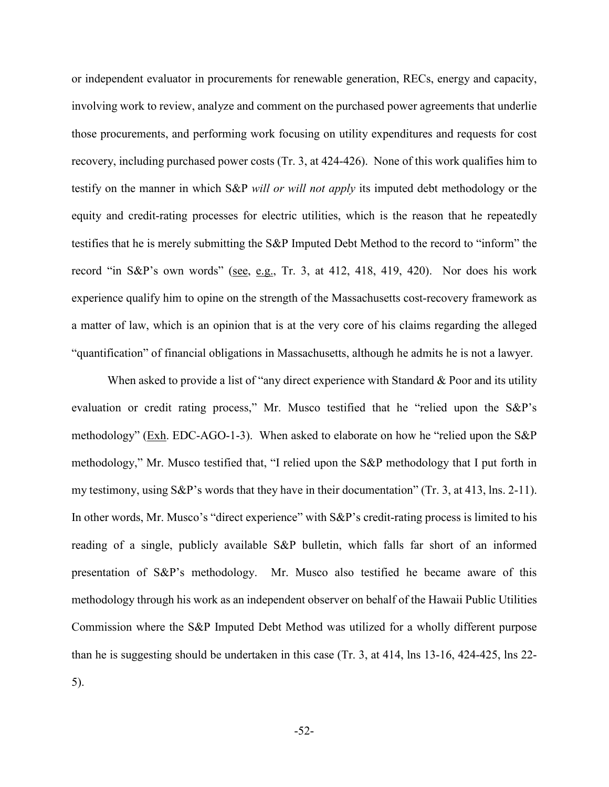or independent evaluator in procurements for renewable generation, RECs, energy and capacity, involving work to review, analyze and comment on the purchased power agreements that underlie those procurements, and performing work focusing on utility expenditures and requests for cost recovery, including purchased power costs (Tr. 3, at 424-426). None of this work qualifies him to testify on the manner in which S&P *will or will not apply* its imputed debt methodology or the equity and credit-rating processes for electric utilities, which is the reason that he repeatedly testifies that he is merely submitting the S&P Imputed Debt Method to the record to "inform" the record "in S&P's own words" (see, e.g., Tr. 3, at 412, 418, 419, 420). Nor does his work experience qualify him to opine on the strength of the Massachusetts cost-recovery framework as a matter of law, which is an opinion that is at the very core of his claims regarding the alleged "quantification" of financial obligations in Massachusetts, although he admits he is not a lawyer.

When asked to provide a list of "any direct experience with Standard & Poor and its utility evaluation or credit rating process," Mr. Musco testified that he "relied upon the S&P's methodology" (Exh. EDC-AGO-1-3). When asked to elaborate on how he "relied upon the S&P methodology," Mr. Musco testified that, "I relied upon the S&P methodology that I put forth in my testimony, using S&P's words that they have in their documentation" (Tr. 3, at 413, lns. 2-11). In other words, Mr. Musco's "direct experience" with S&P's credit-rating process is limited to his reading of a single, publicly available S&P bulletin, which falls far short of an informed presentation of S&P's methodology. Mr. Musco also testified he became aware of this methodology through his work as an independent observer on behalf of the Hawaii Public Utilities Commission where the S&P Imputed Debt Method was utilized for a wholly different purpose than he is suggesting should be undertaken in this case (Tr. 3, at 414, lns 13-16, 424-425, lns 22- 5).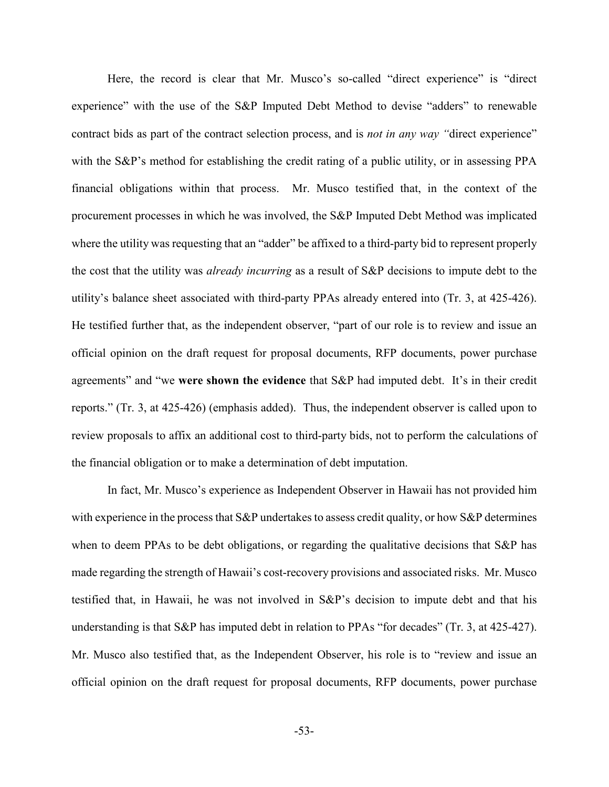Here, the record is clear that Mr. Musco's so-called "direct experience" is "direct experience" with the use of the S&P Imputed Debt Method to devise "adders" to renewable contract bids as part of the contract selection process, and is *not in any way "*direct experience" with the S&P's method for establishing the credit rating of a public utility, or in assessing PPA financial obligations within that process. Mr. Musco testified that, in the context of the procurement processes in which he was involved, the S&P Imputed Debt Method was implicated where the utility was requesting that an "adder" be affixed to a third-party bid to represent properly the cost that the utility was *already incurring* as a result of S&P decisions to impute debt to the utility's balance sheet associated with third-party PPAs already entered into (Tr. 3, at 425-426). He testified further that, as the independent observer, "part of our role is to review and issue an official opinion on the draft request for proposal documents, RFP documents, power purchase agreements" and "we **were shown the evidence** that S&P had imputed debt. It's in their credit reports." (Tr. 3, at 425-426) (emphasis added). Thus, the independent observer is called upon to review proposals to affix an additional cost to third-party bids, not to perform the calculations of the financial obligation or to make a determination of debt imputation.

In fact, Mr. Musco's experience as Independent Observer in Hawaii has not provided him with experience in the process that S&P undertakes to assess credit quality, or how S&P determines when to deem PPAs to be debt obligations, or regarding the qualitative decisions that S&P has made regarding the strength of Hawaii's cost-recovery provisions and associated risks. Mr. Musco testified that, in Hawaii, he was not involved in S&P's decision to impute debt and that his understanding is that S&P has imputed debt in relation to PPAs "for decades" (Tr. 3, at 425-427). Mr. Musco also testified that, as the Independent Observer, his role is to "review and issue an official opinion on the draft request for proposal documents, RFP documents, power purchase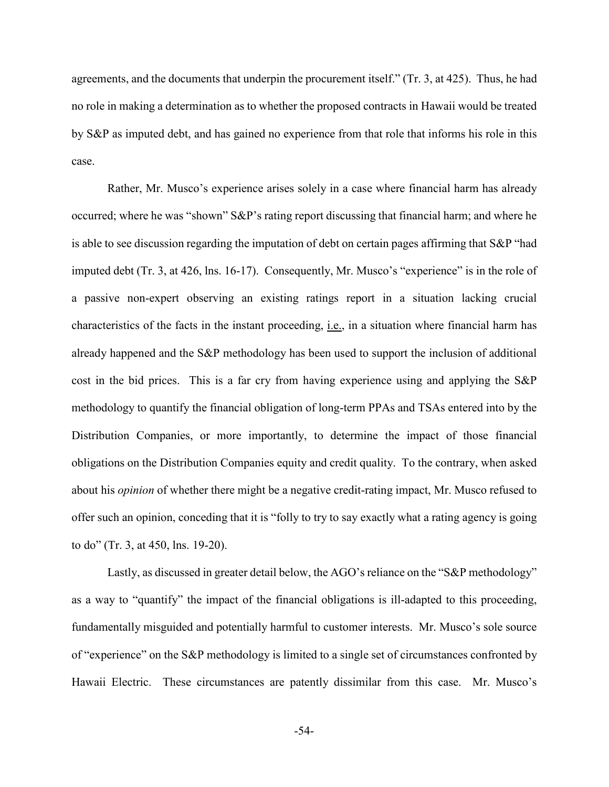agreements, and the documents that underpin the procurement itself." (Tr. 3, at 425). Thus, he had no role in making a determination as to whether the proposed contracts in Hawaii would be treated by S&P as imputed debt, and has gained no experience from that role that informs his role in this case.

Rather, Mr. Musco's experience arises solely in a case where financial harm has already occurred; where he was "shown" S&P's rating report discussing that financial harm; and where he is able to see discussion regarding the imputation of debt on certain pages affirming that S&P "had imputed debt (Tr. 3, at 426, lns. 16-17). Consequently, Mr. Musco's "experience" is in the role of a passive non-expert observing an existing ratings report in a situation lacking crucial characteristics of the facts in the instant proceeding, i.e., in a situation where financial harm has already happened and the S&P methodology has been used to support the inclusion of additional cost in the bid prices. This is a far cry from having experience using and applying the S&P methodology to quantify the financial obligation of long-term PPAs and TSAs entered into by the Distribution Companies, or more importantly, to determine the impact of those financial obligations on the Distribution Companies equity and credit quality. To the contrary, when asked about his *opinion* of whether there might be a negative credit-rating impact, Mr. Musco refused to offer such an opinion, conceding that it is "folly to try to say exactly what a rating agency is going to do" (Tr. 3, at 450, lns. 19-20).

Lastly, as discussed in greater detail below, the AGO's reliance on the "S&P methodology" as a way to "quantify" the impact of the financial obligations is ill-adapted to this proceeding, fundamentally misguided and potentially harmful to customer interests. Mr. Musco's sole source of "experience" on the S&P methodology is limited to a single set of circumstances confronted by Hawaii Electric. These circumstances are patently dissimilar from this case. Mr. Musco's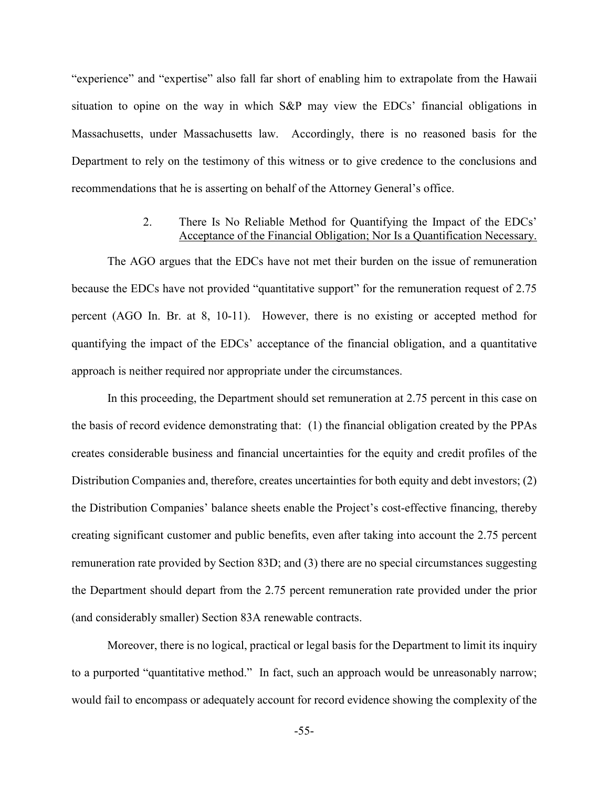"experience" and "expertise" also fall far short of enabling him to extrapolate from the Hawaii situation to opine on the way in which S&P may view the EDCs' financial obligations in Massachusetts, under Massachusetts law. Accordingly, there is no reasoned basis for the Department to rely on the testimony of this witness or to give credence to the conclusions and recommendations that he is asserting on behalf of the Attorney General's office.

## 2. There Is No Reliable Method for Quantifying the Impact of the EDCs' Acceptance of the Financial Obligation; Nor Is a Quantification Necessary.

The AGO argues that the EDCs have not met their burden on the issue of remuneration because the EDCs have not provided "quantitative support" for the remuneration request of 2.75 percent (AGO In. Br. at 8, 10-11). However, there is no existing or accepted method for quantifying the impact of the EDCs' acceptance of the financial obligation, and a quantitative approach is neither required nor appropriate under the circumstances.

In this proceeding, the Department should set remuneration at 2.75 percent in this case on the basis of record evidence demonstrating that: (1) the financial obligation created by the PPAs creates considerable business and financial uncertainties for the equity and credit profiles of the Distribution Companies and, therefore, creates uncertainties for both equity and debt investors; (2) the Distribution Companies' balance sheets enable the Project's cost-effective financing, thereby creating significant customer and public benefits, even after taking into account the 2.75 percent remuneration rate provided by Section 83D; and (3) there are no special circumstances suggesting the Department should depart from the 2.75 percent remuneration rate provided under the prior (and considerably smaller) Section 83A renewable contracts.

Moreover, there is no logical, practical or legal basis for the Department to limit its inquiry to a purported "quantitative method." In fact, such an approach would be unreasonably narrow; would fail to encompass or adequately account for record evidence showing the complexity of the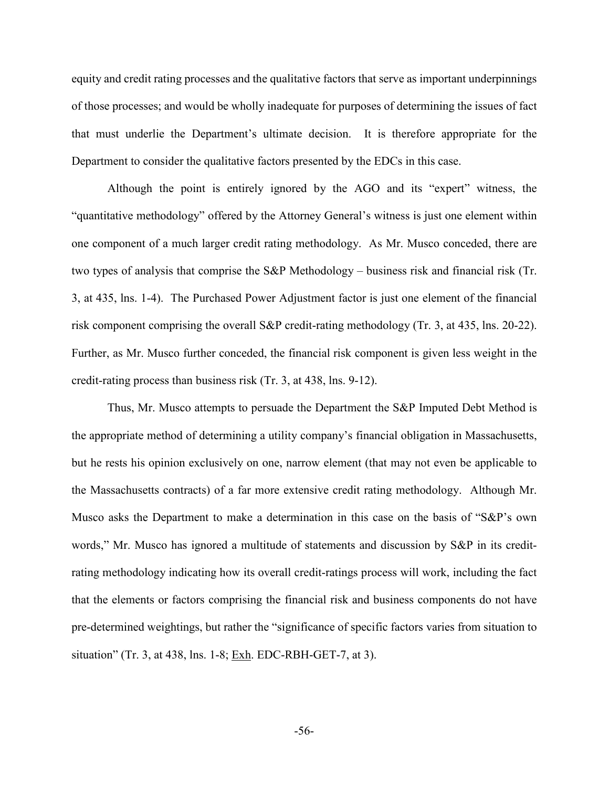equity and credit rating processes and the qualitative factors that serve as important underpinnings of those processes; and would be wholly inadequate for purposes of determining the issues of fact that must underlie the Department's ultimate decision. It is therefore appropriate for the Department to consider the qualitative factors presented by the EDCs in this case.

Although the point is entirely ignored by the AGO and its "expert" witness, the "quantitative methodology" offered by the Attorney General's witness is just one element within one component of a much larger credit rating methodology. As Mr. Musco conceded, there are two types of analysis that comprise the S&P Methodology – business risk and financial risk (Tr. 3, at 435, lns. 1-4). The Purchased Power Adjustment factor is just one element of the financial risk component comprising the overall S&P credit-rating methodology (Tr. 3, at 435, lns. 20-22). Further, as Mr. Musco further conceded, the financial risk component is given less weight in the credit-rating process than business risk (Tr. 3, at 438, lns. 9-12).

Thus, Mr. Musco attempts to persuade the Department the S&P Imputed Debt Method is the appropriate method of determining a utility company's financial obligation in Massachusetts, but he rests his opinion exclusively on one, narrow element (that may not even be applicable to the Massachusetts contracts) of a far more extensive credit rating methodology. Although Mr. Musco asks the Department to make a determination in this case on the basis of "S&P's own words," Mr. Musco has ignored a multitude of statements and discussion by S&P in its creditrating methodology indicating how its overall credit-ratings process will work, including the fact that the elements or factors comprising the financial risk and business components do not have pre-determined weightings, but rather the "significance of specific factors varies from situation to situation" (Tr. 3, at 438, lns. 1-8; Exh. EDC-RBH-GET-7, at 3).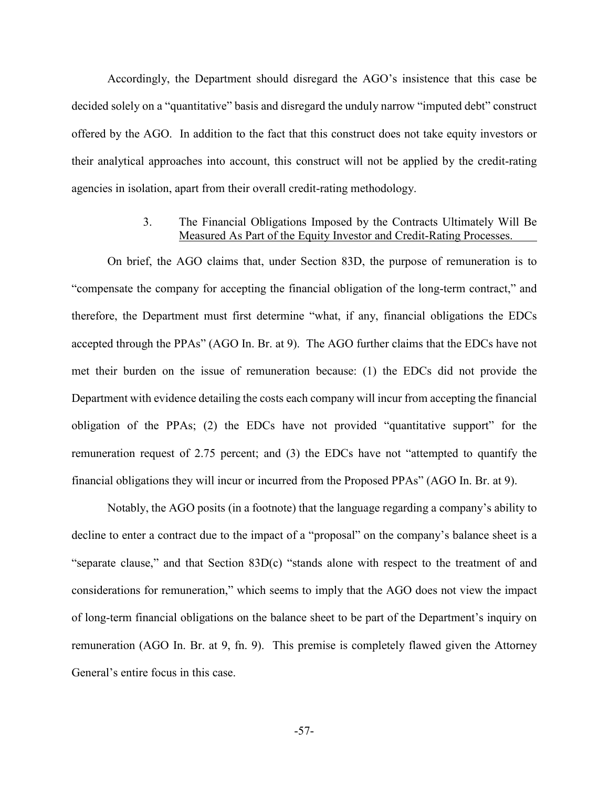Accordingly, the Department should disregard the AGO's insistence that this case be decided solely on a "quantitative" basis and disregard the unduly narrow "imputed debt" construct offered by the AGO. In addition to the fact that this construct does not take equity investors or their analytical approaches into account, this construct will not be applied by the credit-rating agencies in isolation, apart from their overall credit-rating methodology.

# 3. The Financial Obligations Imposed by the Contracts Ultimately Will Be Measured As Part of the Equity Investor and Credit-Rating Processes.

On brief, the AGO claims that, under Section 83D, the purpose of remuneration is to "compensate the company for accepting the financial obligation of the long-term contract," and therefore, the Department must first determine "what, if any, financial obligations the EDCs accepted through the PPAs" (AGO In. Br. at 9). The AGO further claims that the EDCs have not met their burden on the issue of remuneration because: (1) the EDCs did not provide the Department with evidence detailing the costs each company will incur from accepting the financial obligation of the PPAs; (2) the EDCs have not provided "quantitative support" for the remuneration request of 2.75 percent; and (3) the EDCs have not "attempted to quantify the financial obligations they will incur or incurred from the Proposed PPAs" (AGO In. Br. at 9).

Notably, the AGO posits (in a footnote) that the language regarding a company's ability to decline to enter a contract due to the impact of a "proposal" on the company's balance sheet is a "separate clause," and that Section 83D(c) "stands alone with respect to the treatment of and considerations for remuneration," which seems to imply that the AGO does not view the impact of long-term financial obligations on the balance sheet to be part of the Department's inquiry on remuneration (AGO In. Br. at 9, fn. 9). This premise is completely flawed given the Attorney General's entire focus in this case.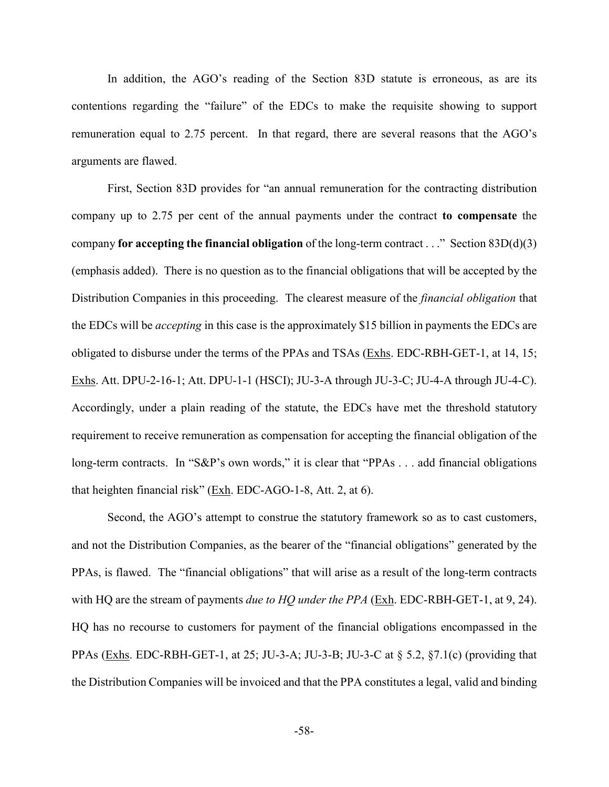In addition, the AGO's reading of the Section 83D statute is erroneous, as are its contentions regarding the "failure" of the EDCs to make the requisite showing to support remuneration equal to 2.75 percent. In that regard, there are several reasons that the AGO's arguments are flawed.

First, Section 83D provides for "an annual remuneration for the contracting distribution company up to 2.75 per cent of the annual payments under the contract **to compensate** the company **for accepting the financial obligation** of the long-term contract . . ." Section 83D(d)(3) (emphasis added). There is no question as to the financial obligations that will be accepted by the Distribution Companies in this proceeding. The clearest measure of the *financial obligation* that the EDCs will be *accepting* in this case is the approximately \$15 billion in payments the EDCs are obligated to disburse under the terms of the PPAs and TSAs (Exhs. EDC-RBH-GET-1, at 14, 15; Exhs. Att. DPU-2-16-1; Att. DPU-1-1 (HSCI); JU-3-A through JU-3-C; JU-4-A through JU-4-C). Accordingly, under a plain reading of the statute, the EDCs have met the threshold statutory requirement to receive remuneration as compensation for accepting the financial obligation of the long-term contracts. In "S&P's own words," it is clear that "PPAs . . . add financial obligations that heighten financial risk" (Exh. EDC-AGO-1-8, Att. 2, at 6).

Second, the AGO's attempt to construe the statutory framework so as to cast customers, and not the Distribution Companies, as the bearer of the "financial obligations" generated by the PPAs, is flawed. The "financial obligations" that will arise as a result of the long-term contracts with HQ are the stream of payments *due to HQ under the PPA* (Exh. EDC-RBH-GET-1, at 9, 24). HQ has no recourse to customers for payment of the financial obligations encompassed in the PPAs (Exhs. EDC-RBH-GET-1, at 25; JU-3-A; JU-3-B; JU-3-C at § 5.2, §7.1(c) (providing that the Distribution Companies will be invoiced and that the PPA constitutes a legal, valid and binding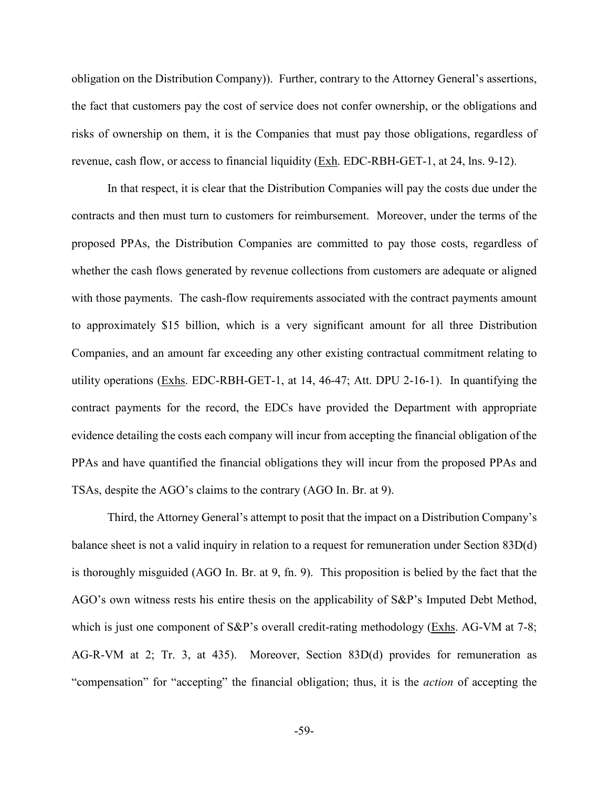obligation on the Distribution Company)). Further, contrary to the Attorney General's assertions, the fact that customers pay the cost of service does not confer ownership, or the obligations and risks of ownership on them, it is the Companies that must pay those obligations, regardless of revenue, cash flow, or access to financial liquidity (Exh. EDC-RBH-GET-1, at 24, lns. 9-12).

In that respect, it is clear that the Distribution Companies will pay the costs due under the contracts and then must turn to customers for reimbursement. Moreover, under the terms of the proposed PPAs, the Distribution Companies are committed to pay those costs, regardless of whether the cash flows generated by revenue collections from customers are adequate or aligned with those payments. The cash-flow requirements associated with the contract payments amount to approximately \$15 billion, which is a very significant amount for all three Distribution Companies, and an amount far exceeding any other existing contractual commitment relating to utility operations (Exhs. EDC-RBH-GET-1, at 14, 46-47; Att. DPU 2-16-1). In quantifying the contract payments for the record, the EDCs have provided the Department with appropriate evidence detailing the costs each company will incur from accepting the financial obligation of the PPAs and have quantified the financial obligations they will incur from the proposed PPAs and TSAs, despite the AGO's claims to the contrary (AGO In. Br. at 9).

Third, the Attorney General's attempt to posit that the impact on a Distribution Company's balance sheet is not a valid inquiry in relation to a request for remuneration under Section 83D(d) is thoroughly misguided (AGO In. Br. at 9, fn. 9). This proposition is belied by the fact that the AGO's own witness rests his entire thesis on the applicability of S&P's Imputed Debt Method, which is just one component of S&P's overall credit-rating methodology (Exhs. AG-VM at 7-8; AG-R-VM at 2; Tr. 3, at 435). Moreover, Section 83D(d) provides for remuneration as "compensation" for "accepting" the financial obligation; thus, it is the *action* of accepting the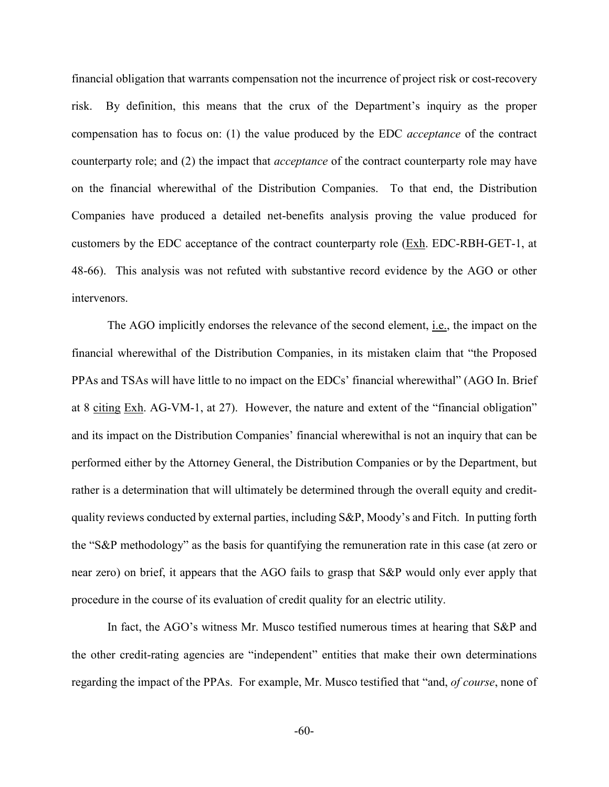financial obligation that warrants compensation not the incurrence of project risk or cost-recovery risk. By definition, this means that the crux of the Department's inquiry as the proper compensation has to focus on: (1) the value produced by the EDC *acceptance* of the contract counterparty role; and (2) the impact that *acceptance* of the contract counterparty role may have on the financial wherewithal of the Distribution Companies. To that end, the Distribution Companies have produced a detailed net-benefits analysis proving the value produced for customers by the EDC acceptance of the contract counterparty role (Exh. EDC-RBH-GET-1, at 48-66). This analysis was not refuted with substantive record evidence by the AGO or other intervenors.

The AGO implicitly endorses the relevance of the second element, *i.e.*, the impact on the financial wherewithal of the Distribution Companies, in its mistaken claim that "the Proposed PPAs and TSAs will have little to no impact on the EDCs' financial wherewithal" (AGO In. Brief at 8 citing Exh. AG-VM-1, at 27). However, the nature and extent of the "financial obligation" and its impact on the Distribution Companies' financial wherewithal is not an inquiry that can be performed either by the Attorney General, the Distribution Companies or by the Department, but rather is a determination that will ultimately be determined through the overall equity and creditquality reviews conducted by external parties, including S&P, Moody's and Fitch. In putting forth the "S&P methodology" as the basis for quantifying the remuneration rate in this case (at zero or near zero) on brief, it appears that the AGO fails to grasp that S&P would only ever apply that procedure in the course of its evaluation of credit quality for an electric utility.

In fact, the AGO's witness Mr. Musco testified numerous times at hearing that S&P and the other credit-rating agencies are "independent" entities that make their own determinations regarding the impact of the PPAs. For example, Mr. Musco testified that "and, *of course*, none of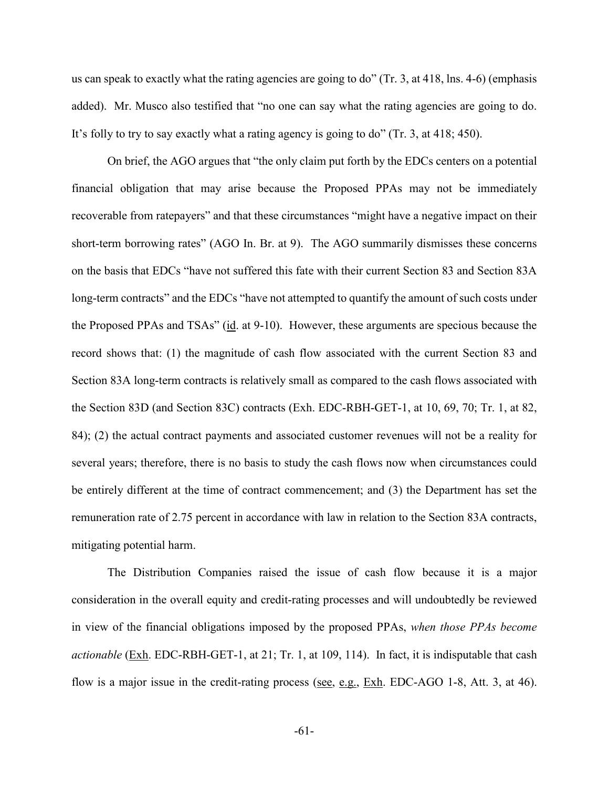us can speak to exactly what the rating agencies are going to do" (Tr. 3, at 418, lns. 4-6) (emphasis added). Mr. Musco also testified that "no one can say what the rating agencies are going to do. It's folly to try to say exactly what a rating agency is going to do" (Tr. 3, at 418; 450).

On brief, the AGO argues that "the only claim put forth by the EDCs centers on a potential financial obligation that may arise because the Proposed PPAs may not be immediately recoverable from ratepayers" and that these circumstances "might have a negative impact on their short-term borrowing rates" (AGO In. Br. at 9). The AGO summarily dismisses these concerns on the basis that EDCs "have not suffered this fate with their current Section 83 and Section 83A long-term contracts" and the EDCs "have not attempted to quantify the amount of such costs under the Proposed PPAs and TSAs" (id. at 9-10). However, these arguments are specious because the record shows that: (1) the magnitude of cash flow associated with the current Section 83 and Section 83A long-term contracts is relatively small as compared to the cash flows associated with the Section 83D (and Section 83C) contracts (Exh. EDC-RBH-GET-1, at 10, 69, 70; Tr. 1, at 82, 84); (2) the actual contract payments and associated customer revenues will not be a reality for several years; therefore, there is no basis to study the cash flows now when circumstances could be entirely different at the time of contract commencement; and (3) the Department has set the remuneration rate of 2.75 percent in accordance with law in relation to the Section 83A contracts, mitigating potential harm.

The Distribution Companies raised the issue of cash flow because it is a major consideration in the overall equity and credit-rating processes and will undoubtedly be reviewed in view of the financial obligations imposed by the proposed PPAs, *when those PPAs become actionable* (Exh. EDC-RBH-GET-1, at 21; Tr. 1, at 109, 114). In fact, it is indisputable that cash flow is a major issue in the credit-rating process (see, e.g.,  $Exh$ . EDC-AGO 1-8, Att. 3, at 46).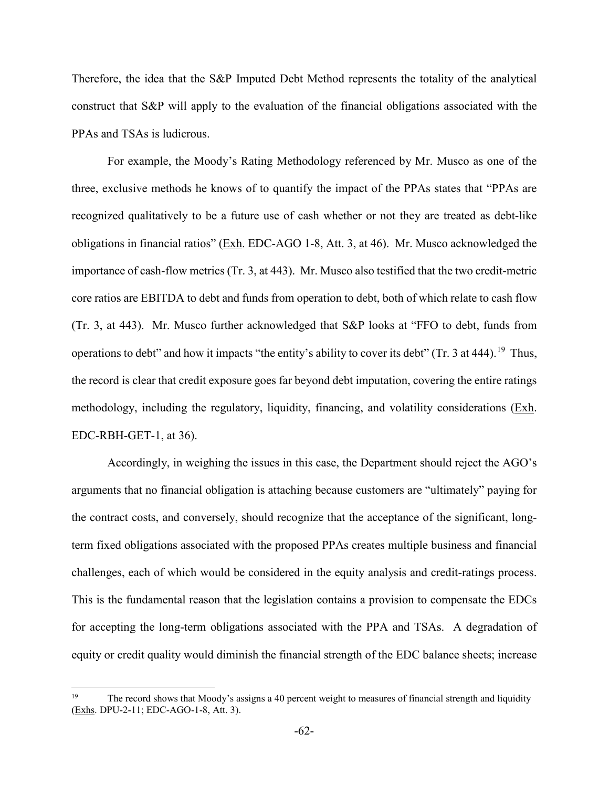Therefore, the idea that the S&P Imputed Debt Method represents the totality of the analytical construct that S&P will apply to the evaluation of the financial obligations associated with the PPAs and TSAs is ludicrous.

For example, the Moody's Rating Methodology referenced by Mr. Musco as one of the three, exclusive methods he knows of to quantify the impact of the PPAs states that "PPAs are recognized qualitatively to be a future use of cash whether or not they are treated as debt-like obligations in financial ratios" (Exh. EDC-AGO 1-8, Att. 3, at 46). Mr. Musco acknowledged the importance of cash-flow metrics (Tr. 3, at 443). Mr. Musco also testified that the two credit-metric core ratios are EBITDA to debt and funds from operation to debt, both of which relate to cash flow (Tr. 3, at 443). Mr. Musco further acknowledged that S&P looks at "FFO to debt, funds from operations to debt" and how it impacts "the entity's ability to cover its debt" (Tr. 3 at 444).<sup>[19](#page-64-0)</sup> Thus, the record is clear that credit exposure goes far beyond debt imputation, covering the entire ratings methodology, including the regulatory, liquidity, financing, and volatility considerations (Exh. EDC-RBH-GET-1, at 36).

Accordingly, in weighing the issues in this case, the Department should reject the AGO's arguments that no financial obligation is attaching because customers are "ultimately" paying for the contract costs, and conversely, should recognize that the acceptance of the significant, longterm fixed obligations associated with the proposed PPAs creates multiple business and financial challenges, each of which would be considered in the equity analysis and credit-ratings process. This is the fundamental reason that the legislation contains a provision to compensate the EDCs for accepting the long-term obligations associated with the PPA and TSAs. A degradation of equity or credit quality would diminish the financial strength of the EDC balance sheets; increase

<span id="page-64-0"></span><sup>&</sup>lt;sup>19</sup> The record shows that Moody's assigns a 40 percent weight to measures of financial strength and liquidity (Exhs. DPU-2-11; EDC-AGO-1-8, Att. 3).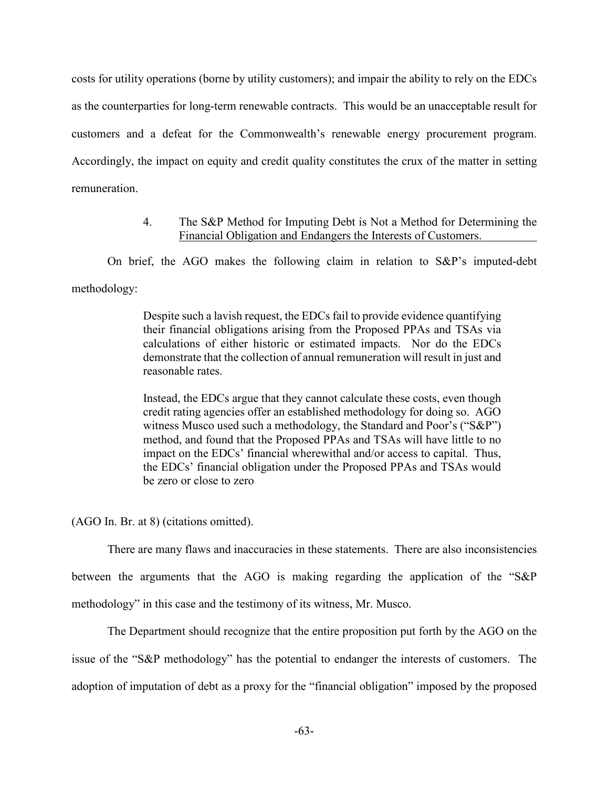costs for utility operations (borne by utility customers); and impair the ability to rely on the EDCs as the counterparties for long-term renewable contracts. This would be an unacceptable result for customers and a defeat for the Commonwealth's renewable energy procurement program. Accordingly, the impact on equity and credit quality constitutes the crux of the matter in setting remuneration.

## 4. The S&P Method for Imputing Debt is Not a Method for Determining the Financial Obligation and Endangers the Interests of Customers.

On brief, the AGO makes the following claim in relation to S&P's imputed-debt methodology:

> Despite such a lavish request, the EDCs fail to provide evidence quantifying their financial obligations arising from the Proposed PPAs and TSAs via calculations of either historic or estimated impacts. Nor do the EDCs demonstrate that the collection of annual remuneration will result in just and reasonable rates.

> Instead, the EDCs argue that they cannot calculate these costs, even though credit rating agencies offer an established methodology for doing so. AGO witness Musco used such a methodology, the Standard and Poor's ("S&P") method, and found that the Proposed PPAs and TSAs will have little to no impact on the EDCs' financial wherewithal and/or access to capital. Thus, the EDCs' financial obligation under the Proposed PPAs and TSAs would be zero or close to zero

(AGO In. Br. at 8) (citations omitted).

There are many flaws and inaccuracies in these statements. There are also inconsistencies between the arguments that the AGO is making regarding the application of the "S&P methodology" in this case and the testimony of its witness, Mr. Musco.

The Department should recognize that the entire proposition put forth by the AGO on the issue of the "S&P methodology" has the potential to endanger the interests of customers. The adoption of imputation of debt as a proxy for the "financial obligation" imposed by the proposed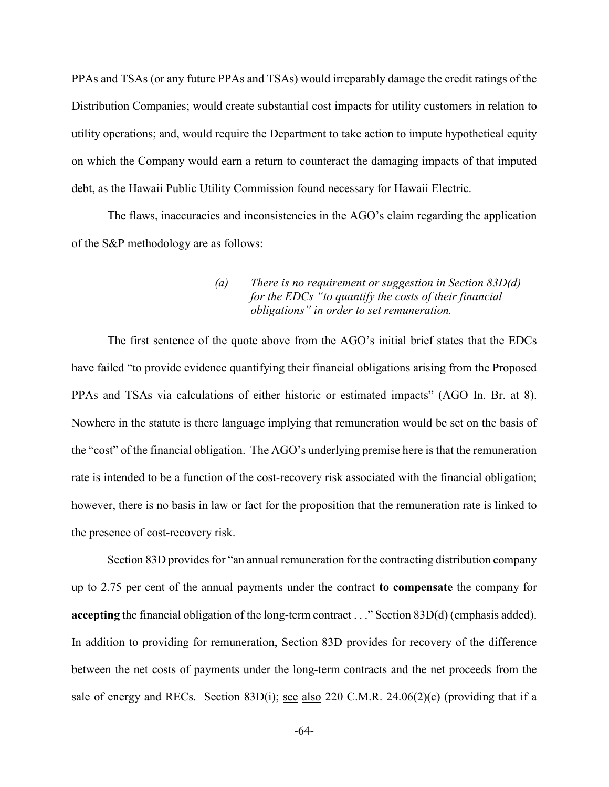PPAs and TSAs (or any future PPAs and TSAs) would irreparably damage the credit ratings of the Distribution Companies; would create substantial cost impacts for utility customers in relation to utility operations; and, would require the Department to take action to impute hypothetical equity on which the Company would earn a return to counteract the damaging impacts of that imputed debt, as the Hawaii Public Utility Commission found necessary for Hawaii Electric.

The flaws, inaccuracies and inconsistencies in the AGO's claim regarding the application of the S&P methodology are as follows:

# *(a) There is no requirement or suggestion in Section 83D(d) for the EDCs "to quantify the costs of their financial obligations" in order to set remuneration.*

The first sentence of the quote above from the AGO's initial brief states that the EDCs have failed "to provide evidence quantifying their financial obligations arising from the Proposed PPAs and TSAs via calculations of either historic or estimated impacts" (AGO In. Br. at 8). Nowhere in the statute is there language implying that remuneration would be set on the basis of the "cost" of the financial obligation. The AGO's underlying premise here is that the remuneration rate is intended to be a function of the cost-recovery risk associated with the financial obligation; however, there is no basis in law or fact for the proposition that the remuneration rate is linked to the presence of cost-recovery risk.

Section 83D provides for "an annual remuneration for the contracting distribution company up to 2.75 per cent of the annual payments under the contract **to compensate** the company for **accepting** the financial obligation of the long-term contract . . ." Section 83D(d) (emphasis added). In addition to providing for remuneration, Section 83D provides for recovery of the difference between the net costs of payments under the long-term contracts and the net proceeds from the sale of energy and RECs. Section 83D(i); see also 220 C.M.R. 24.06(2)(c) (providing that if a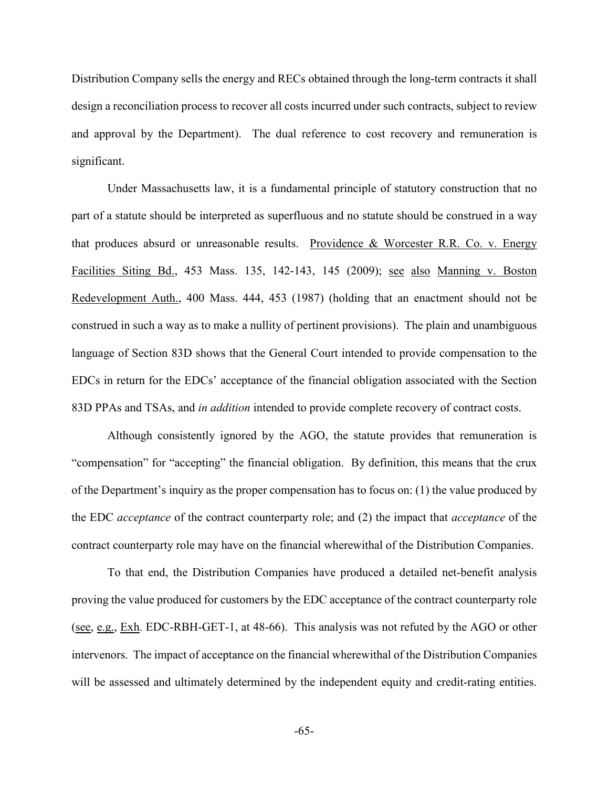Distribution Company sells the energy and RECs obtained through the long-term contracts it shall design a reconciliation process to recover all costs incurred under such contracts, subject to review and approval by the Department). The dual reference to cost recovery and remuneration is significant.

Under Massachusetts law, it is a fundamental principle of statutory construction that no part of a statute should be interpreted as superfluous and no statute should be construed in a way that produces absurd or unreasonable results. Providence & Worcester R.R. Co. v. Energy Facilities Siting Bd., 453 Mass. 135, 142-143, 145 (2009); see also Manning v. Boston Redevelopment Auth., 400 Mass. 444, 453 (1987) (holding that an enactment should not be construed in such a way as to make a nullity of pertinent provisions). The plain and unambiguous language of Section 83D shows that the General Court intended to provide compensation to the EDCs in return for the EDCs' acceptance of the financial obligation associated with the Section 83D PPAs and TSAs, and *in addition* intended to provide complete recovery of contract costs.

Although consistently ignored by the AGO, the statute provides that remuneration is "compensation" for "accepting" the financial obligation. By definition, this means that the crux of the Department's inquiry as the proper compensation has to focus on: (1) the value produced by the EDC *acceptance* of the contract counterparty role; and (2) the impact that *acceptance* of the contract counterparty role may have on the financial wherewithal of the Distribution Companies.

To that end, the Distribution Companies have produced a detailed net-benefit analysis proving the value produced for customers by the EDC acceptance of the contract counterparty role (see, e.g., Exh. EDC-RBH-GET-1, at 48-66). This analysis was not refuted by the AGO or other intervenors. The impact of acceptance on the financial wherewithal of the Distribution Companies will be assessed and ultimately determined by the independent equity and credit-rating entities.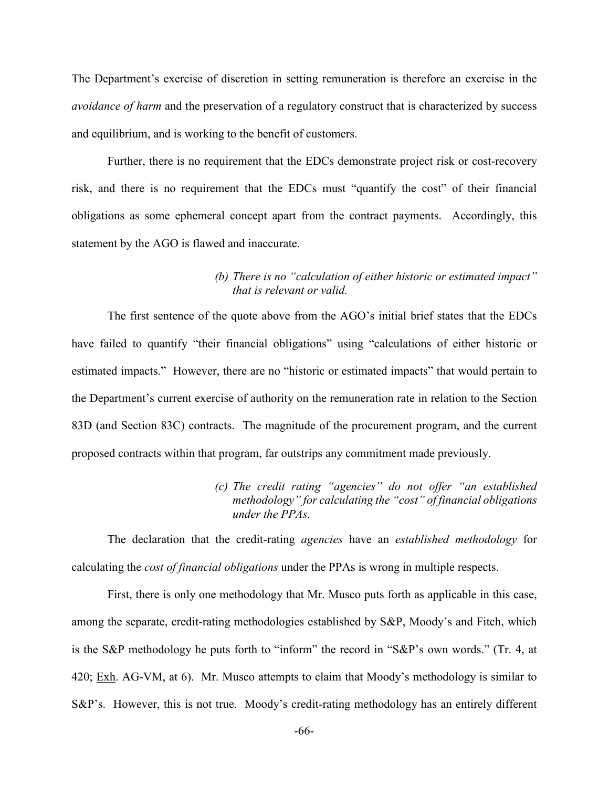The Department's exercise of discretion in setting remuneration is therefore an exercise in the *avoidance of harm* and the preservation of a regulatory construct that is characterized by success and equilibrium, and is working to the benefit of customers.

Further, there is no requirement that the EDCs demonstrate project risk or cost-recovery risk, and there is no requirement that the EDCs must "quantify the cost" of their financial obligations as some ephemeral concept apart from the contract payments. Accordingly, this statement by the AGO is flawed and inaccurate.

# *(b) There is no "calculation of either historic or estimated impact" that is relevant or valid.*

The first sentence of the quote above from the AGO's initial brief states that the EDCs have failed to quantify "their financial obligations" using "calculations of either historic or estimated impacts." However, there are no "historic or estimated impacts" that would pertain to the Department's current exercise of authority on the remuneration rate in relation to the Section 83D (and Section 83C) contracts. The magnitude of the procurement program, and the current proposed contracts within that program, far outstrips any commitment made previously.

> *(c) The credit rating "agencies" do not offer "an established methodology" for calculating the "cost" of financial obligations under the PPAs.*

The declaration that the credit-rating *agencies* have an *established methodology* for calculating the *cost of financial obligations* under the PPAs is wrong in multiple respects.

First, there is only one methodology that Mr. Musco puts forth as applicable in this case, among the separate, credit-rating methodologies established by S&P, Moody's and Fitch, which is the S&P methodology he puts forth to "inform" the record in "S&P's own words." (Tr. 4, at 420; Exh. AG-VM, at 6). Mr. Musco attempts to claim that Moody's methodology is similar to S&P's. However, this is not true. Moody's credit-rating methodology has an entirely different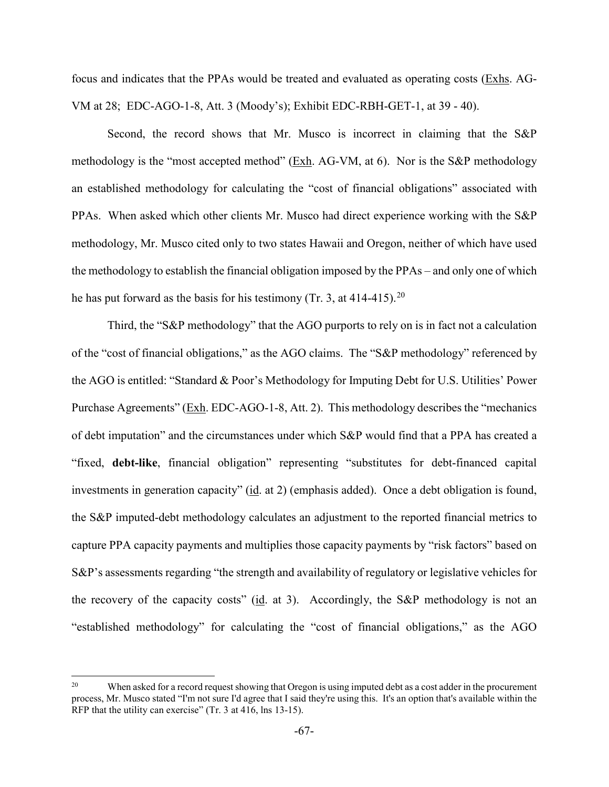focus and indicates that the PPAs would be treated and evaluated as operating costs (Exhs. AG-VM at 28; EDC-AGO-1-8, Att. 3 (Moody's); Exhibit EDC-RBH-GET-1, at 39 - 40).

Second, the record shows that Mr. Musco is incorrect in claiming that the S&P methodology is the "most accepted method" (Exh. AG-VM, at 6). Nor is the S&P methodology an established methodology for calculating the "cost of financial obligations" associated with PPAs. When asked which other clients Mr. Musco had direct experience working with the S&P methodology, Mr. Musco cited only to two states Hawaii and Oregon, neither of which have used the methodology to establish the financial obligation imposed by the PPAs – and only one of which he has put forward as the basis for his testimony (Tr. 3, at 414-415).<sup>[20](#page-69-0)</sup>

Third, the "S&P methodology" that the AGO purports to rely on is in fact not a calculation of the "cost of financial obligations," as the AGO claims. The "S&P methodology" referenced by the AGO is entitled: "Standard & Poor's Methodology for Imputing Debt for U.S. Utilities' Power Purchase Agreements" (Exh. EDC-AGO-1-8, Att. 2). This methodology describes the "mechanics of debt imputation" and the circumstances under which S&P would find that a PPA has created a "fixed, **debt-like**, financial obligation" representing "substitutes for debt-financed capital investments in generation capacity" (id. at 2) (emphasis added). Once a debt obligation is found, the S&P imputed-debt methodology calculates an adjustment to the reported financial metrics to capture PPA capacity payments and multiplies those capacity payments by "risk factors" based on S&P's assessments regarding "the strength and availability of regulatory or legislative vehicles for the recovery of the capacity costs" (id. at 3). Accordingly, the S&P methodology is not an "established methodology" for calculating the "cost of financial obligations," as the AGO

<span id="page-69-0"></span><sup>&</sup>lt;sup>20</sup> When asked for a record request showing that Oregon is using imputed debt as a cost adder in the procurement process, Mr. Musco stated "I'm not sure I'd agree that I said they're using this. It's an option that's available within the RFP that the utility can exercise" (Tr. 3 at 416, lns 13-15).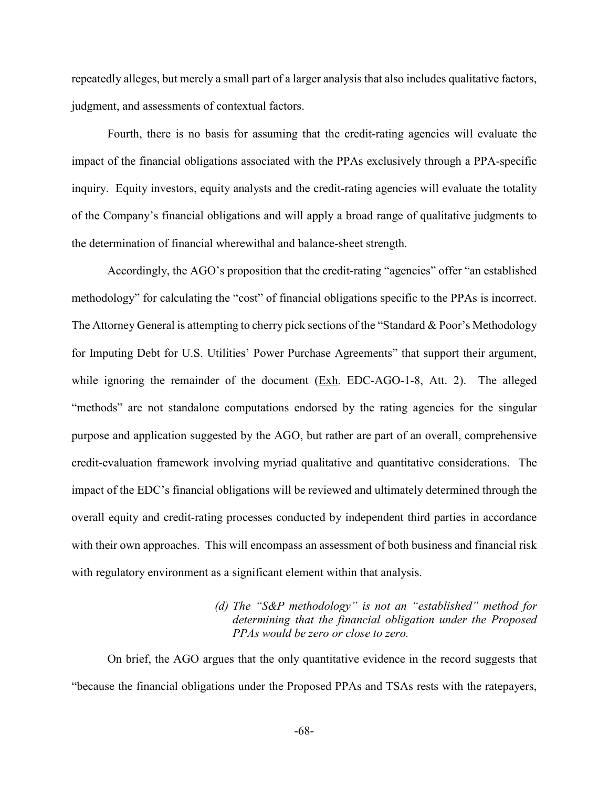repeatedly alleges, but merely a small part of a larger analysis that also includes qualitative factors, judgment, and assessments of contextual factors.

Fourth, there is no basis for assuming that the credit-rating agencies will evaluate the impact of the financial obligations associated with the PPAs exclusively through a PPA-specific inquiry. Equity investors, equity analysts and the credit-rating agencies will evaluate the totality of the Company's financial obligations and will apply a broad range of qualitative judgments to the determination of financial wherewithal and balance-sheet strength.

Accordingly, the AGO's proposition that the credit-rating "agencies" offer "an established methodology" for calculating the "cost" of financial obligations specific to the PPAs is incorrect. The Attorney General is attempting to cherry pick sections of the "Standard & Poor's Methodology for Imputing Debt for U.S. Utilities' Power Purchase Agreements" that support their argument, while ignoring the remainder of the document (Exh. EDC-AGO-1-8, Att. 2). The alleged "methods" are not standalone computations endorsed by the rating agencies for the singular purpose and application suggested by the AGO, but rather are part of an overall, comprehensive credit-evaluation framework involving myriad qualitative and quantitative considerations. The impact of the EDC's financial obligations will be reviewed and ultimately determined through the overall equity and credit-rating processes conducted by independent third parties in accordance with their own approaches. This will encompass an assessment of both business and financial risk with regulatory environment as a significant element within that analysis.

# *(d) The "S&P methodology" is not an "established" method for determining that the financial obligation under the Proposed PPAs would be zero or close to zero.*

On brief, the AGO argues that the only quantitative evidence in the record suggests that "because the financial obligations under the Proposed PPAs and TSAs rests with the ratepayers,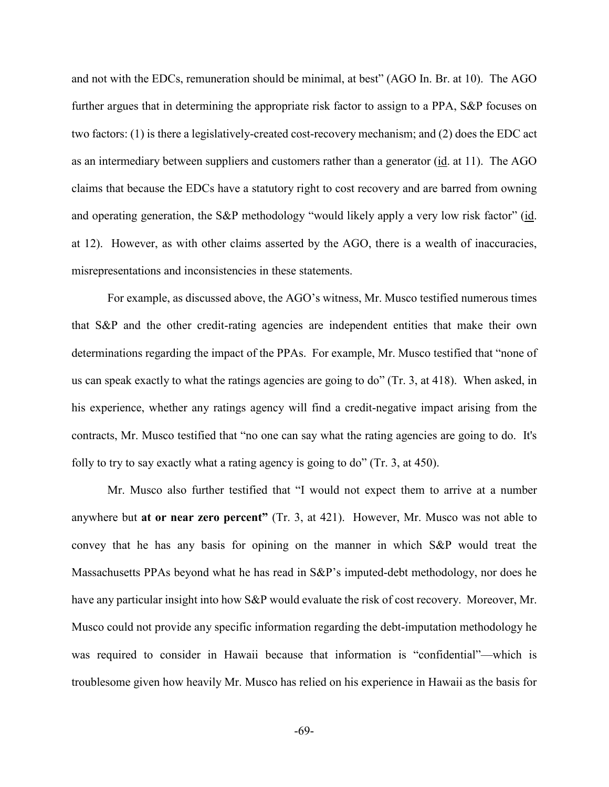and not with the EDCs, remuneration should be minimal, at best" (AGO In. Br. at 10). The AGO further argues that in determining the appropriate risk factor to assign to a PPA, S&P focuses on two factors: (1) is there a legislatively-created cost-recovery mechanism; and (2) does the EDC act as an intermediary between suppliers and customers rather than a generator (id. at 11). The AGO claims that because the EDCs have a statutory right to cost recovery and are barred from owning and operating generation, the S&P methodology "would likely apply a very low risk factor" (id. at 12). However, as with other claims asserted by the AGO, there is a wealth of inaccuracies, misrepresentations and inconsistencies in these statements.

For example, as discussed above, the AGO's witness, Mr. Musco testified numerous times that S&P and the other credit-rating agencies are independent entities that make their own determinations regarding the impact of the PPAs. For example, Mr. Musco testified that "none of us can speak exactly to what the ratings agencies are going to do" (Tr. 3, at 418). When asked, in his experience, whether any ratings agency will find a credit-negative impact arising from the contracts, Mr. Musco testified that "no one can say what the rating agencies are going to do. It's folly to try to say exactly what a rating agency is going to do" (Tr. 3, at 450).

Mr. Musco also further testified that "I would not expect them to arrive at a number anywhere but **at or near zero percent"** (Tr. 3, at 421). However, Mr. Musco was not able to convey that he has any basis for opining on the manner in which S&P would treat the Massachusetts PPAs beyond what he has read in S&P's imputed-debt methodology, nor does he have any particular insight into how S&P would evaluate the risk of cost recovery. Moreover, Mr. Musco could not provide any specific information regarding the debt-imputation methodology he was required to consider in Hawaii because that information is "confidential"—which is troublesome given how heavily Mr. Musco has relied on his experience in Hawaii as the basis for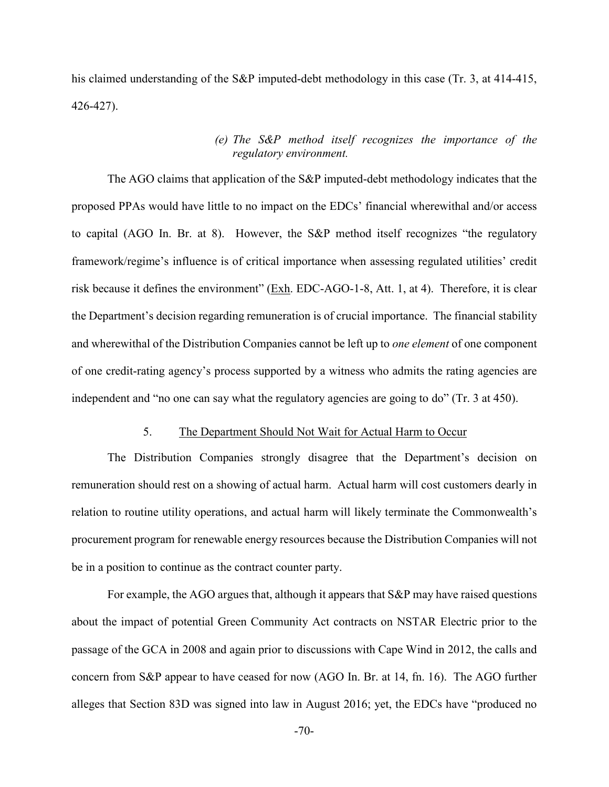his claimed understanding of the S&P imputed-debt methodology in this case (Tr. 3, at 414-415, 426-427).

## *(e) The S&P method itself recognizes the importance of the regulatory environment.*

The AGO claims that application of the S&P imputed-debt methodology indicates that the proposed PPAs would have little to no impact on the EDCs' financial wherewithal and/or access to capital (AGO In. Br. at 8). However, the S&P method itself recognizes "the regulatory framework/regime's influence is of critical importance when assessing regulated utilities' credit risk because it defines the environment" (Exh. EDC-AGO-1-8, Att. 1, at 4). Therefore, it is clear the Department's decision regarding remuneration is of crucial importance. The financial stability and wherewithal of the Distribution Companies cannot be left up to *one element* of one component of one credit-rating agency's process supported by a witness who admits the rating agencies are independent and "no one can say what the regulatory agencies are going to do" (Tr. 3 at 450).

## 5. The Department Should Not Wait for Actual Harm to Occur

The Distribution Companies strongly disagree that the Department's decision on remuneration should rest on a showing of actual harm. Actual harm will cost customers dearly in relation to routine utility operations, and actual harm will likely terminate the Commonwealth's procurement program for renewable energy resources because the Distribution Companies will not be in a position to continue as the contract counter party.

For example, the AGO argues that, although it appears that S&P may have raised questions about the impact of potential Green Community Act contracts on NSTAR Electric prior to the passage of the GCA in 2008 and again prior to discussions with Cape Wind in 2012, the calls and concern from S&P appear to have ceased for now (AGO In. Br. at 14, fn. 16). The AGO further alleges that Section 83D was signed into law in August 2016; yet, the EDCs have "produced no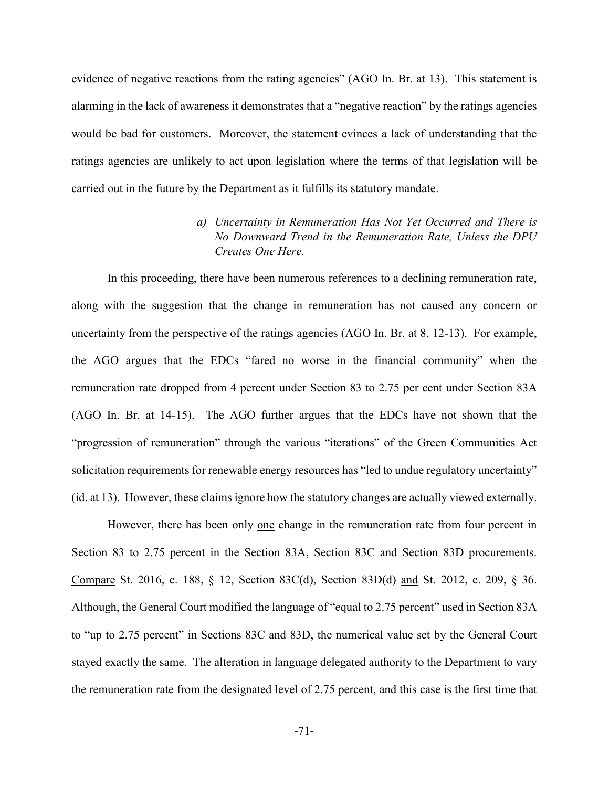evidence of negative reactions from the rating agencies" (AGO In. Br. at 13). This statement is alarming in the lack of awareness it demonstrates that a "negative reaction" by the ratings agencies would be bad for customers. Moreover, the statement evinces a lack of understanding that the ratings agencies are unlikely to act upon legislation where the terms of that legislation will be carried out in the future by the Department as it fulfills its statutory mandate.

# *a) Uncertainty in Remuneration Has Not Yet Occurred and There is No Downward Trend in the Remuneration Rate, Unless the DPU Creates One Here.*

In this proceeding, there have been numerous references to a declining remuneration rate, along with the suggestion that the change in remuneration has not caused any concern or uncertainty from the perspective of the ratings agencies (AGO In. Br. at 8, 12-13). For example, the AGO argues that the EDCs "fared no worse in the financial community" when the remuneration rate dropped from 4 percent under Section 83 to 2.75 per cent under Section 83A (AGO In. Br. at 14-15). The AGO further argues that the EDCs have not shown that the "progression of remuneration" through the various "iterations" of the Green Communities Act solicitation requirements for renewable energy resources has "led to undue regulatory uncertainty" (id. at 13). However, these claims ignore how the statutory changes are actually viewed externally.

However, there has been only one change in the remuneration rate from four percent in Section 83 to 2.75 percent in the Section 83A, Section 83C and Section 83D procurements. Compare St. 2016, c. 188, § 12, Section 83C(d), Section 83D(d) and St. 2012, c. 209, § 36. Although, the General Court modified the language of "equal to 2.75 percent" used in Section 83A to "up to 2.75 percent" in Sections 83C and 83D, the numerical value set by the General Court stayed exactly the same. The alteration in language delegated authority to the Department to vary the remuneration rate from the designated level of 2.75 percent, and this case is the first time that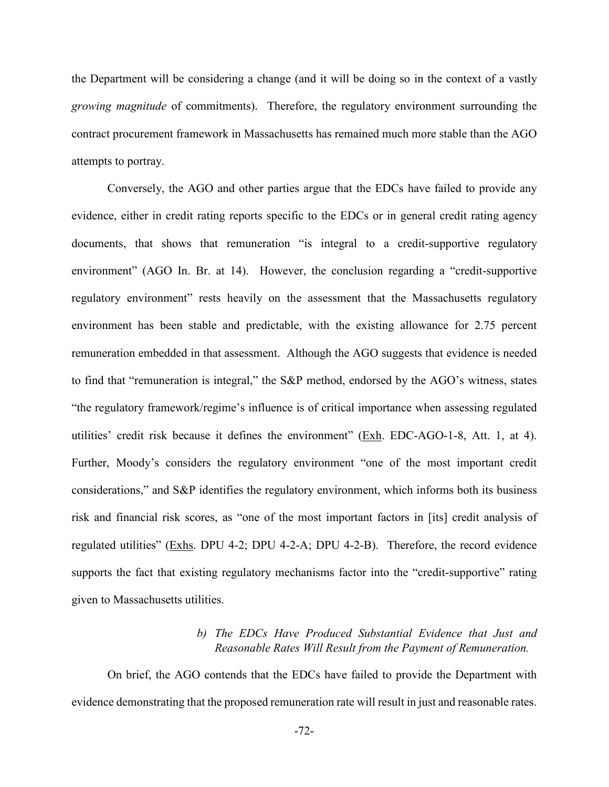the Department will be considering a change (and it will be doing so in the context of a vastly *growing magnitude* of commitments). Therefore, the regulatory environment surrounding the contract procurement framework in Massachusetts has remained much more stable than the AGO attempts to portray.

Conversely, the AGO and other parties argue that the EDCs have failed to provide any evidence, either in credit rating reports specific to the EDCs or in general credit rating agency documents, that shows that remuneration "is integral to a credit-supportive regulatory environment" (AGO In. Br. at 14). However, the conclusion regarding a "credit-supportive regulatory environment" rests heavily on the assessment that the Massachusetts regulatory environment has been stable and predictable, with the existing allowance for 2.75 percent remuneration embedded in that assessment. Although the AGO suggests that evidence is needed to find that "remuneration is integral," the S&P method, endorsed by the AGO's witness, states "the regulatory framework/regime's influence is of critical importance when assessing regulated utilities' credit risk because it defines the environment" ( $Exh$ . EDC-AGO-1-8, Att. 1, at 4). Further, Moody's considers the regulatory environment "one of the most important credit considerations," and S&P identifies the regulatory environment, which informs both its business risk and financial risk scores, as "one of the most important factors in [its] credit analysis of regulated utilities" (Exhs. DPU 4-2; DPU 4-2-A; DPU 4-2-B). Therefore, the record evidence supports the fact that existing regulatory mechanisms factor into the "credit-supportive" rating given to Massachusetts utilities.

# *b) The EDCs Have Produced Substantial Evidence that Just and Reasonable Rates Will Result from the Payment of Remuneration.*

On brief, the AGO contends that the EDCs have failed to provide the Department with evidence demonstrating that the proposed remuneration rate will result in just and reasonable rates.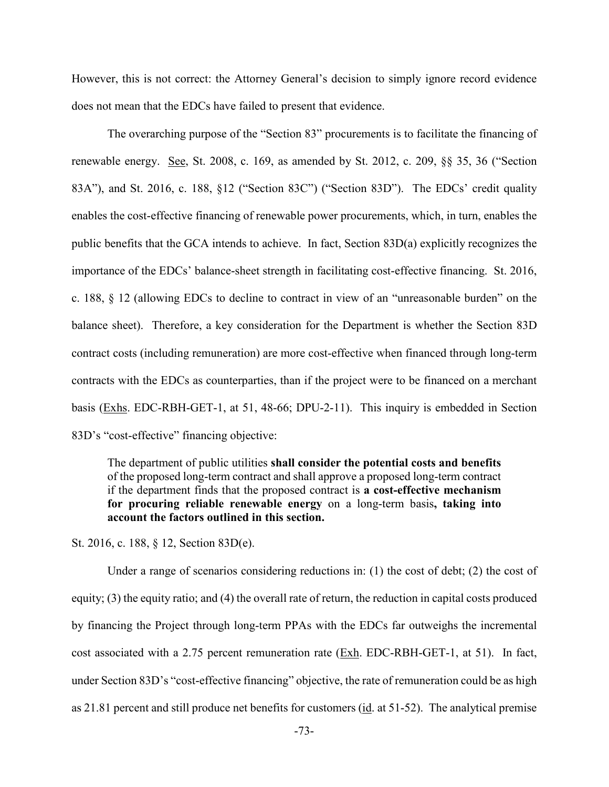However, this is not correct: the Attorney General's decision to simply ignore record evidence does not mean that the EDCs have failed to present that evidence.

The overarching purpose of the "Section 83" procurements is to facilitate the financing of renewable energy. See, St. 2008, c. 169, as amended by St. 2012, c. 209, §§ 35, 36 ("Section 83A"), and St. 2016, c. 188, §12 ("Section 83C") ("Section 83D"). The EDCs' credit quality enables the cost-effective financing of renewable power procurements, which, in turn, enables the public benefits that the GCA intends to achieve. In fact, Section 83D(a) explicitly recognizes the importance of the EDCs' balance-sheet strength in facilitating cost-effective financing. St. 2016, c. 188, § 12 (allowing EDCs to decline to contract in view of an "unreasonable burden" on the balance sheet). Therefore, a key consideration for the Department is whether the Section 83D contract costs (including remuneration) are more cost-effective when financed through long-term contracts with the EDCs as counterparties, than if the project were to be financed on a merchant basis (Exhs. EDC-RBH-GET-1, at 51, 48-66; DPU-2-11). This inquiry is embedded in Section 83D's "cost-effective" financing objective:

The department of public utilities **shall consider the potential costs and benefits** of the proposed long-term contract and shall approve a proposed long-term contract if the department finds that the proposed contract is **a cost-effective mechanism for procuring reliable renewable energy** on a long-term basis**, taking into account the factors outlined in this section.**

St. 2016, c. 188, § 12, Section 83D(e).

Under a range of scenarios considering reductions in: (1) the cost of debt; (2) the cost of equity; (3) the equity ratio; and (4) the overall rate of return, the reduction in capital costs produced by financing the Project through long-term PPAs with the EDCs far outweighs the incremental cost associated with a 2.75 percent remuneration rate (Exh. EDC-RBH-GET-1, at 51). In fact, under Section 83D's "cost-effective financing" objective, the rate of remuneration could be as high as 21.81 percent and still produce net benefits for customers (id. at 51-52). The analytical premise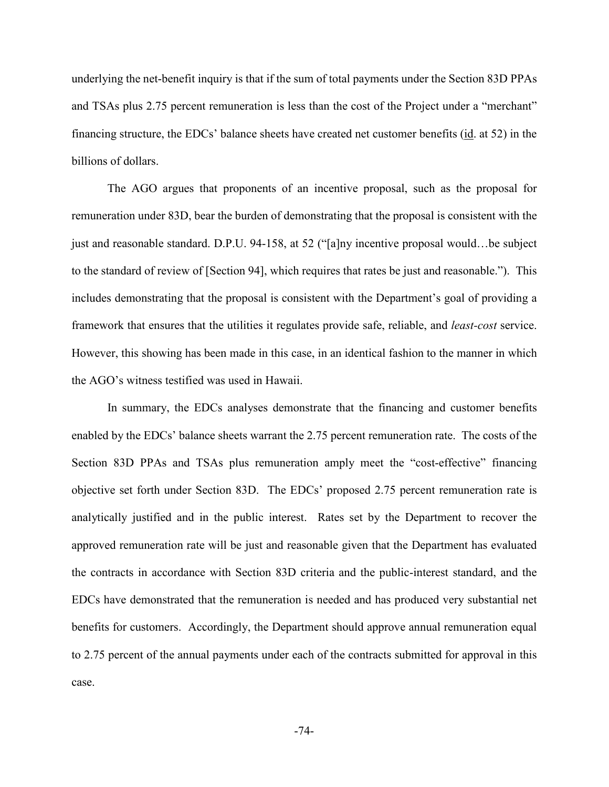underlying the net-benefit inquiry is that if the sum of total payments under the Section 83D PPAs and TSAs plus 2.75 percent remuneration is less than the cost of the Project under a "merchant" financing structure, the EDCs' balance sheets have created net customer benefits (id. at 52) in the billions of dollars.

The AGO argues that proponents of an incentive proposal, such as the proposal for remuneration under 83D, bear the burden of demonstrating that the proposal is consistent with the just and reasonable standard. D.P.U. 94-158, at 52 ("[a]ny incentive proposal would…be subject to the standard of review of [Section 94], which requires that rates be just and reasonable."). This includes demonstrating that the proposal is consistent with the Department's goal of providing a framework that ensures that the utilities it regulates provide safe, reliable, and *least-cost* service. However, this showing has been made in this case, in an identical fashion to the manner in which the AGO's witness testified was used in Hawaii.

In summary, the EDCs analyses demonstrate that the financing and customer benefits enabled by the EDCs' balance sheets warrant the 2.75 percent remuneration rate. The costs of the Section 83D PPAs and TSAs plus remuneration amply meet the "cost-effective" financing objective set forth under Section 83D. The EDCs' proposed 2.75 percent remuneration rate is analytically justified and in the public interest. Rates set by the Department to recover the approved remuneration rate will be just and reasonable given that the Department has evaluated the contracts in accordance with Section 83D criteria and the public-interest standard, and the EDCs have demonstrated that the remuneration is needed and has produced very substantial net benefits for customers. Accordingly, the Department should approve annual remuneration equal to 2.75 percent of the annual payments under each of the contracts submitted for approval in this case.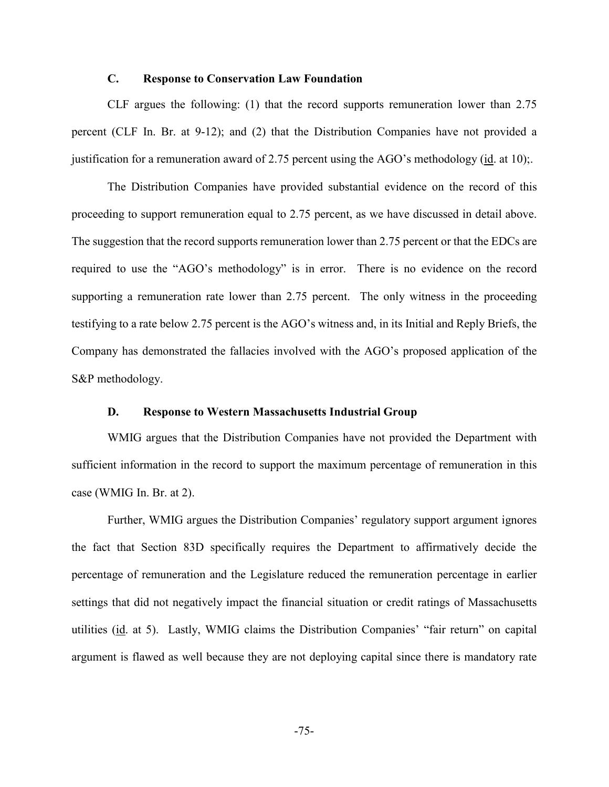#### **C. Response to Conservation Law Foundation**

CLF argues the following: (1) that the record supports remuneration lower than 2.75 percent (CLF In. Br. at 9-12); and (2) that the Distribution Companies have not provided a justification for a remuneration award of 2.75 percent using the AGO's methodology (id. at 10);.

The Distribution Companies have provided substantial evidence on the record of this proceeding to support remuneration equal to 2.75 percent, as we have discussed in detail above. The suggestion that the record supports remuneration lower than 2.75 percent or that the EDCs are required to use the "AGO's methodology" is in error. There is no evidence on the record supporting a remuneration rate lower than 2.75 percent. The only witness in the proceeding testifying to a rate below 2.75 percent is the AGO's witness and, in its Initial and Reply Briefs, the Company has demonstrated the fallacies involved with the AGO's proposed application of the S&P methodology.

#### **D. Response to Western Massachusetts Industrial Group**

WMIG argues that the Distribution Companies have not provided the Department with sufficient information in the record to support the maximum percentage of remuneration in this case (WMIG In. Br. at 2).

Further, WMIG argues the Distribution Companies' regulatory support argument ignores the fact that Section 83D specifically requires the Department to affirmatively decide the percentage of remuneration and the Legislature reduced the remuneration percentage in earlier settings that did not negatively impact the financial situation or credit ratings of Massachusetts utilities (id. at 5). Lastly, WMIG claims the Distribution Companies' "fair return" on capital argument is flawed as well because they are not deploying capital since there is mandatory rate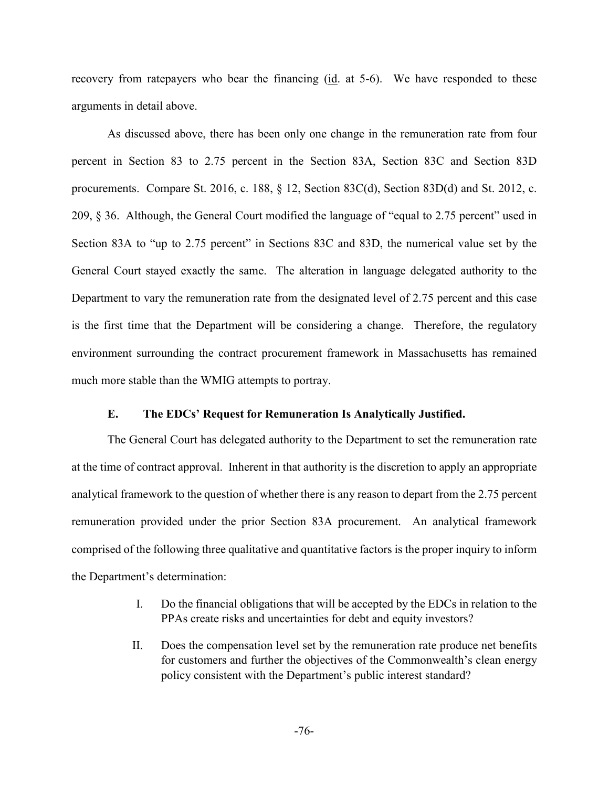recovery from ratepayers who bear the financing (id. at 5-6). We have responded to these arguments in detail above.

As discussed above, there has been only one change in the remuneration rate from four percent in Section 83 to 2.75 percent in the Section 83A, Section 83C and Section 83D procurements. Compare St. 2016, c. 188, § 12, Section 83C(d), Section 83D(d) and St. 2012, c. 209, § 36. Although, the General Court modified the language of "equal to 2.75 percent" used in Section 83A to "up to 2.75 percent" in Sections 83C and 83D, the numerical value set by the General Court stayed exactly the same. The alteration in language delegated authority to the Department to vary the remuneration rate from the designated level of 2.75 percent and this case is the first time that the Department will be considering a change. Therefore, the regulatory environment surrounding the contract procurement framework in Massachusetts has remained much more stable than the WMIG attempts to portray.

#### **E. The EDCs' Request for Remuneration Is Analytically Justified.**

The General Court has delegated authority to the Department to set the remuneration rate at the time of contract approval. Inherent in that authority is the discretion to apply an appropriate analytical framework to the question of whether there is any reason to depart from the 2.75 percent remuneration provided under the prior Section 83A procurement. An analytical framework comprised of the following three qualitative and quantitative factors is the proper inquiry to inform the Department's determination:

- I. Do the financial obligations that will be accepted by the EDCs in relation to the PPAs create risks and uncertainties for debt and equity investors?
- II. Does the compensation level set by the remuneration rate produce net benefits for customers and further the objectives of the Commonwealth's clean energy policy consistent with the Department's public interest standard?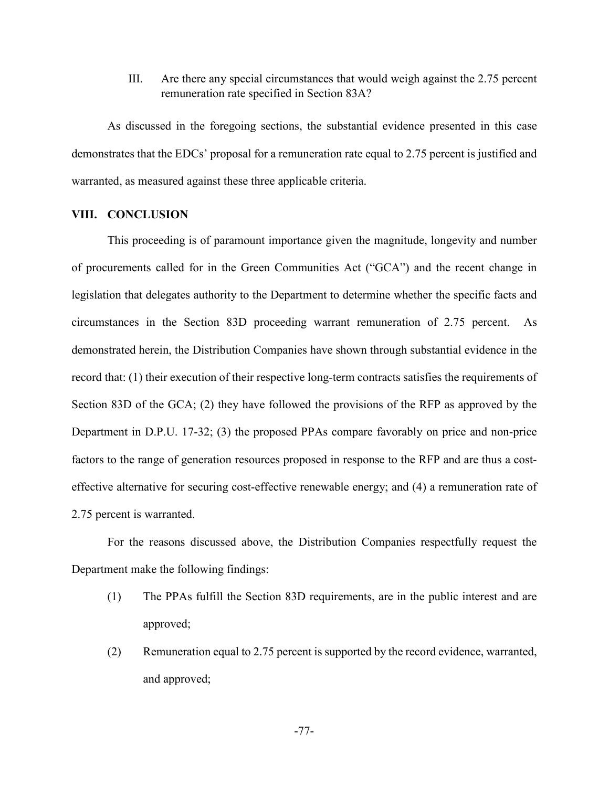III. Are there any special circumstances that would weigh against the 2.75 percent remuneration rate specified in Section 83A?

As discussed in the foregoing sections, the substantial evidence presented in this case demonstrates that the EDCs' proposal for a remuneration rate equal to 2.75 percent is justified and warranted, as measured against these three applicable criteria.

## **VIII. CONCLUSION**

This proceeding is of paramount importance given the magnitude, longevity and number of procurements called for in the Green Communities Act ("GCA") and the recent change in legislation that delegates authority to the Department to determine whether the specific facts and circumstances in the Section 83D proceeding warrant remuneration of 2.75 percent. As demonstrated herein, the Distribution Companies have shown through substantial evidence in the record that: (1) their execution of their respective long-term contracts satisfies the requirements of Section 83D of the GCA; (2) they have followed the provisions of the RFP as approved by the Department in D.P.U. 17-32; (3) the proposed PPAs compare favorably on price and non-price factors to the range of generation resources proposed in response to the RFP and are thus a costeffective alternative for securing cost-effective renewable energy; and (4) a remuneration rate of 2.75 percent is warranted.

For the reasons discussed above, the Distribution Companies respectfully request the Department make the following findings:

- (1) The PPAs fulfill the Section 83D requirements, are in the public interest and are approved;
- (2) Remuneration equal to 2.75 percent is supported by the record evidence, warranted, and approved;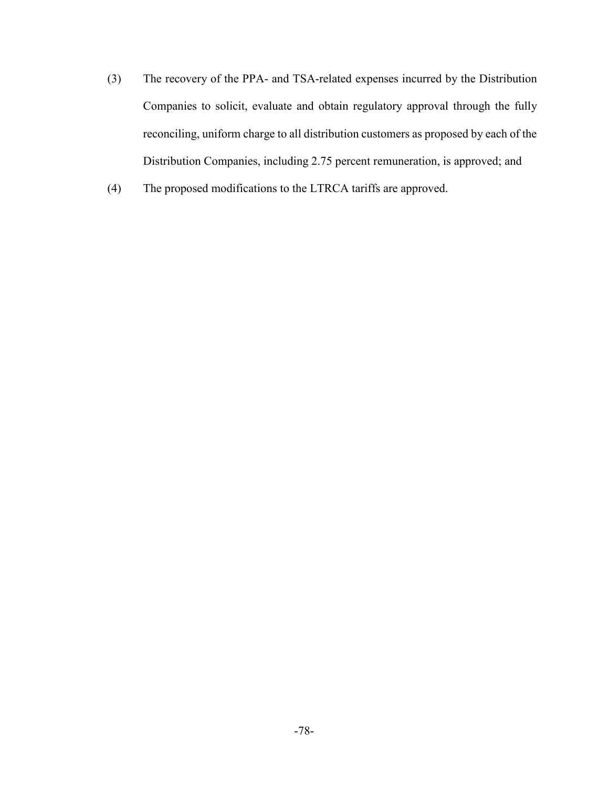- (3) The recovery of the PPA- and TSA-related expenses incurred by the Distribution Companies to solicit, evaluate and obtain regulatory approval through the fully reconciling, uniform charge to all distribution customers as proposed by each of the Distribution Companies, including 2.75 percent remuneration, is approved; and
- (4) The proposed modifications to the LTRCA tariffs are approved.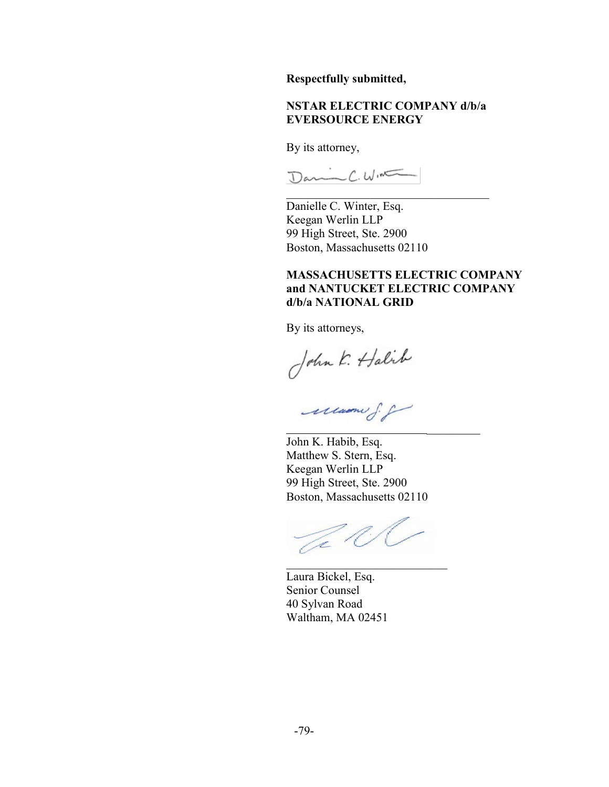**Respectfully submitted,**

## **NSTAR ELECTRIC COMPANY d/b/a EVERSOURCE ENERGY**

By its attorney,

Danic C. WIN

Danielle C. Winter, Esq. Keegan Werlin LLP 99 High Street, Ste. 2900 Boston, Massachusetts 02110

## **MASSACHUSETTS ELECTRIC COMPANY and NANTUCKET ELECTRIC COMPANY d/b/a NATIONAL GRID**

By its attorneys,

John K. Halik

John K. Habib, Esq. Matthew S. Stern, Esq. Keegan Werlin LLP 99 High Street, Ste. 2900 Boston, Massachusetts 02110

Je K \_\_\_\_\_\_\_\_\_\_\_\_\_\_\_\_\_\_\_\_\_\_\_\_\_\_\_

Laura Bickel, Esq. Senior Counsel 40 Sylvan Road Waltham, MA 02451